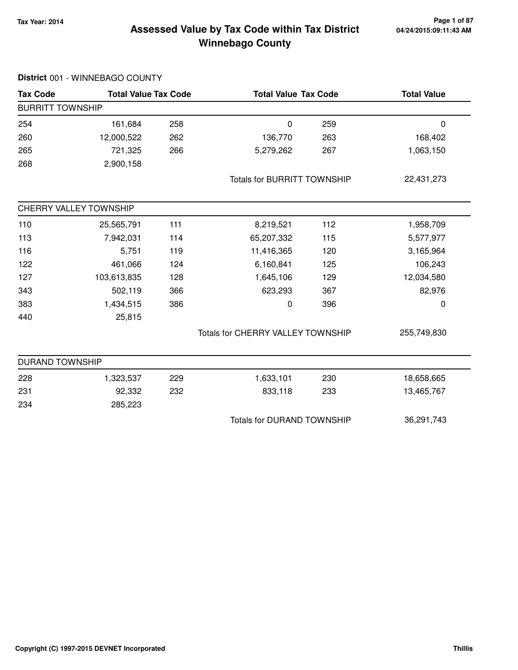#### **Tax Year: 2014 Page 1 of 87 Winnebago County Assessed Value by Tax Code within Tax District**

| <b>Tax Code</b>         | <b>Total Value Tax Code</b> |                                   | <b>Total Value Tax Code</b>        |            | <b>Total Value</b> |
|-------------------------|-----------------------------|-----------------------------------|------------------------------------|------------|--------------------|
| <b>BURRITT TOWNSHIP</b> |                             |                                   |                                    |            |                    |
| 254                     | 161,684                     | 258                               | $\pmb{0}$                          | 259        | $\pmb{0}$          |
| 260                     | 12,000,522                  | 262                               | 136,770                            | 263        | 168,402            |
| 265                     | 721,325                     | 266                               | 5,279,262                          | 267        | 1,063,150          |
| 268                     | 2,900,158                   |                                   |                                    |            |                    |
|                         |                             |                                   | <b>Totals for BURRITT TOWNSHIP</b> |            | 22,431,273         |
|                         | CHERRY VALLEY TOWNSHIP      |                                   |                                    |            |                    |
| 110                     | 25,565,791                  | 111                               | 8,219,521                          | 112        | 1,958,709          |
| 113                     | 7,942,031                   | 114                               | 65,207,332                         | 115        | 5,577,977          |
| 116                     | 5,751                       | 119                               | 11,416,365                         | 120        | 3,165,964          |
| 122                     | 461,066                     | 124                               | 6,160,841                          | 125        | 106,243            |
| 127                     | 103,613,835                 | 128                               | 1,645,106                          | 129        | 12,034,580         |
| 343                     | 502,119                     | 366                               | 623,293                            | 367        | 82,976             |
| 383                     | 1,434,515                   | 386                               | 0                                  | 396        | 0                  |
| 440                     | 25,815                      |                                   |                                    |            |                    |
|                         |                             |                                   | Totals for CHERRY VALLEY TOWNSHIP  |            | 255,749,830        |
| <b>DURAND TOWNSHIP</b>  |                             |                                   |                                    |            |                    |
| 228                     | 1,323,537                   | 229                               | 1,633,101                          | 230        | 18,658,665         |
| 231                     | 92,332                      | 232                               | 833,118                            | 233        | 13,465,767         |
| 234                     | 285,223                     |                                   |                                    |            |                    |
|                         |                             | <b>Totals for DURAND TOWNSHIP</b> |                                    | 36,291,743 |                    |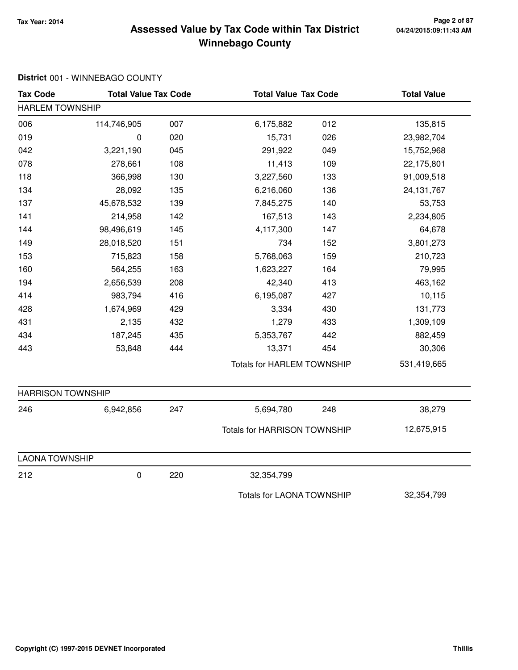#### **Tax Year: 2014 Page 2 of 87 Winnebago County Assessed Value by Tax Code within Tax District**

| <b>Tax Code</b>          | <b>Total Value Tax Code</b> |     | <b>Total Value Tax Code</b>         |     | <b>Total Value</b> |
|--------------------------|-----------------------------|-----|-------------------------------------|-----|--------------------|
| <b>HARLEM TOWNSHIP</b>   |                             |     |                                     |     |                    |
| 006                      | 114,746,905                 | 007 | 6,175,882                           | 012 | 135,815            |
| 019                      | 0                           | 020 | 15,731                              | 026 | 23,982,704         |
| 042                      | 3,221,190                   | 045 | 291,922                             | 049 | 15,752,968         |
| 078                      | 278,661                     | 108 | 11,413                              | 109 | 22,175,801         |
| 118                      | 366,998                     | 130 | 3,227,560                           | 133 | 91,009,518         |
| 134                      | 28,092                      | 135 | 6,216,060                           | 136 | 24, 131, 767       |
| 137                      | 45,678,532                  | 139 | 7,845,275                           | 140 | 53,753             |
| 141                      | 214,958                     | 142 | 167,513                             | 143 | 2,234,805          |
| 144                      | 98,496,619                  | 145 | 4,117,300                           | 147 | 64,678             |
| 149                      | 28,018,520                  | 151 | 734                                 | 152 | 3,801,273          |
| 153                      | 715,823                     | 158 | 5,768,063                           | 159 | 210,723            |
| 160                      | 564,255                     | 163 | 1,623,227                           | 164 | 79,995             |
| 194                      | 2,656,539                   | 208 | 42,340                              | 413 | 463,162            |
| 414                      | 983,794                     | 416 | 6,195,087                           | 427 | 10,115             |
| 428                      | 1,674,969                   | 429 | 3,334                               | 430 | 131,773            |
| 431                      | 2,135                       | 432 | 1,279                               | 433 | 1,309,109          |
| 434                      | 187,245                     | 435 | 5,353,767                           | 442 | 882,459            |
| 443                      | 53,848                      | 444 | 13,371                              | 454 | 30,306             |
|                          |                             |     | <b>Totals for HARLEM TOWNSHIP</b>   |     | 531,419,665        |
| <b>HARRISON TOWNSHIP</b> |                             |     |                                     |     |                    |
| 246                      | 6,942,856                   | 247 | 5,694,780                           | 248 | 38,279             |
|                          |                             |     | <b>Totals for HARRISON TOWNSHIP</b> |     | 12,675,915         |
| <b>LAONA TOWNSHIP</b>    |                             |     |                                     |     |                    |
| 212                      | 0                           | 220 | 32,354,799                          |     |                    |
|                          |                             |     | <b>Totals for LAONA TOWNSHIP</b>    |     | 32,354,799         |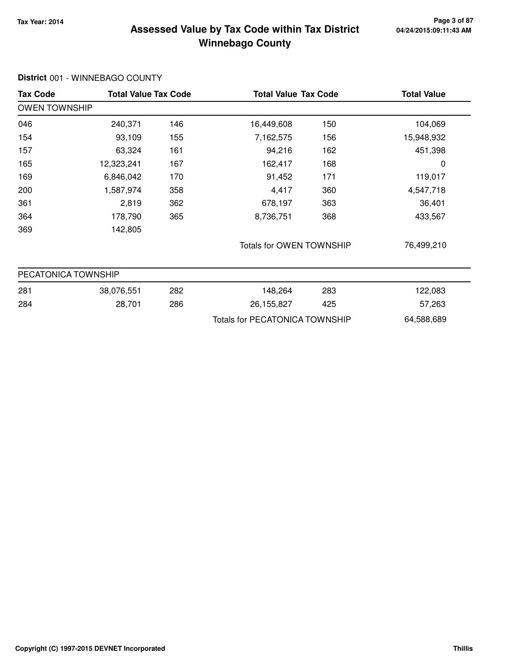#### **Tax Year: 2014 Page 3 of 87 Winnebago County Assessed Value by Tax Code within Tax District**

| <b>Tax Code</b>      | <b>Total Value Tax Code</b> |     |                                | <b>Total Value Tax Code</b> |            |
|----------------------|-----------------------------|-----|--------------------------------|-----------------------------|------------|
| <b>OWEN TOWNSHIP</b> |                             |     |                                |                             |            |
| 046                  | 240,371                     | 146 | 16,449,608                     | 150                         | 104,069    |
| 154                  | 93,109                      | 155 | 7,162,575                      | 156                         | 15,948,932 |
| 157                  | 63,324                      | 161 | 94,216                         | 162                         | 451,398    |
| 165                  | 12,323,241                  | 167 | 162,417                        | 168                         | 0          |
| 169                  | 6,846,042                   | 170 | 91,452                         | 171                         | 119,017    |
| 200                  | 1,587,974                   | 358 | 4,417                          | 360                         | 4,547,718  |
| 361                  | 2,819                       | 362 | 678,197                        | 363                         | 36,401     |
| 364                  | 178,790                     | 365 | 8,736,751                      | 368                         | 433,567    |
| 369                  | 142,805                     |     |                                |                             |            |
|                      |                             |     | Totals for OWEN TOWNSHIP       |                             | 76,499,210 |
| PECATONICA TOWNSHIP  |                             |     |                                |                             |            |
| 281                  | 38,076,551                  | 282 | 148,264                        | 283                         | 122,083    |
| 284                  | 28,701                      | 286 | 26, 155, 827                   | 425                         | 57,263     |
|                      |                             |     | Totals for PECATONICA TOWNSHIP |                             | 64,588,689 |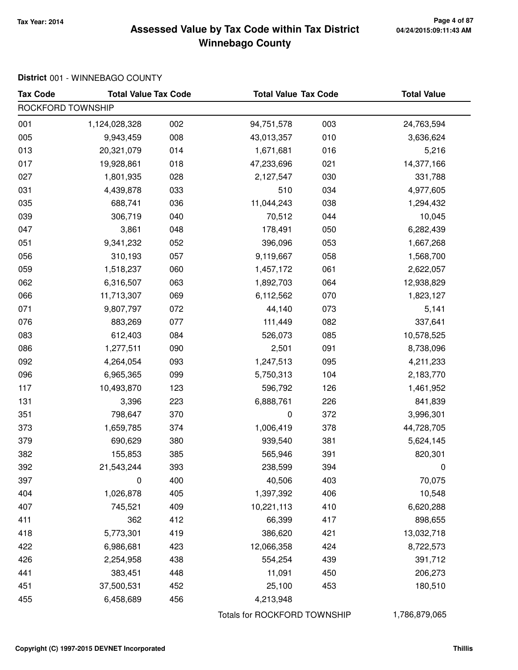#### **Tax Year: 2014 Page 4 of 87 Winnebago County Assessed Value by Tax Code within Tax District**

| <b>Tax Code</b>   | <b>Total Value Tax Code</b> |     | <b>Total Value Tax Code</b>  |     | <b>Total Value</b> |
|-------------------|-----------------------------|-----|------------------------------|-----|--------------------|
| ROCKFORD TOWNSHIP |                             |     |                              |     |                    |
| 001               | 1,124,028,328               | 002 | 94,751,578                   | 003 | 24,763,594         |
| 005               | 9,943,459                   | 008 | 43,013,357                   | 010 | 3,636,624          |
| 013               | 20,321,079                  | 014 | 1,671,681                    | 016 | 5,216              |
| 017               | 19,928,861                  | 018 | 47,233,696                   | 021 | 14,377,166         |
| 027               | 1,801,935                   | 028 | 2,127,547                    | 030 | 331,788            |
| 031               | 4,439,878                   | 033 | 510                          | 034 | 4,977,605          |
| 035               | 688,741                     | 036 | 11,044,243                   | 038 | 1,294,432          |
| 039               | 306,719                     | 040 | 70,512                       | 044 | 10,045             |
| 047               | 3,861                       | 048 | 178,491                      | 050 | 6,282,439          |
| 051               | 9,341,232                   | 052 | 396,096                      | 053 | 1,667,268          |
| 056               | 310,193                     | 057 | 9,119,667                    | 058 | 1,568,700          |
| 059               | 1,518,237                   | 060 | 1,457,172                    | 061 | 2,622,057          |
| 062               | 6,316,507                   | 063 | 1,892,703                    | 064 | 12,938,829         |
| 066               | 11,713,307                  | 069 | 6,112,562                    | 070 | 1,823,127          |
| 071               | 9,807,797                   | 072 | 44,140                       | 073 | 5,141              |
| 076               | 883,269                     | 077 | 111,449                      | 082 | 337,641            |
| 083               | 612,403                     | 084 | 526,073                      | 085 | 10,578,525         |
| 086               | 1,277,511                   | 090 | 2,501                        | 091 | 8,738,096          |
| 092               | 4,264,054                   | 093 | 1,247,513                    | 095 | 4,211,233          |
| 096               | 6,965,365                   | 099 | 5,750,313                    | 104 | 2,183,770          |
| 117               | 10,493,870                  | 123 | 596,792                      | 126 | 1,461,952          |
| 131               | 3,396                       | 223 | 6,888,761                    | 226 | 841,839            |
| 351               | 798,647                     | 370 | $\pmb{0}$                    | 372 | 3,996,301          |
| 373               | 1,659,785                   | 374 | 1,006,419                    | 378 | 44,728,705         |
| 379               | 690,629                     | 380 | 939,540                      | 381 | 5,624,145          |
| 382               | 155,853                     | 385 | 565,946                      | 391 | 820,301            |
| 392               | 21,543,244                  | 393 | 238,599                      | 394 | 0                  |
| 397               | 0                           | 400 | 40,506                       | 403 | 70,075             |
| 404               | 1,026,878                   | 405 | 1,397,392                    | 406 | 10,548             |
| 407               | 745,521                     | 409 | 10,221,113                   | 410 | 6,620,288          |
| 411               | 362                         | 412 | 66,399                       | 417 | 898,655            |
| 418               | 5,773,301                   | 419 | 386,620                      | 421 | 13,032,718         |
| 422               | 6,986,681                   | 423 | 12,066,358                   | 424 | 8,722,573          |
| 426               | 2,254,958                   | 438 | 554,254                      | 439 | 391,712            |
| 441               | 383,451                     | 448 | 11,091                       | 450 | 206,273            |
| 451               | 37,500,531                  | 452 | 25,100                       | 453 | 180,510            |
| 455               | 6,458,689                   | 456 | 4,213,948                    |     |                    |
|                   |                             |     | Totals for ROCKFORD TOWNSHIP |     | 1,786,879,065      |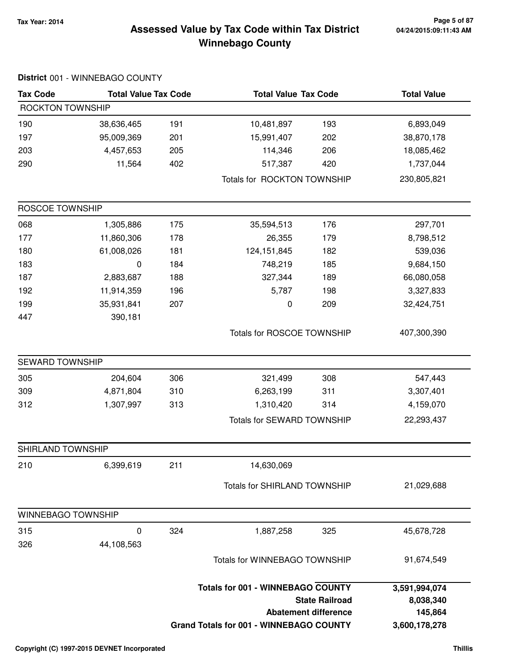#### **Tax Year: 2014 Page 5 of 87 Winnebago County Assessed Value by Tax Code within Tax District**

| <b>Tax Code</b>           | <b>Total Value Tax Code</b> |     | <b>Total Value Tax Code</b>              |                             | <b>Total Value</b> |
|---------------------------|-----------------------------|-----|------------------------------------------|-----------------------------|--------------------|
| ROCKTON TOWNSHIP          |                             |     |                                          |                             |                    |
| 190                       | 38,636,465                  | 191 | 10,481,897                               | 193                         | 6,893,049          |
| 197                       | 95,009,369                  | 201 | 15,991,407                               | 202                         | 38,870,178         |
| 203                       | 4,457,653                   | 205 | 114,346                                  | 206                         | 18,085,462         |
| 290                       | 11,564                      | 402 | 517,387                                  | 420                         | 1,737,044          |
|                           |                             |     | Totals for ROCKTON TOWNSHIP              |                             | 230,805,821        |
| ROSCOE TOWNSHIP           |                             |     |                                          |                             |                    |
| 068                       | 1,305,886                   | 175 | 35,594,513                               | 176                         | 297,701            |
| 177                       | 11,860,306                  | 178 | 26,355                                   | 179                         | 8,798,512          |
| 180                       | 61,008,026                  | 181 | 124, 151, 845                            | 182                         | 539,036            |
| 183                       | $\pmb{0}$                   | 184 | 748,219                                  | 185                         | 9,684,150          |
| 187                       | 2,883,687                   | 188 | 327,344                                  | 189                         | 66,080,058         |
| 192                       | 11,914,359                  | 196 | 5,787                                    | 198                         | 3,327,833          |
| 199                       | 35,931,841                  | 207 | 0                                        | 209                         | 32,424,751         |
| 447                       | 390,181                     |     |                                          |                             |                    |
|                           |                             |     | Totals for ROSCOE TOWNSHIP               |                             | 407,300,390        |
| SEWARD TOWNSHIP           |                             |     |                                          |                             |                    |
| 305                       | 204,604                     | 306 | 321,499                                  | 308                         | 547,443            |
| 309                       | 4,871,804                   | 310 | 6,263,199                                | 311                         | 3,307,401          |
| 312                       | 1,307,997                   | 313 | 1,310,420                                | 314                         | 4,159,070          |
|                           |                             |     | Totals for SEWARD TOWNSHIP               |                             | 22,293,437         |
| SHIRLAND TOWNSHIP         |                             |     |                                          |                             |                    |
| 210                       | 6,399,619                   | 211 | 14,630,069                               |                             |                    |
|                           |                             |     | <b>Totals for SHIRLAND TOWNSHIP</b>      |                             | 21,029,688         |
| <b>WINNEBAGO TOWNSHIP</b> |                             |     |                                          |                             |                    |
| 315                       | $\mathbf 0$                 | 324 | 1,887,258                                | 325                         | 45,678,728         |
| 326                       | 44,108,563                  |     |                                          |                             |                    |
|                           |                             |     | <b>Totals for WINNEBAGO TOWNSHIP</b>     |                             | 91,674,549         |
|                           |                             |     | <b>Totals for 001 - WINNEBAGO COUNTY</b> |                             | 3,591,994,074      |
|                           |                             |     |                                          | <b>State Railroad</b>       | 8,038,340          |
|                           |                             |     |                                          | <b>Abatement difference</b> | 145,864            |

**Grand Totals for 001 - WINNEBAGO COUNTY**

#### **District** 001 - WINNEBAGO COUNTY

**3,600,178,278**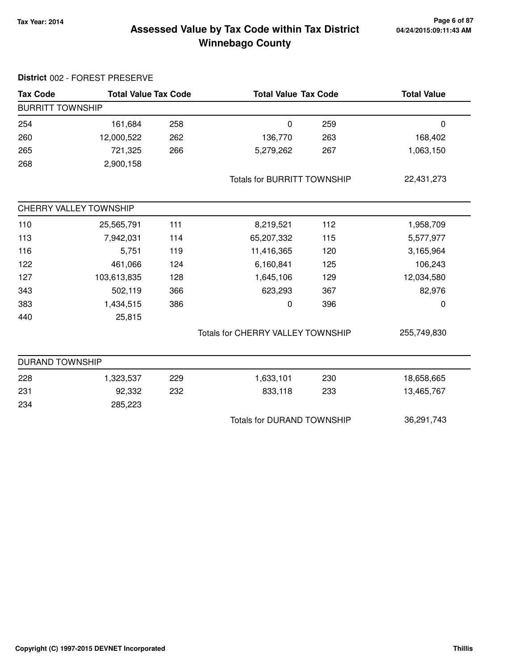#### **Tax Year: 2014 Page 6 of 87 Winnebago County Assessed Value by Tax Code within Tax District**

| <b>Tax Code</b>                   | <b>Total Value Tax Code</b> |     | <b>Total Value Tax Code</b>        |     | <b>Total Value</b> |
|-----------------------------------|-----------------------------|-----|------------------------------------|-----|--------------------|
| <b>BURRITT TOWNSHIP</b>           |                             |     |                                    |     |                    |
| 254                               | 161,684                     | 258 | $\mathbf 0$                        | 259 | $\mathbf 0$        |
| 260                               | 12,000,522                  | 262 | 136,770                            | 263 | 168,402            |
| 265                               | 721,325                     | 266 | 5,279,262                          | 267 | 1,063,150          |
| 268                               | 2,900,158                   |     |                                    |     |                    |
|                                   |                             |     | <b>Totals for BURRITT TOWNSHIP</b> |     | 22,431,273         |
|                                   | CHERRY VALLEY TOWNSHIP      |     |                                    |     |                    |
| 110                               | 25,565,791                  | 111 | 8,219,521                          | 112 | 1,958,709          |
| 113                               | 7,942,031                   | 114 | 65,207,332                         | 115 | 5,577,977          |
| 116                               | 5,751                       | 119 | 11,416,365                         | 120 | 3,165,964          |
| 122                               | 461,066                     | 124 | 6,160,841                          | 125 | 106,243            |
| 127                               | 103,613,835                 | 128 | 1,645,106                          | 129 | 12,034,580         |
| 343                               | 502,119                     | 366 | 623,293                            | 367 | 82,976             |
| 383                               | 1,434,515                   | 386 | 0                                  | 396 | 0                  |
| 440                               | 25,815                      |     |                                    |     |                    |
|                                   |                             |     | Totals for CHERRY VALLEY TOWNSHIP  |     | 255,749,830        |
| <b>DURAND TOWNSHIP</b>            |                             |     |                                    |     |                    |
| 228                               | 1,323,537                   | 229 | 1,633,101                          | 230 | 18,658,665         |
| 231                               | 92,332                      | 232 | 833,118                            | 233 | 13,465,767         |
| 234                               | 285,223                     |     |                                    |     |                    |
| <b>Totals for DURAND TOWNSHIP</b> |                             |     | 36,291,743                         |     |                    |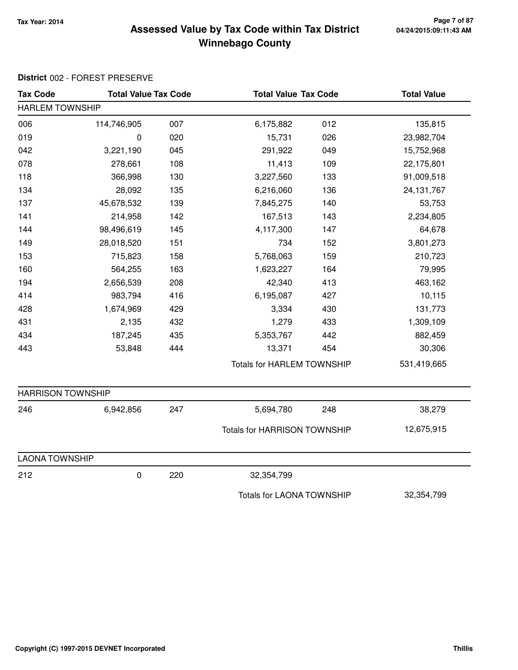#### **Tax Year: 2014 Page 7 of 87 Winnebago County Assessed Value by Tax Code within Tax District**

| <b>Tax Code</b>          | <b>Total Value Tax Code</b> |     | <b>Total Value Tax Code</b>         |     | <b>Total Value</b> |
|--------------------------|-----------------------------|-----|-------------------------------------|-----|--------------------|
| <b>HARLEM TOWNSHIP</b>   |                             |     |                                     |     |                    |
| 006                      | 114,746,905                 | 007 | 6,175,882                           | 012 | 135,815            |
| 019                      | 0                           | 020 | 15,731                              | 026 | 23,982,704         |
| 042                      | 3,221,190                   | 045 | 291,922                             | 049 | 15,752,968         |
| 078                      | 278,661                     | 108 | 11,413                              | 109 | 22,175,801         |
| 118                      | 366,998                     | 130 | 3,227,560                           | 133 | 91,009,518         |
| 134                      | 28,092                      | 135 | 6,216,060                           | 136 | 24, 131, 767       |
| 137                      | 45,678,532                  | 139 | 7,845,275                           | 140 | 53,753             |
| 141                      | 214,958                     | 142 | 167,513                             | 143 | 2,234,805          |
| 144                      | 98,496,619                  | 145 | 4,117,300                           | 147 | 64,678             |
| 149                      | 28,018,520                  | 151 | 734                                 | 152 | 3,801,273          |
| 153                      | 715,823                     | 158 | 5,768,063                           | 159 | 210,723            |
| 160                      | 564,255                     | 163 | 1,623,227                           | 164 | 79,995             |
| 194                      | 2,656,539                   | 208 | 42,340                              | 413 | 463,162            |
| 414                      | 983,794                     | 416 | 6,195,087                           | 427 | 10,115             |
| 428                      | 1,674,969                   | 429 | 3,334                               | 430 | 131,773            |
| 431                      | 2,135                       | 432 | 1,279                               | 433 | 1,309,109          |
| 434                      | 187,245                     | 435 | 5,353,767                           | 442 | 882,459            |
| 443                      | 53,848                      | 444 | 13,371                              | 454 | 30,306             |
|                          |                             |     | <b>Totals for HARLEM TOWNSHIP</b>   |     | 531,419,665        |
| <b>HARRISON TOWNSHIP</b> |                             |     |                                     |     |                    |
| 246                      | 6,942,856                   | 247 | 5,694,780                           | 248 | 38,279             |
|                          |                             |     | <b>Totals for HARRISON TOWNSHIP</b> |     | 12,675,915         |
| <b>LAONA TOWNSHIP</b>    |                             |     |                                     |     |                    |
| 212                      | 0                           | 220 | 32,354,799                          |     |                    |
|                          |                             |     | <b>Totals for LAONA TOWNSHIP</b>    |     | 32,354,799         |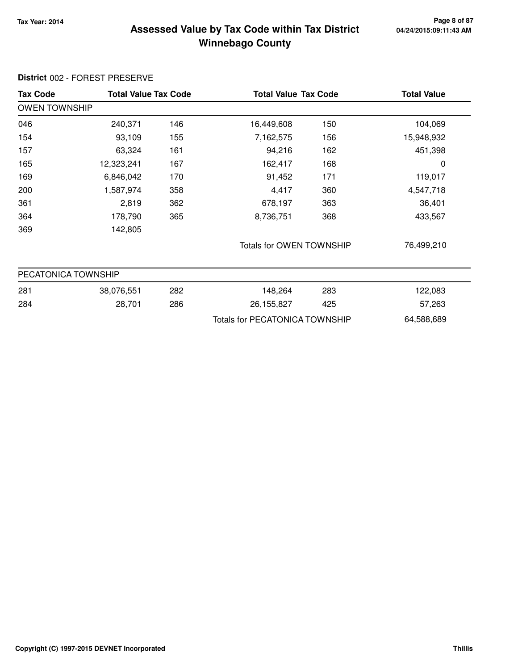#### **Tax Year: 2014 Page 8 of 87 Winnebago County Assessed Value by Tax Code within Tax District**

| <b>Tax Code</b>      | <b>Total Value Tax Code</b> |     |                                       | <b>Total Value Tax Code</b> |            |
|----------------------|-----------------------------|-----|---------------------------------------|-----------------------------|------------|
| <b>OWEN TOWNSHIP</b> |                             |     |                                       |                             |            |
| 046                  | 240,371                     | 146 | 16,449,608                            | 150                         | 104,069    |
| 154                  | 93,109                      | 155 | 7,162,575                             | 156                         | 15,948,932 |
| 157                  | 63,324                      | 161 | 94,216                                | 162                         | 451,398    |
| 165                  | 12,323,241                  | 167 | 162,417                               | 168                         | 0          |
| 169                  | 6,846,042                   | 170 | 91,452                                | 171                         | 119,017    |
| 200                  | 1,587,974                   | 358 | 4,417                                 | 360                         | 4,547,718  |
| 361                  | 2,819                       | 362 | 678,197                               | 363                         | 36,401     |
| 364                  | 178,790                     | 365 | 8,736,751                             | 368                         | 433,567    |
| 369                  | 142,805                     |     |                                       |                             |            |
|                      |                             |     | Totals for OWEN TOWNSHIP              |                             | 76,499,210 |
| PECATONICA TOWNSHIP  |                             |     |                                       |                             |            |
| 281                  | 38,076,551                  | 282 | 148,264                               | 283                         | 122,083    |
| 284                  | 28,701                      | 286 | 26, 155, 827                          | 425                         | 57,263     |
|                      |                             |     | <b>Totals for PECATONICA TOWNSHIP</b> |                             | 64,588,689 |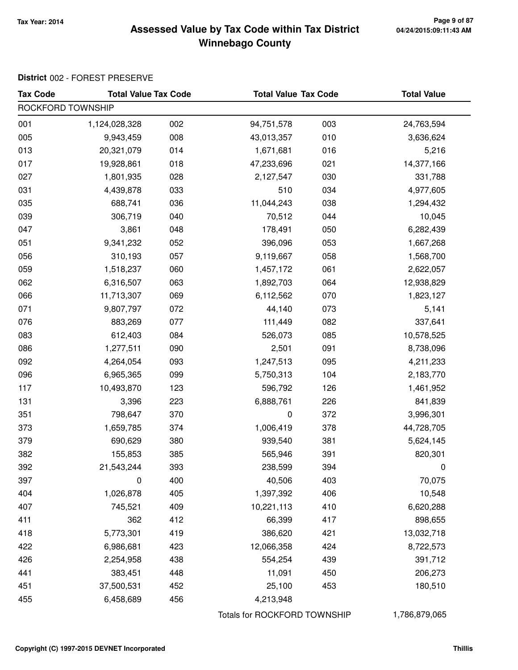#### **Tax Year: 2014 Page 9 of 87 Winnebago County Assessed Value by Tax Code within Tax District**

| <b>Tax Code</b>   | <b>Total Value Tax Code</b> |     | <b>Total Value Tax Code</b>  |     | <b>Total Value</b> |
|-------------------|-----------------------------|-----|------------------------------|-----|--------------------|
| ROCKFORD TOWNSHIP |                             |     |                              |     |                    |
| 001               | 1,124,028,328               | 002 | 94,751,578                   | 003 | 24,763,594         |
| 005               | 9,943,459                   | 008 | 43,013,357                   | 010 | 3,636,624          |
| 013               | 20,321,079                  | 014 | 1,671,681                    | 016 | 5,216              |
| 017               | 19,928,861                  | 018 | 47,233,696                   | 021 | 14,377,166         |
| 027               | 1,801,935                   | 028 | 2,127,547                    | 030 | 331,788            |
| 031               | 4,439,878                   | 033 | 510                          | 034 | 4,977,605          |
| 035               | 688,741                     | 036 | 11,044,243                   | 038 | 1,294,432          |
| 039               | 306,719                     | 040 | 70,512                       | 044 | 10,045             |
| 047               | 3,861                       | 048 | 178,491                      | 050 | 6,282,439          |
| 051               | 9,341,232                   | 052 | 396,096                      | 053 | 1,667,268          |
| 056               | 310,193                     | 057 | 9,119,667                    | 058 | 1,568,700          |
| 059               | 1,518,237                   | 060 | 1,457,172                    | 061 | 2,622,057          |
| 062               | 6,316,507                   | 063 | 1,892,703                    | 064 | 12,938,829         |
| 066               | 11,713,307                  | 069 | 6,112,562                    | 070 | 1,823,127          |
| 071               | 9,807,797                   | 072 | 44,140                       | 073 | 5,141              |
| 076               | 883,269                     | 077 | 111,449                      | 082 | 337,641            |
| 083               | 612,403                     | 084 | 526,073                      | 085 | 10,578,525         |
| 086               | 1,277,511                   | 090 | 2,501                        | 091 | 8,738,096          |
| 092               | 4,264,054                   | 093 | 1,247,513                    | 095 | 4,211,233          |
| 096               | 6,965,365                   | 099 | 5,750,313                    | 104 | 2,183,770          |
| 117               | 10,493,870                  | 123 | 596,792                      | 126 | 1,461,952          |
| 131               | 3,396                       | 223 | 6,888,761                    | 226 | 841,839            |
| 351               | 798,647                     | 370 | $\pmb{0}$                    | 372 | 3,996,301          |
| 373               | 1,659,785                   | 374 | 1,006,419                    | 378 | 44,728,705         |
| 379               | 690,629                     | 380 | 939,540                      | 381 | 5,624,145          |
| 382               | 155,853                     | 385 | 565,946                      | 391 | 820,301            |
| 392               | 21,543,244                  | 393 | 238,599                      | 394 | 0                  |
| 397               | 0                           | 400 | 40,506                       | 403 | 70,075             |
| 404               | 1,026,878                   | 405 | 1,397,392                    | 406 | 10,548             |
| 407               | 745,521                     | 409 | 10,221,113                   | 410 | 6,620,288          |
| 411               | 362                         | 412 | 66,399                       | 417 | 898,655            |
| 418               | 5,773,301                   | 419 | 386,620                      | 421 | 13,032,718         |
| 422               | 6,986,681                   | 423 | 12,066,358                   | 424 | 8,722,573          |
| 426               | 2,254,958                   | 438 | 554,254                      | 439 | 391,712            |
| 441               | 383,451                     | 448 | 11,091                       | 450 | 206,273            |
| 451               | 37,500,531                  | 452 | 25,100                       | 453 | 180,510            |
| 455               | 6,458,689                   | 456 | 4,213,948                    |     |                    |
|                   |                             |     | Totals for ROCKFORD TOWNSHIP |     | 1,786,879,065      |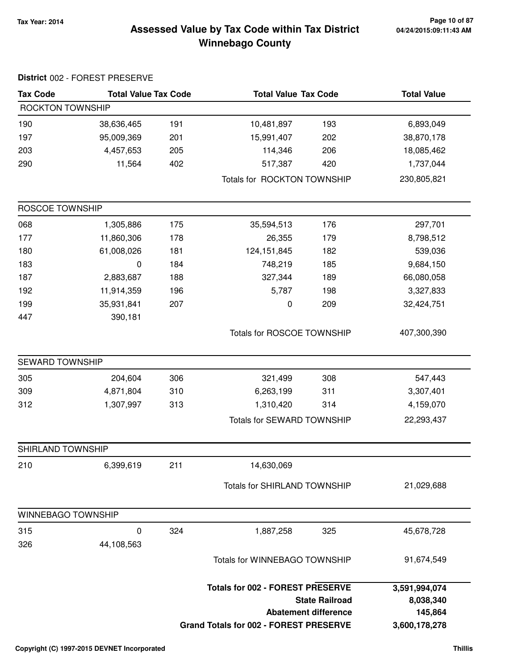#### **Tax Year: 2014 Page 10 of 87 Winnebago County Assessed Value by Tax Code within Tax District**

| <b>Tax Code</b>        | <b>Total Value Tax Code</b> |     | <b>Total Value Tax Code</b>                   |                             | <b>Total Value</b> |
|------------------------|-----------------------------|-----|-----------------------------------------------|-----------------------------|--------------------|
| ROCKTON TOWNSHIP       |                             |     |                                               |                             |                    |
| 190                    | 38,636,465                  | 191 | 10,481,897                                    | 193                         | 6,893,049          |
| 197                    | 95,009,369                  | 201 | 15,991,407                                    | 202                         | 38,870,178         |
| 203                    | 4,457,653                   | 205 | 114,346                                       | 206                         | 18,085,462         |
| 290                    | 11,564                      | 402 | 517,387                                       | 420                         | 1,737,044          |
|                        |                             |     | Totals for ROCKTON TOWNSHIP                   |                             | 230,805,821        |
| ROSCOE TOWNSHIP        |                             |     |                                               |                             |                    |
| 068                    | 1,305,886                   | 175 | 35,594,513                                    | 176                         | 297,701            |
| 177                    | 11,860,306                  | 178 | 26,355                                        | 179                         | 8,798,512          |
| 180                    | 61,008,026                  | 181 | 124, 151, 845                                 | 182                         | 539,036            |
| 183                    | 0                           | 184 | 748,219                                       | 185                         | 9,684,150          |
| 187                    | 2,883,687                   | 188 | 327,344                                       | 189                         | 66,080,058         |
| 192                    | 11,914,359                  | 196 | 5,787                                         | 198                         | 3,327,833          |
| 199                    | 35,931,841                  | 207 | 0                                             | 209                         | 32,424,751         |
| 447                    | 390,181                     |     |                                               |                             |                    |
|                        |                             |     | <b>Totals for ROSCOE TOWNSHIP</b>             |                             | 407,300,390        |
| <b>SEWARD TOWNSHIP</b> |                             |     |                                               |                             |                    |
| 305                    | 204,604                     | 306 | 321,499                                       | 308                         | 547,443            |
| 309                    | 4,871,804                   | 310 | 6,263,199                                     | 311                         | 3,307,401          |
| 312                    | 1,307,997                   | 313 | 1,310,420                                     | 314                         | 4,159,070          |
|                        |                             |     | <b>Totals for SEWARD TOWNSHIP</b>             |                             | 22,293,437         |
| SHIRLAND TOWNSHIP      |                             |     |                                               |                             |                    |
| 210                    | 6,399,619                   | 211 | 14,630,069                                    |                             |                    |
|                        |                             |     | Totals for SHIRLAND TOWNSHIP                  |                             | 21,029,688         |
| WINNEBAGO TOWNSHIP     |                             |     |                                               |                             |                    |
| 315                    | 0                           | 324 | 1,887,258                                     | 325                         | 45,678,728         |
| 326                    | 44,108,563                  |     |                                               |                             |                    |
|                        |                             |     | Totals for WINNEBAGO TOWNSHIP                 |                             | 91,674,549         |
|                        |                             |     | <b>Totals for 002 - FOREST PRESERVE</b>       |                             | 3,591,994,074      |
|                        |                             |     |                                               | <b>State Railroad</b>       | 8,038,340          |
|                        |                             |     |                                               | <b>Abatement difference</b> | 145,864            |
|                        |                             |     | <b>Grand Totals for 002 - FOREST PRESERVE</b> |                             | 3,600,178,278      |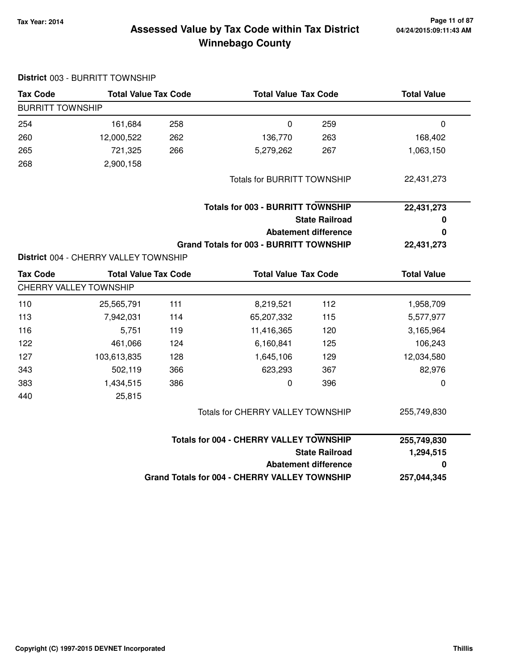#### **Tax Year: 2014 Page 11 of 87 Winnebago County Assessed Value by Tax Code within Tax District**

| <b>Tax Code</b>         | <b>Total Value Tax Code</b>           |     | <b>Total Value Tax Code</b>                          |                             | <b>Total Value</b> |  |
|-------------------------|---------------------------------------|-----|------------------------------------------------------|-----------------------------|--------------------|--|
| <b>BURRITT TOWNSHIP</b> |                                       |     |                                                      |                             |                    |  |
| 254                     | 161,684                               | 258 | $\mathbf 0$                                          | 259                         | $\mathbf 0$        |  |
| 260                     | 12,000,522                            | 262 | 136,770                                              | 263                         | 168,402            |  |
| 265                     | 721,325                               | 266 | 5,279,262                                            | 267                         | 1,063,150          |  |
| 268                     | 2,900,158                             |     |                                                      |                             |                    |  |
|                         |                                       |     | <b>Totals for BURRITT TOWNSHIP</b>                   |                             | 22,431,273         |  |
|                         |                                       |     | <b>Totals for 003 - BURRITT TOWNSHIP</b>             |                             | 22,431,273         |  |
|                         |                                       |     |                                                      | <b>State Railroad</b>       | 0                  |  |
|                         |                                       |     |                                                      | <b>Abatement difference</b> | 0                  |  |
|                         |                                       |     | <b>Grand Totals for 003 - BURRITT TOWNSHIP</b>       |                             | 22,431,273         |  |
|                         | District 004 - CHERRY VALLEY TOWNSHIP |     |                                                      |                             |                    |  |
| <b>Tax Code</b>         | <b>Total Value Tax Code</b>           |     | <b>Total Value Tax Code</b>                          |                             | <b>Total Value</b> |  |
|                         | <b>CHERRY VALLEY TOWNSHIP</b>         |     |                                                      |                             |                    |  |
| 110                     | 25,565,791                            | 111 | 8,219,521                                            | 112                         | 1,958,709          |  |
| 113                     | 7,942,031                             | 114 | 65,207,332                                           | 115                         | 5,577,977          |  |
| 116                     | 5,751                                 | 119 | 11,416,365                                           | 120                         | 3,165,964          |  |
| 122                     | 461,066                               | 124 | 6,160,841                                            | 125                         | 106,243            |  |
| 127                     | 103,613,835                           | 128 | 1,645,106                                            | 129                         | 12,034,580         |  |
| 343                     | 502,119                               | 366 | 623,293                                              | 367                         | 82,976             |  |
| 383                     | 1,434,515                             | 386 | 0                                                    | 396                         | 0                  |  |
| 440                     | 25,815                                |     |                                                      |                             |                    |  |
|                         |                                       |     | Totals for CHERRY VALLEY TOWNSHIP                    |                             | 255,749,830        |  |
|                         |                                       |     | <b>Totals for 004 - CHERRY VALLEY TOWNSHIP</b>       |                             | 255,749,830        |  |
|                         |                                       |     |                                                      | <b>State Railroad</b>       | 1,294,515          |  |
|                         |                                       |     |                                                      | <b>Abatement difference</b> | 0                  |  |
|                         |                                       |     | <b>Grand Totals for 004 - CHERRY VALLEY TOWNSHIP</b> |                             | 257,044,345        |  |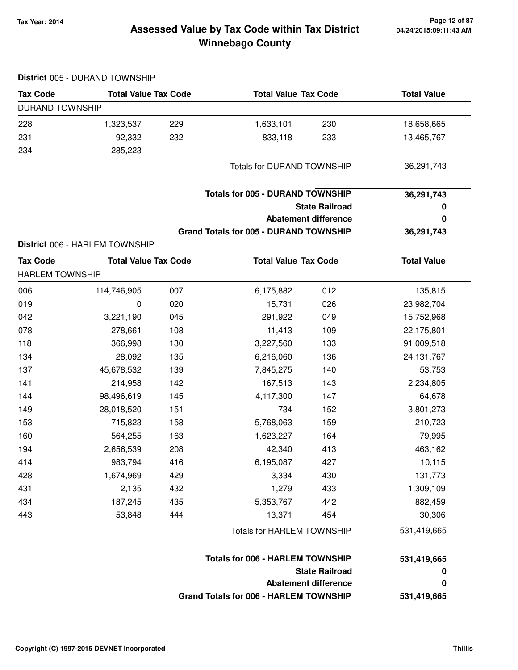# **04/24/2015:09:11:43 AM**

### **Tax Year: 2014 Page 12 of 87 Winnebago County Assessed Value by Tax Code within Tax District**

| <b>Tax Code</b>        | <b>Total Value Tax Code</b>    |     | <b>Total Value Tax Code</b>                   |                             | <b>Total Value</b> |  |  |
|------------------------|--------------------------------|-----|-----------------------------------------------|-----------------------------|--------------------|--|--|
| <b>DURAND TOWNSHIP</b> |                                |     |                                               |                             |                    |  |  |
| 228                    | 1,323,537                      | 229 | 1,633,101                                     | 230                         | 18,658,665         |  |  |
| 231                    | 92,332                         | 232 | 833,118                                       | 233                         | 13,465,767         |  |  |
| 234                    | 285,223                        |     |                                               |                             |                    |  |  |
|                        |                                |     | <b>Totals for DURAND TOWNSHIP</b>             |                             | 36,291,743         |  |  |
|                        |                                |     | <b>Totals for 005 - DURAND TOWNSHIP</b>       |                             | 36,291,743         |  |  |
|                        |                                |     |                                               | <b>State Railroad</b>       | $\boldsymbol{0}$   |  |  |
|                        |                                |     |                                               | <b>Abatement difference</b> | 0                  |  |  |
|                        |                                |     | <b>Grand Totals for 005 - DURAND TOWNSHIP</b> |                             | 36,291,743         |  |  |
|                        | District 006 - HARLEM TOWNSHIP |     |                                               |                             |                    |  |  |
| <b>Tax Code</b>        | <b>Total Value Tax Code</b>    |     | <b>Total Value Tax Code</b>                   |                             | <b>Total Value</b> |  |  |
| <b>HARLEM TOWNSHIP</b> |                                |     |                                               |                             |                    |  |  |
| 006                    | 114,746,905                    | 007 | 6,175,882                                     | 012                         | 135,815            |  |  |
| 019                    | 0                              | 020 | 15,731                                        | 026                         | 23,982,704         |  |  |
| 042                    | 3,221,190                      | 045 | 291,922                                       | 049                         | 15,752,968         |  |  |
| 078                    | 278,661                        | 108 | 11,413                                        | 109                         | 22,175,801         |  |  |
| 118                    | 366,998                        | 130 | 3,227,560                                     | 133                         | 91,009,518         |  |  |
| 134                    | 28,092                         | 135 | 6,216,060                                     | 136                         | 24, 131, 767       |  |  |
| 137                    | 45,678,532                     | 139 | 7,845,275                                     | 140                         | 53,753             |  |  |
| 141                    | 214,958                        | 142 | 167,513                                       | 143                         | 2,234,805          |  |  |
| 144                    | 98,496,619                     | 145 | 4,117,300                                     | 147                         | 64,678             |  |  |
| 149                    | 28,018,520                     | 151 | 734                                           | 152                         | 3,801,273          |  |  |
| 153                    | 715,823                        | 158 | 5,768,063                                     | 159                         | 210,723            |  |  |
| 160                    | 564,255                        | 163 | 1,623,227                                     | 164                         | 79,995             |  |  |
| 194                    | 2,656,539                      | 208 | 42,340                                        | 413                         | 463,162            |  |  |
| 414                    | 983,794                        | 416 | 6,195,087                                     | 427                         | 10,115             |  |  |
| 428                    | 1,674,969                      | 429 | 3,334                                         | 430                         | 131,773            |  |  |
| 431                    | 2,135                          | 432 | 1,279                                         | 433                         | 1,309,109          |  |  |
| 434                    | 187,245                        | 435 | 5,353,767                                     | 442                         | 882,459            |  |  |
| 443                    | 53,848                         | 444 | 13,371                                        | 454                         | 30,306             |  |  |
|                        |                                |     | Totals for HARLEM TOWNSHIP                    |                             | 531,419,665        |  |  |
|                        |                                |     | <b>Totals for 006 - HARLEM TOWNSHIP</b>       |                             | 531,419,665        |  |  |
|                        |                                |     |                                               | <b>State Railroad</b>       | 0                  |  |  |
|                        |                                |     |                                               | <b>Abatement difference</b> | $\bf{0}$           |  |  |
|                        |                                |     | <b>Grand Totals for 006 - HARLEM TOWNSHIP</b> |                             | 531,419,665        |  |  |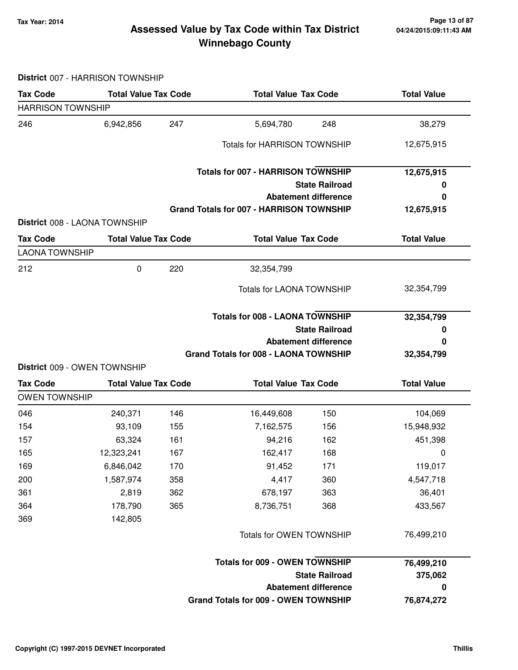#### **Tax Year: 2014 Page 13 of 87 Winnebago County Assessed Value by Tax Code within Tax District**

**District** 007 - HARRISON TOWNSHIP

| <b>Tax Code</b>                                                                          | <b>Total Value Tax Code</b>   |     | <b>Total Value Tax Code</b>                     |                             | <b>Total Value</b>   |  |  |
|------------------------------------------------------------------------------------------|-------------------------------|-----|-------------------------------------------------|-----------------------------|----------------------|--|--|
| <b>HARRISON TOWNSHIP</b>                                                                 |                               |     |                                                 |                             |                      |  |  |
| 246                                                                                      | 6,942,856                     | 247 | 5,694,780                                       | 248                         | 38,279               |  |  |
|                                                                                          |                               |     | <b>Totals for HARRISON TOWNSHIP</b>             |                             | 12,675,915           |  |  |
|                                                                                          |                               |     | <b>Totals for 007 - HARRISON TOWNSHIP</b>       |                             | 12,675,915           |  |  |
|                                                                                          |                               |     |                                                 | <b>State Railroad</b>       | 0                    |  |  |
|                                                                                          |                               |     |                                                 | <b>Abatement difference</b> | 0                    |  |  |
|                                                                                          | District 008 - LAONA TOWNSHIP |     | <b>Grand Totals for 007 - HARRISON TOWNSHIP</b> |                             | 12,675,915           |  |  |
| <b>Tax Code</b>                                                                          | <b>Total Value Tax Code</b>   |     | <b>Total Value Tax Code</b>                     |                             | <b>Total Value</b>   |  |  |
| <b>LAONA TOWNSHIP</b>                                                                    |                               |     |                                                 |                             |                      |  |  |
| 212                                                                                      | $\pmb{0}$                     | 220 | 32,354,799                                      |                             |                      |  |  |
|                                                                                          |                               |     | <b>Totals for LAONA TOWNSHIP</b>                |                             | 32,354,799           |  |  |
|                                                                                          |                               |     | <b>Totals for 008 - LAONA TOWNSHIP</b>          |                             | 32,354,799           |  |  |
|                                                                                          |                               |     |                                                 |                             |                      |  |  |
|                                                                                          |                               |     |                                                 | <b>State Railroad</b>       | 0                    |  |  |
|                                                                                          |                               |     |                                                 | <b>Abatement difference</b> | 0                    |  |  |
|                                                                                          |                               |     | <b>Grand Totals for 008 - LAONA TOWNSHIP</b>    |                             | 32,354,799           |  |  |
|                                                                                          | District 009 - OWEN TOWNSHIP  |     |                                                 |                             |                      |  |  |
|                                                                                          | <b>Total Value Tax Code</b>   |     | <b>Total Value Tax Code</b>                     |                             | <b>Total Value</b>   |  |  |
|                                                                                          |                               | 146 |                                                 | 150                         |                      |  |  |
|                                                                                          | 240,371<br>93,109             | 155 | 16,449,608                                      | 156                         | 104,069              |  |  |
|                                                                                          | 63,324                        | 161 | 7,162,575<br>94,216                             | 162                         | 15,948,932           |  |  |
|                                                                                          | 12,323,241                    | 167 | 162,417                                         | 168                         | 451,398<br>0         |  |  |
|                                                                                          | 6,846,042                     | 170 |                                                 | 171                         |                      |  |  |
|                                                                                          | 1,587,974                     | 358 | 91,452<br>4,417                                 | 360                         | 119,017<br>4,547,718 |  |  |
| <b>Tax Code</b><br><b>OWEN TOWNSHIP</b><br>046<br>154<br>157<br>165<br>169<br>200<br>361 | 2,819                         | 362 | 678,197                                         | 363                         | 36,401               |  |  |
| 364                                                                                      |                               | 365 | 8,736,751                                       | 368                         |                      |  |  |
|                                                                                          | 178,790                       |     |                                                 |                             | 433,567              |  |  |
| 369                                                                                      | 142,805                       |     | Totals for OWEN TOWNSHIP                        |                             | 76,499,210           |  |  |
|                                                                                          |                               |     | <b>Totals for 009 - OWEN TOWNSHIP</b>           |                             | 76,499,210           |  |  |
|                                                                                          |                               |     |                                                 | <b>State Railroad</b>       | 375,062              |  |  |
|                                                                                          |                               |     |                                                 | <b>Abatement difference</b> | $\pmb{0}$            |  |  |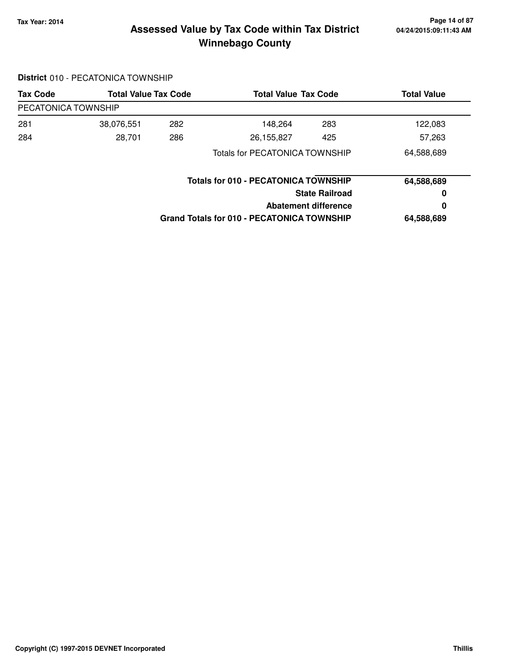#### **Tax Year: 2014 Page 14 of 87 Winnebago County Assessed Value by Tax Code within Tax District**

### **District** 010 - PECATONICA TOWNSHIP

| <b>Tax Code</b>     | <b>Total Value Tax Code</b> |     | <b>Total Value Tax Code</b>                 |     | <b>Total Value</b> |
|---------------------|-----------------------------|-----|---------------------------------------------|-----|--------------------|
| PECATONICA TOWNSHIP |                             |     |                                             |     |                    |
| 281                 | 38,076,551                  | 282 | 148,264                                     | 283 | 122,083            |
| 284                 | 28,701                      | 286 | 26,155,827                                  | 425 | 57,263             |
|                     |                             |     | <b>Totals for PECATONICA TOWNSHIP</b>       |     | 64,588,689         |
|                     |                             |     | <b>Totals for 010 - PECATONICA TOWNSHIP</b> |     | 64,588,689         |
|                     |                             |     | <b>State Railroad</b>                       |     | 0                  |
|                     |                             |     | <b>Abatement difference</b>                 |     | 0                  |
|                     |                             |     | Grand Totals for 010 - PECATONICA TOWNSHIP  |     | 64,588,689         |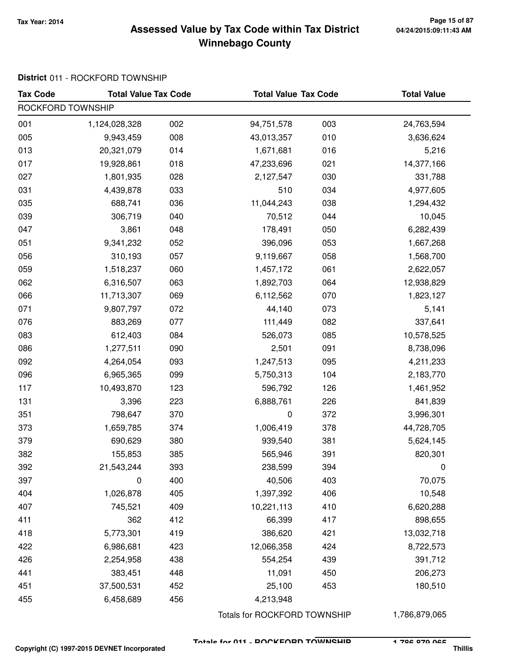#### **Tax Year: 2014 Page 15 of 87 Winnebago County Assessed Value by Tax Code within Tax District**

## **District** 011 - ROCKFORD TOWNSHIP

| <b>Tax Code</b>   | <b>Total Value Tax Code</b> |     | <b>Total Value Tax Code</b> |     | <b>Total Value</b> |
|-------------------|-----------------------------|-----|-----------------------------|-----|--------------------|
| ROCKFORD TOWNSHIP |                             |     |                             |     |                    |
| 001               | 1,124,028,328               | 002 | 94,751,578                  | 003 | 24,763,594         |
| 005               | 9,943,459                   | 008 | 43,013,357                  | 010 | 3,636,624          |
| 013               | 20,321,079                  | 014 | 1,671,681                   | 016 | 5,216              |
| 017               | 19,928,861                  | 018 | 47,233,696                  | 021 | 14,377,166         |
| 027               | 1,801,935                   | 028 | 2,127,547                   | 030 | 331,788            |
| 031               | 4,439,878                   | 033 | 510                         | 034 | 4,977,605          |
| 035               | 688,741                     | 036 | 11,044,243                  | 038 | 1,294,432          |
| 039               | 306,719                     | 040 | 70,512                      | 044 | 10,045             |
| 047               | 3,861                       | 048 | 178,491                     | 050 | 6,282,439          |
| 051               | 9,341,232                   | 052 | 396,096                     | 053 | 1,667,268          |
| 056               | 310,193                     | 057 | 9,119,667                   | 058 | 1,568,700          |
| 059               | 1,518,237                   | 060 | 1,457,172                   | 061 | 2,622,057          |
| 062               | 6,316,507                   | 063 | 1,892,703                   | 064 | 12,938,829         |
| 066               | 11,713,307                  | 069 | 6,112,562                   | 070 | 1,823,127          |
| 071               | 9,807,797                   | 072 | 44,140                      | 073 | 5,141              |
| 076               | 883,269                     | 077 | 111,449                     | 082 | 337,641            |
| 083               | 612,403                     | 084 | 526,073                     | 085 | 10,578,525         |
| 086               | 1,277,511                   | 090 | 2,501                       | 091 | 8,738,096          |
| 092               | 4,264,054                   | 093 | 1,247,513                   | 095 | 4,211,233          |
| 096               | 6,965,365                   | 099 | 5,750,313                   | 104 | 2,183,770          |
| 117               | 10,493,870                  | 123 | 596,792                     | 126 | 1,461,952          |
| 131               | 3,396                       | 223 | 6,888,761                   | 226 | 841,839            |
| 351               | 798,647                     | 370 | $\pmb{0}$                   | 372 | 3,996,301          |
| 373               | 1,659,785                   | 374 | 1,006,419                   | 378 | 44,728,705         |
| 379               | 690,629                     | 380 | 939,540                     | 381 | 5,624,145          |
| 382               | 155,853                     | 385 | 565,946                     | 391 | 820,301            |
| 392               | 21,543,244                  | 393 | 238,599                     | 394 | 0                  |
| 397               | 0                           | 400 | 40,506                      | 403 | 70,075             |
| 404               | 1,026,878                   | 405 | 1,397,392                   | 406 | 10,548             |
| 407               | 745,521                     | 409 | 10,221,113                  | 410 | 6,620,288          |
| 411               | 362                         | 412 | 66,399                      | 417 | 898,655            |
| 418               | 5,773,301                   | 419 | 386,620                     | 421 | 13,032,718         |
| 422               | 6,986,681                   | 423 | 12,066,358                  | 424 | 8,722,573          |
| 426               | 2,254,958                   | 438 | 554,254                     | 439 | 391,712            |
| 441               | 383,451                     | 448 | 11,091                      | 450 | 206,273            |
| 451               | 37,500,531                  | 452 | 25,100                      | 453 | 180,510            |
| 455               | 6,458,689                   | 456 | 4,213,948                   |     |                    |

Totals for ROCKFORD TOWNSHIP 1,786,879,065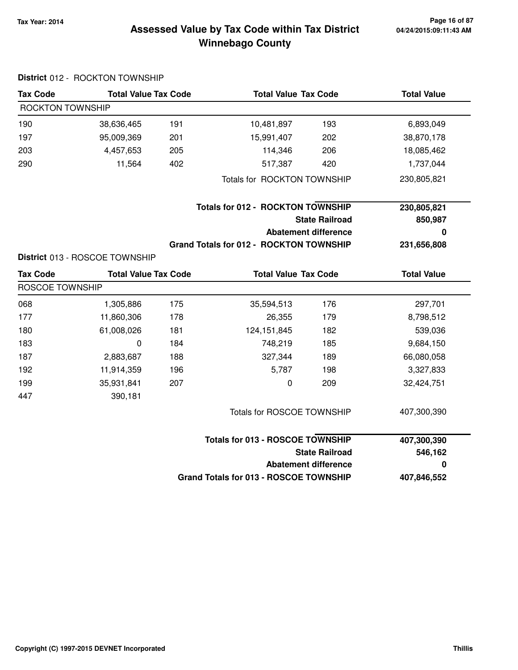#### **Tax Year: 2014 Page 16 of 87 Winnebago County Assessed Value by Tax Code within Tax District**

# **District** 012 - ROCKTON TOWNSHIP **Tax Code Total Value Tax Code Total Value Tax Code Total Value** ROCKTON TOWNSHIP 190 38,636,465 10,481,897 191 193 6,893,049 197 95,009,369 15,991,407 201 202 38,870,178 203 4,457,653 114,346 205 206 18,085,462 290 11,564 517,387 402 420 1,737,044 Totals for ROCKTON TOWNSHIP 230,805,821 **State Railroad Totals for 012 - ROCKTON TOWNSHIP Abatement difference Grand Totals for 012 - ROCKTON TOWNSHIP 230,805,821 850,987 0 231,656,808 District** 013 - ROSCOE TOWNSHIP **Tax Code Total Value Tax Code Total Value Tax Code Total Value** ROSCOE TOWNSHIP 068 1,305,886 35,594,513 175 176 297,701 177 11,860,306 26,355 178 179 8,798,512 180 61,008,026 124,151,845 181 182 539,036 183 0 748,219 184 185 9,684,150 187 2,883,687 327,344 188 189 66,080,058 192 11,914,359 5,787 196 198 3,327,833 199 35,931,841 207 0 209 32,424,751 447 390,181 Totals for ROSCOE TOWNSHIP 407,300,390 **State Railroad Totals for 013 - ROSCOE TOWNSHIP Abatement difference Grand Totals for 013 - ROSCOE TOWNSHIP 407,300,390 546,162 0 407,846,552**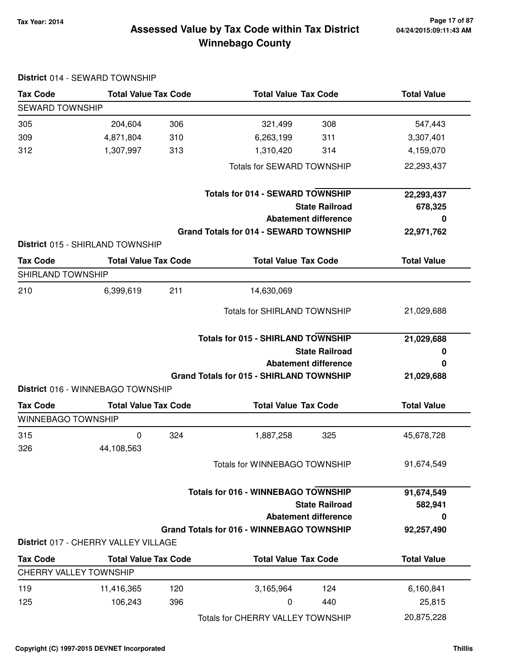#### **Tax Year: 2014 Page 17 of 87 Winnebago County Assessed Value by Tax Code within Tax District**

| <b>Tax Code</b>               | <b>Total Value Tax Code</b>          |     | <b>Total Value Tax Code</b>                     | <b>Total Value</b> |
|-------------------------------|--------------------------------------|-----|-------------------------------------------------|--------------------|
| <b>SEWARD TOWNSHIP</b>        |                                      |     |                                                 |                    |
| 305                           | 204,604                              | 306 | 321,499<br>308                                  | 547,443            |
| 309                           | 4,871,804                            | 310 | 6,263,199<br>311                                | 3,307,401          |
| 312                           | 1,307,997                            | 313 | 1,310,420<br>314                                | 4,159,070          |
|                               |                                      |     | <b>Totals for SEWARD TOWNSHIP</b>               | 22,293,437         |
|                               |                                      |     | <b>Totals for 014 - SEWARD TOWNSHIP</b>         | 22,293,437         |
|                               |                                      |     | <b>State Railroad</b>                           | 678,325            |
|                               |                                      |     | <b>Abatement difference</b>                     | 0                  |
|                               |                                      |     | <b>Grand Totals for 014 - SEWARD TOWNSHIP</b>   | 22,971,762         |
|                               | District 015 - SHIRLAND TOWNSHIP     |     |                                                 |                    |
| <b>Tax Code</b>               | <b>Total Value Tax Code</b>          |     | <b>Total Value Tax Code</b>                     | <b>Total Value</b> |
| <b>SHIRLAND TOWNSHIP</b>      |                                      |     |                                                 |                    |
| 210                           | 6,399,619                            | 211 | 14,630,069                                      |                    |
|                               |                                      |     | <b>Totals for SHIRLAND TOWNSHIP</b>             | 21,029,688         |
|                               |                                      |     | <b>Totals for 015 - SHIRLAND TOWNSHIP</b>       | 21,029,688         |
|                               |                                      |     | <b>State Railroad</b>                           | 0                  |
|                               |                                      |     | <b>Abatement difference</b>                     | 0                  |
|                               |                                      |     | <b>Grand Totals for 015 - SHIRLAND TOWNSHIP</b> | 21,029,688         |
|                               | District 016 - WINNEBAGO TOWNSHIP    |     |                                                 |                    |
| <b>Tax Code</b>               | <b>Total Value Tax Code</b>          |     | <b>Total Value Tax Code</b>                     | <b>Total Value</b> |
| <b>WINNEBAGO TOWNSHIP</b>     |                                      |     |                                                 |                    |
| 315                           | 0                                    | 324 | 1,887,258<br>325                                | 45,678,728         |
| 326                           | 44,108,563                           |     |                                                 |                    |
|                               |                                      |     | Totals for WINNEBAGO TOWNSHIP                   | 91,674,549         |
|                               |                                      |     | <b>Totals for 016 - WINNEBAGO TOWNSHIP</b>      | 91,674,549         |
|                               |                                      |     | <b>State Railroad</b>                           | 582,941            |
|                               |                                      |     | <b>Abatement difference</b>                     | 0                  |
|                               |                                      |     | Grand Totals for 016 - WINNEBAGO TOWNSHIP       | 92,257,490         |
|                               | District 017 - CHERRY VALLEY VILLAGE |     |                                                 |                    |
| <b>Tax Code</b>               | <b>Total Value Tax Code</b>          |     | <b>Total Value Tax Code</b>                     | <b>Total Value</b> |
| <b>CHERRY VALLEY TOWNSHIP</b> |                                      |     |                                                 |                    |
| 119                           | 11,416,365                           | 120 | 124<br>3,165,964                                | 6,160,841          |
| 125                           | 106,243                              | 396 | 440<br>0                                        | 25,815             |
|                               |                                      |     | Totals for CHERRY VALLEY TOWNSHIP               | 20,875,228         |

#### **District** 014 - SEWARD TOWNSHIP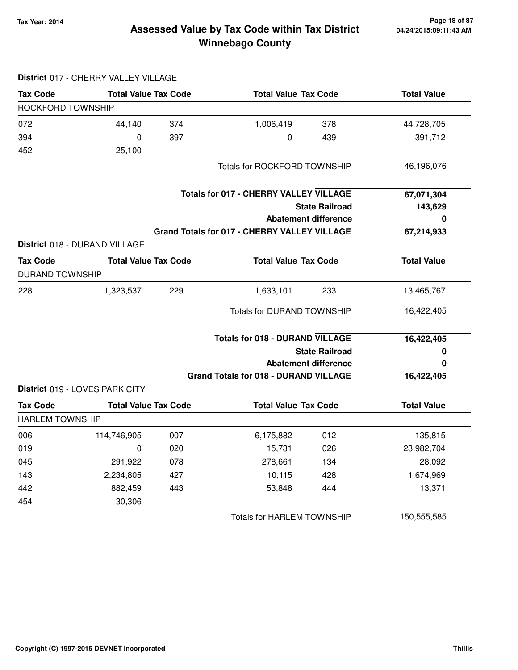#### **Tax Year: 2014 Page 18 of 87 Winnebago County Assessed Value by Tax Code within Tax District**

| <b>Tax Code</b>        | <b>Total Value Tax Code</b>    |     | <b>Total Value Tax Code</b>                   |                             | <b>Total Value</b> |  |
|------------------------|--------------------------------|-----|-----------------------------------------------|-----------------------------|--------------------|--|
| ROCKFORD TOWNSHIP      |                                |     |                                               |                             |                    |  |
| 072                    | 44,140                         | 374 | 1,006,419                                     | 378                         | 44,728,705         |  |
| 394                    | 0                              | 397 | 0                                             | 439                         | 391,712            |  |
| 452                    | 25,100                         |     |                                               |                             |                    |  |
|                        |                                |     | <b>Totals for ROCKFORD TOWNSHIP</b>           |                             | 46,196,076         |  |
|                        |                                |     | <b>Totals for 017 - CHERRY VALLEY VILLAGE</b> |                             | 67,071,304         |  |
|                        |                                |     |                                               | <b>State Railroad</b>       | 143,629            |  |
|                        |                                |     |                                               | <b>Abatement difference</b> | 0                  |  |
|                        |                                |     | Grand Totals for 017 - CHERRY VALLEY VILLAGE  |                             | 67,214,933         |  |
|                        | District 018 - DURAND VILLAGE  |     |                                               |                             |                    |  |
| <b>Tax Code</b>        | <b>Total Value Tax Code</b>    |     | <b>Total Value Tax Code</b>                   |                             | <b>Total Value</b> |  |
| <b>DURAND TOWNSHIP</b> |                                |     |                                               |                             |                    |  |
| 228                    | 1,323,537                      | 229 | 1,633,101                                     | 233                         | 13,465,767         |  |
|                        |                                |     | <b>Totals for DURAND TOWNSHIP</b>             |                             | 16,422,405         |  |
|                        |                                |     | <b>Totals for 018 - DURAND VILLAGE</b>        |                             | 16,422,405         |  |
|                        |                                |     |                                               | <b>State Railroad</b>       | 0                  |  |
|                        |                                |     |                                               | <b>Abatement difference</b> | 0                  |  |
|                        |                                |     | <b>Grand Totals for 018 - DURAND VILLAGE</b>  |                             | 16,422,405         |  |
|                        | District 019 - LOVES PARK CITY |     |                                               |                             |                    |  |
| <b>Tax Code</b>        | <b>Total Value Tax Code</b>    |     | <b>Total Value Tax Code</b>                   |                             | <b>Total Value</b> |  |
| <b>HARLEM TOWNSHIP</b> |                                |     |                                               |                             |                    |  |
| 006                    | 114,746,905                    | 007 | 6,175,882                                     | 012                         | 135,815            |  |
| 019                    | $\mathbf 0$                    | 020 | 15,731                                        | 026                         | 23,982,704         |  |
| 045                    | 291,922                        | 078 | 278,661                                       | 134                         | 28,092             |  |
| 143                    | 2,234,805                      | 427 | 10,115                                        | 428                         | 1,674,969          |  |
| 442                    | 882,459                        | 443 | 53,848                                        | 444                         | 13,371             |  |
| 454                    | 30,306                         |     |                                               |                             |                    |  |
|                        |                                |     | <b>Totals for HARLEM TOWNSHIP</b>             |                             | 150,555,585        |  |

#### **District** 017 - CHERRY VALLEY VILLAGE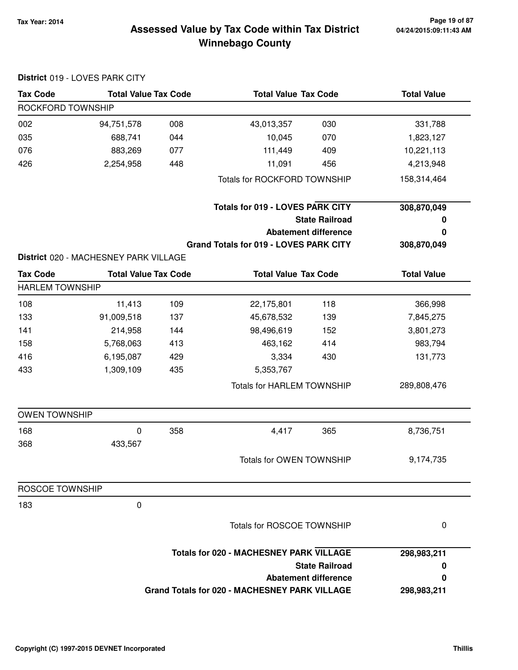# **04/24/2015:09:11:43 AM**

### **Tax Year: 2014 Page 19 of 87 Winnebago County Assessed Value by Tax Code within Tax District**

|                        | District 019 - LOVES PARK CITY        |     |                                                |                             |                    |
|------------------------|---------------------------------------|-----|------------------------------------------------|-----------------------------|--------------------|
| <b>Tax Code</b>        | <b>Total Value Tax Code</b>           |     | <b>Total Value Tax Code</b>                    |                             | <b>Total Value</b> |
| ROCKFORD TOWNSHIP      |                                       |     |                                                |                             |                    |
| 002                    | 94,751,578                            | 008 | 43,013,357                                     | 030                         | 331,788            |
| 035                    | 688,741                               | 044 | 10,045                                         | 070                         | 1,823,127          |
| 076                    | 883,269                               | 077 | 111,449                                        | 409                         | 10,221,113         |
| 426                    | 2,254,958                             | 448 | 11,091                                         | 456                         | 4,213,948          |
|                        |                                       |     | <b>Totals for ROCKFORD TOWNSHIP</b>            |                             | 158,314,464        |
|                        |                                       |     | <b>Totals for 019 - LOVES PARK CITY</b>        |                             | 308,870,049        |
|                        |                                       |     |                                                | <b>State Railroad</b>       | 0                  |
|                        |                                       |     |                                                | <b>Abatement difference</b> | 0                  |
|                        |                                       |     | Grand Totals for 019 - LOVES PARK CITY         |                             | 308,870,049        |
|                        | District 020 - MACHESNEY PARK VILLAGE |     |                                                |                             |                    |
| <b>Tax Code</b>        | <b>Total Value Tax Code</b>           |     | <b>Total Value Tax Code</b>                    |                             | <b>Total Value</b> |
| <b>HARLEM TOWNSHIP</b> |                                       |     |                                                |                             |                    |
| 108                    | 11,413                                | 109 | 22,175,801                                     | 118                         | 366,998            |
| 133                    | 91,009,518                            | 137 | 45,678,532                                     | 139                         | 7,845,275          |
| 141                    | 214,958                               | 144 | 98,496,619                                     | 152                         | 3,801,273          |
| 158                    | 5,768,063                             | 413 | 463,162                                        | 414                         | 983,794            |
| 416                    | 6,195,087                             | 429 | 3,334                                          | 430                         | 131,773            |
| 433                    | 1,309,109                             | 435 | 5,353,767                                      |                             |                    |
|                        |                                       |     | <b>Totals for HARLEM TOWNSHIP</b>              |                             | 289,808,476        |
| <b>OWEN TOWNSHIP</b>   |                                       |     |                                                |                             |                    |
| 168                    | 0                                     | 358 | 4,417                                          | 365                         | 8,736,751          |
| 368                    | 433,567                               |     |                                                |                             |                    |
|                        |                                       |     | Totals for OWEN TOWNSHIP                       |                             | 9,174,735          |
| ROSCOE TOWNSHIP        |                                       |     |                                                |                             |                    |
| 183                    | 0                                     |     |                                                |                             |                    |
|                        |                                       |     | Totals for ROSCOE TOWNSHIP                     |                             | 0                  |
|                        |                                       |     | <b>Totals for 020 - MACHESNEY PARK VILLAGE</b> |                             | 298,983,211        |
|                        |                                       |     |                                                | <b>State Railroad</b>       | 0                  |
|                        |                                       |     |                                                | <b>Abatement difference</b> | 0                  |
|                        |                                       |     | Grand Totals for 020 - MACHESNEY PARK VILLAGE  |                             | 298,983,211        |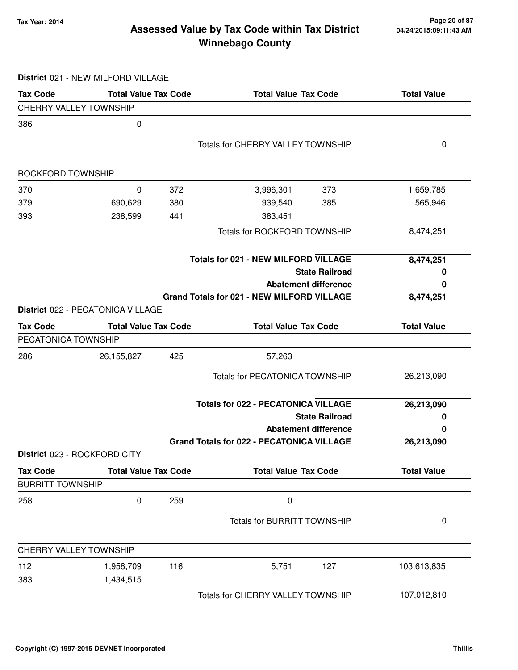#### **Tax Year: 2014 Page 20 of 87 Winnebago County Assessed Value by Tax Code within Tax District**

**District** 021 - NEW MILFORD VILLAGE

| <b>Tax Code</b>               | <b>Total Value Tax Code</b>       |     | <b>Total Value Tax Code</b>                       |                       | <b>Total Value</b> |
|-------------------------------|-----------------------------------|-----|---------------------------------------------------|-----------------------|--------------------|
| <b>CHERRY VALLEY TOWNSHIP</b> |                                   |     |                                                   |                       |                    |
| 386                           | $\pmb{0}$                         |     |                                                   |                       |                    |
|                               |                                   |     | <b>Totals for CHERRY VALLEY TOWNSHIP</b>          |                       | 0                  |
|                               |                                   |     |                                                   |                       |                    |
| ROCKFORD TOWNSHIP             |                                   |     |                                                   |                       |                    |
| 370                           | 0                                 | 372 | 3,996,301                                         | 373                   | 1,659,785          |
| 379                           | 690,629                           | 380 | 939,540                                           | 385                   | 565,946            |
| 393                           | 238,599                           | 441 | 383,451                                           |                       |                    |
|                               |                                   |     | <b>Totals for ROCKFORD TOWNSHIP</b>               |                       | 8,474,251          |
|                               |                                   |     | <b>Totals for 021 - NEW MILFORD VILLAGE</b>       |                       | 8,474,251          |
|                               |                                   |     |                                                   | <b>State Railroad</b> | 0                  |
|                               |                                   |     | <b>Abatement difference</b>                       |                       | 0                  |
|                               |                                   |     | <b>Grand Totals for 021 - NEW MILFORD VILLAGE</b> |                       | 8,474,251          |
|                               | District 022 - PECATONICA VILLAGE |     |                                                   |                       |                    |
| <b>Tax Code</b>               | <b>Total Value Tax Code</b>       |     | <b>Total Value Tax Code</b>                       |                       | <b>Total Value</b> |
| PECATONICA TOWNSHIP           |                                   |     |                                                   |                       |                    |
| 286                           | 26,155,827                        | 425 | 57,263                                            |                       |                    |
|                               |                                   |     | <b>Totals for PECATONICA TOWNSHIP</b>             |                       | 26,213,090         |
|                               |                                   |     | <b>Totals for 022 - PECATONICA VILLAGE</b>        |                       | 26,213,090         |
|                               |                                   |     |                                                   | <b>State Railroad</b> | 0                  |
|                               |                                   |     | <b>Abatement difference</b>                       |                       | 0                  |
|                               |                                   |     | <b>Grand Totals for 022 - PECATONICA VILLAGE</b>  |                       | 26,213,090         |
|                               | District 023 - ROCKFORD CITY      |     |                                                   |                       |                    |
| <b>Tax Code</b>               | <b>Total Value Tax Code</b>       |     | <b>Total Value Tax Code</b>                       |                       | <b>Total Value</b> |
| <b>BURRITT TOWNSHIP</b>       |                                   |     |                                                   |                       |                    |
| 258                           | $\pmb{0}$                         | 259 | $\pmb{0}$                                         |                       |                    |
|                               |                                   |     | <b>Totals for BURRITT TOWNSHIP</b>                |                       | 0                  |
| <b>CHERRY VALLEY TOWNSHIP</b> |                                   |     |                                                   |                       |                    |
| 112                           | 1,958,709                         | 116 | 5,751                                             | 127                   | 103,613,835        |
| 383                           | 1,434,515                         |     |                                                   |                       |                    |
|                               |                                   |     | Totals for CHERRY VALLEY TOWNSHIP                 |                       | 107,012,810        |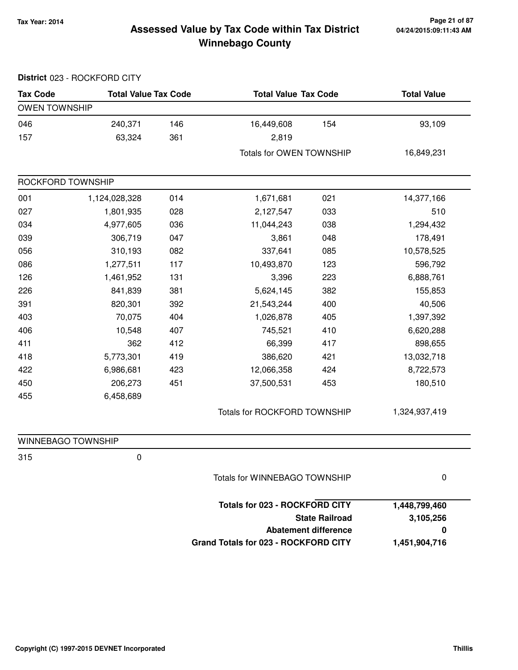#### **Tax Year: 2014 Page 21 of 87 Winnebago County Assessed Value by Tax Code within Tax District**

|                      | District 023 - ROCKFORD CITY |     |                                       |                             |                    |
|----------------------|------------------------------|-----|---------------------------------------|-----------------------------|--------------------|
| <b>Tax Code</b>      | <b>Total Value Tax Code</b>  |     | <b>Total Value Tax Code</b>           |                             | <b>Total Value</b> |
| <b>OWEN TOWNSHIP</b> |                              |     |                                       |                             |                    |
| 046                  | 240,371                      | 146 | 16,449,608                            | 154                         | 93,109             |
| 157                  | 63,324                       | 361 | 2,819                                 |                             |                    |
|                      |                              |     | Totals for OWEN TOWNSHIP              |                             | 16,849,231         |
| ROCKFORD TOWNSHIP    |                              |     |                                       |                             |                    |
| 001                  | 1,124,028,328                | 014 | 1,671,681                             | 021                         | 14,377,166         |
| 027                  | 1,801,935                    | 028 | 2,127,547                             | 033                         | 510                |
| 034                  | 4,977,605                    | 036 | 11,044,243                            | 038                         | 1,294,432          |
| 039                  | 306,719                      | 047 | 3,861                                 | 048                         | 178,491            |
| 056                  | 310,193                      | 082 | 337,641                               | 085                         | 10,578,525         |
| 086                  | 1,277,511                    | 117 | 10,493,870                            | 123                         | 596,792            |
| 126                  | 1,461,952                    | 131 | 3,396                                 | 223                         | 6,888,761          |
| 226                  | 841,839                      | 381 | 5,624,145                             | 382                         | 155,853            |
| 391                  | 820,301                      | 392 | 21,543,244                            | 400                         | 40,506             |
| 403                  | 70,075                       | 404 | 1,026,878                             | 405                         | 1,397,392          |
| 406                  | 10,548                       | 407 | 745,521                               | 410                         | 6,620,288          |
| 411                  | 362                          | 412 | 66,399                                | 417                         | 898,655            |
| 418                  | 5,773,301                    | 419 | 386,620                               | 421                         | 13,032,718         |
| 422                  | 6,986,681                    | 423 | 12,066,358                            | 424                         | 8,722,573          |
| 450                  | 206,273                      | 451 | 37,500,531                            | 453                         | 180,510            |
| 455                  | 6,458,689                    |     |                                       |                             |                    |
|                      |                              |     | Totals for ROCKFORD TOWNSHIP          |                             | 1,324,937,419      |
| WINNEBAGO TOWNSHIP   |                              |     |                                       |                             |                    |
| 315                  | 0                            |     |                                       |                             |                    |
|                      |                              |     | Totals for WINNEBAGO TOWNSHIP         |                             | 0                  |
|                      |                              |     | <b>Totals for 023 - ROCKFORD CITY</b> |                             | 1,448,799,460      |
|                      |                              |     |                                       | <b>State Railroad</b>       | 3,105,256          |
|                      |                              |     |                                       | <b>Abatement difference</b> | 0                  |
|                      |                              |     | Grand Totals for 023 - ROCKFORD CITY  |                             | 1,451,904,716      |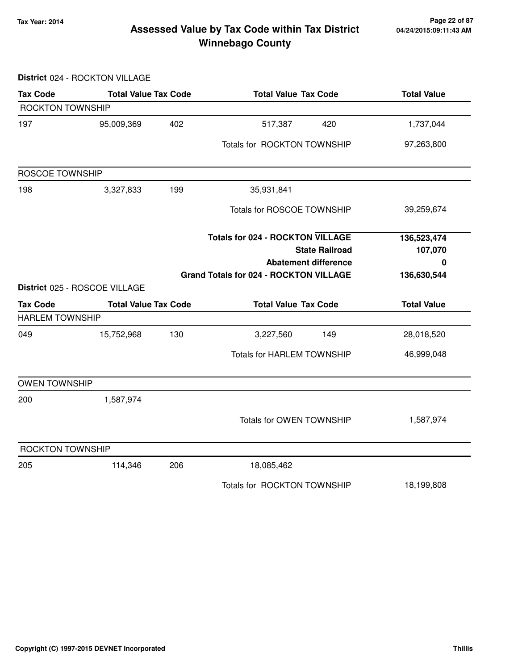#### **Tax Year: 2014 Page 22 of 87 Winnebago County Assessed Value by Tax Code within Tax District**

#### **District** 024 - ROCKTON VILLAGE

| <b>Tax Code</b>         | <b>Total Value Tax Code</b>   |     | <b>Total Value Tax Code</b>                   |                             | <b>Total Value</b>     |  |
|-------------------------|-------------------------------|-----|-----------------------------------------------|-----------------------------|------------------------|--|
| <b>ROCKTON TOWNSHIP</b> |                               |     |                                               |                             |                        |  |
| 197                     | 95,009,369                    | 402 | 517,387                                       | 420                         | 1,737,044              |  |
|                         |                               |     | Totals for ROCKTON TOWNSHIP                   |                             | 97,263,800             |  |
| <b>ROSCOE TOWNSHIP</b>  |                               |     |                                               |                             |                        |  |
| 198                     | 3,327,833                     | 199 | 35,931,841                                    |                             |                        |  |
|                         |                               |     | <b>Totals for ROSCOE TOWNSHIP</b>             |                             | 39,259,674             |  |
|                         |                               |     | <b>Totals for 024 - ROCKTON VILLAGE</b>       | <b>State Railroad</b>       | 136,523,474<br>107,070 |  |
|                         |                               |     |                                               | <b>Abatement difference</b> | 0                      |  |
|                         |                               |     | <b>Grand Totals for 024 - ROCKTON VILLAGE</b> |                             | 136,630,544            |  |
|                         | District 025 - ROSCOE VILLAGE |     |                                               |                             |                        |  |
| <b>Tax Code</b>         | <b>Total Value Tax Code</b>   |     | <b>Total Value Tax Code</b>                   |                             | <b>Total Value</b>     |  |
| <b>HARLEM TOWNSHIP</b>  |                               |     |                                               |                             |                        |  |
| 049                     | 15,752,968                    | 130 | 3,227,560                                     | 149                         | 28,018,520             |  |
|                         |                               |     | <b>Totals for HARLEM TOWNSHIP</b>             |                             | 46,999,048             |  |
| <b>OWEN TOWNSHIP</b>    |                               |     |                                               |                             |                        |  |
| 200                     | 1,587,974                     |     |                                               |                             |                        |  |
|                         |                               |     | <b>Totals for OWEN TOWNSHIP</b>               |                             | 1,587,974              |  |
| <b>ROCKTON TOWNSHIP</b> |                               |     |                                               |                             |                        |  |
| 205                     | 114,346                       | 206 | 18,085,462                                    |                             |                        |  |
|                         |                               |     | Totals for ROCKTON TOWNSHIP                   |                             | 18,199,808             |  |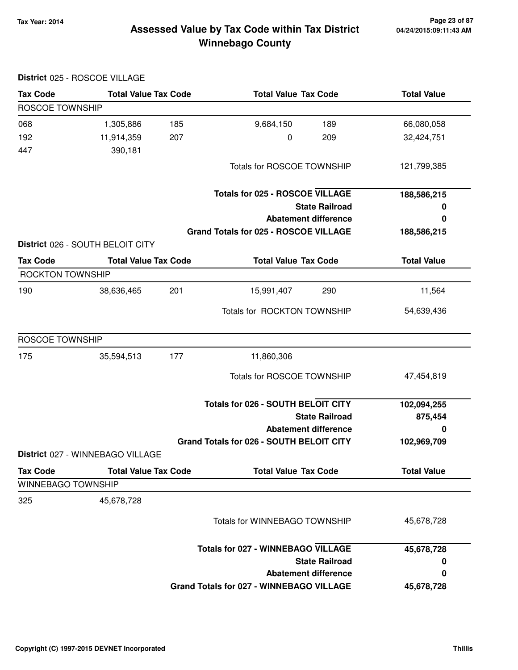**District** 025 - ROSCOE VILLAGE

#### **Tax Year: 2014 Page 23 of 87 Winnebago County Assessed Value by Tax Code within Tax District**

| <b>Tax Code</b>                       | <b>Total Value Tax Code</b>      | <b>Total Value Tax Code</b>                     | <b>Total Value</b> |
|---------------------------------------|----------------------------------|-------------------------------------------------|--------------------|
| ROSCOE TOWNSHIP                       |                                  |                                                 |                    |
| 068                                   | 1,305,886<br>185                 | 9,684,150<br>189                                | 66,080,058         |
| 192                                   | 11,914,359<br>207                | 0<br>209                                        | 32,424,751         |
| 447                                   | 390,181                          |                                                 |                    |
|                                       |                                  | Totals for ROSCOE TOWNSHIP                      | 121,799,385        |
|                                       |                                  | <b>Totals for 025 - ROSCOE VILLAGE</b>          | 188,586,215        |
|                                       |                                  | <b>State Railroad</b>                           | 0                  |
|                                       |                                  | <b>Abatement difference</b>                     | 0                  |
|                                       |                                  | Grand Totals for 025 - ROSCOE VILLAGE           | 188,586,215        |
|                                       | District 026 - SOUTH BELOIT CITY |                                                 |                    |
| <b>Tax Code</b>                       | <b>Total Value Tax Code</b>      | <b>Total Value Tax Code</b>                     | <b>Total Value</b> |
| <b>ROCKTON TOWNSHIP</b>               |                                  |                                                 |                    |
| 190                                   | 201<br>38,636,465                | 290<br>15,991,407                               | 11,564             |
|                                       |                                  | Totals for ROCKTON TOWNSHIP                     | 54,639,436         |
| ROSCOE TOWNSHIP                       |                                  |                                                 |                    |
| 175                                   | 35,594,513<br>177                | 11,860,306                                      |                    |
|                                       |                                  | <b>Totals for ROSCOE TOWNSHIP</b>               | 47,454,819         |
|                                       |                                  | <b>Totals for 026 - SOUTH BELOIT CITY</b>       | 102,094,255        |
|                                       |                                  | <b>State Railroad</b>                           | 875,454            |
|                                       |                                  | <b>Abatement difference</b>                     | 0                  |
|                                       |                                  | Grand Totals for 026 - SOUTH BELOIT CITY        | 102,969,709        |
|                                       | District 027 - WINNEBAGO VILLAGE |                                                 |                    |
| <b>Tax Code</b><br>WINNEBAGO TOWNSHIP | <b>Total Value Tax Code</b>      | <b>Total Value Tax Code</b>                     | <b>Total Value</b> |
|                                       |                                  |                                                 |                    |
| 325                                   | 45,678,728                       |                                                 |                    |
|                                       |                                  | <b>Totals for WINNEBAGO TOWNSHIP</b>            | 45,678,728         |
|                                       |                                  | <b>Totals for 027 - WINNEBAGO VILLAGE</b>       | 45,678,728         |
|                                       |                                  | <b>State Railroad</b>                           | 0                  |
|                                       |                                  | <b>Abatement difference</b>                     | 0                  |
|                                       |                                  | <b>Grand Totals for 027 - WINNEBAGO VILLAGE</b> | 45,678,728         |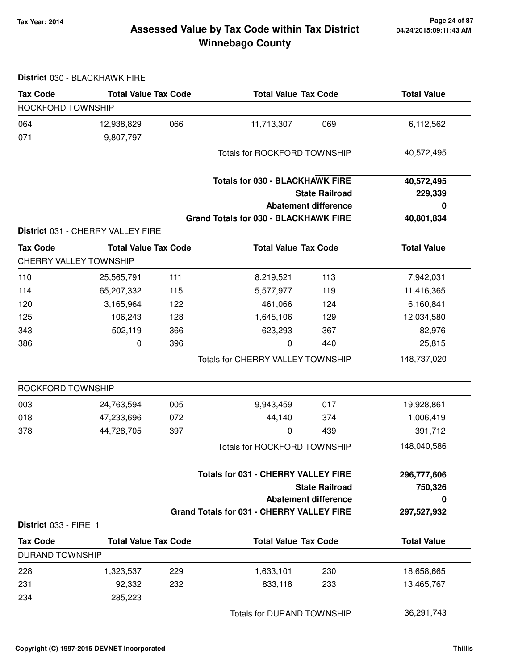#### **Tax Year: 2014 Page 24 of 87 Winnebago County Assessed Value by Tax Code within Tax District**

#### **District** 030 - BLACKHAWK FIRE

| <b>Tax Code</b>               | <b>Total Value Tax Code</b>       |     | <b>Total Value Tax Code</b>                      |                             | <b>Total Value</b> |
|-------------------------------|-----------------------------------|-----|--------------------------------------------------|-----------------------------|--------------------|
| ROCKFORD TOWNSHIP             |                                   |     |                                                  |                             |                    |
| 064                           | 12,938,829                        | 066 | 11,713,307                                       | 069                         | 6,112,562          |
| 071                           | 9,807,797                         |     |                                                  |                             |                    |
|                               |                                   |     | <b>Totals for ROCKFORD TOWNSHIP</b>              |                             | 40,572,495         |
|                               |                                   |     |                                                  |                             |                    |
|                               |                                   |     | <b>Totals for 030 - BLACKHAWK FIRE</b>           |                             | 40,572,495         |
|                               |                                   |     |                                                  | <b>State Railroad</b>       | 229,339            |
|                               |                                   |     |                                                  | <b>Abatement difference</b> | 0                  |
|                               |                                   |     | <b>Grand Totals for 030 - BLACKHAWK FIRE</b>     |                             | 40,801,834         |
|                               | District 031 - CHERRY VALLEY FIRE |     |                                                  |                             |                    |
| <b>Tax Code</b>               | <b>Total Value Tax Code</b>       |     | <b>Total Value Tax Code</b>                      |                             | <b>Total Value</b> |
| <b>CHERRY VALLEY TOWNSHIP</b> |                                   |     |                                                  |                             |                    |
| 110                           | 25,565,791                        | 111 | 8,219,521                                        | 113                         | 7,942,031          |
| 114                           | 65,207,332                        | 115 | 5,577,977                                        | 119                         | 11,416,365         |
| 120                           | 3,165,964                         | 122 | 461,066                                          | 124                         | 6,160,841          |
| 125                           | 106,243                           | 128 | 1,645,106                                        | 129                         | 12,034,580         |
| 343                           | 502,119                           | 366 | 623,293                                          | 367                         | 82,976             |
| 386                           | 0                                 | 396 | 0                                                | 440                         | 25,815             |
|                               |                                   |     | Totals for CHERRY VALLEY TOWNSHIP                |                             | 148,737,020        |
| ROCKFORD TOWNSHIP             |                                   |     |                                                  |                             |                    |
| 003                           | 24,763,594                        | 005 | 9,943,459                                        | 017                         | 19,928,861         |
| 018                           | 47,233,696                        | 072 | 44,140                                           | 374                         | 1,006,419          |
| 378                           | 44,728,705                        | 397 | 0                                                | 439                         | 391,712            |
|                               |                                   |     | <b>Totals for ROCKFORD TOWNSHIP</b>              |                             | 148,040,586        |
|                               |                                   |     | <b>Totals for 031 - CHERRY VALLEY FIRE</b>       |                             | 296,777,606        |
|                               |                                   |     |                                                  | <b>State Railroad</b>       | 750,326            |
|                               |                                   |     |                                                  | <b>Abatement difference</b> | 0                  |
| District 033 - FIRE 1         |                                   |     | <b>Grand Totals for 031 - CHERRY VALLEY FIRE</b> |                             | 297,527,932        |
| <b>Tax Code</b>               | <b>Total Value Tax Code</b>       |     | <b>Total Value Tax Code</b>                      |                             | <b>Total Value</b> |
| <b>DURAND TOWNSHIP</b>        |                                   |     |                                                  |                             |                    |
| 228                           | 1,323,537                         | 229 | 1,633,101                                        | 230                         | 18,658,665         |
| 231                           | 92,332                            | 232 | 833,118                                          | 233                         | 13,465,767         |
| 234                           | 285,223                           |     |                                                  |                             |                    |
|                               |                                   |     | <b>Totals for DURAND TOWNSHIP</b>                |                             | 36,291,743         |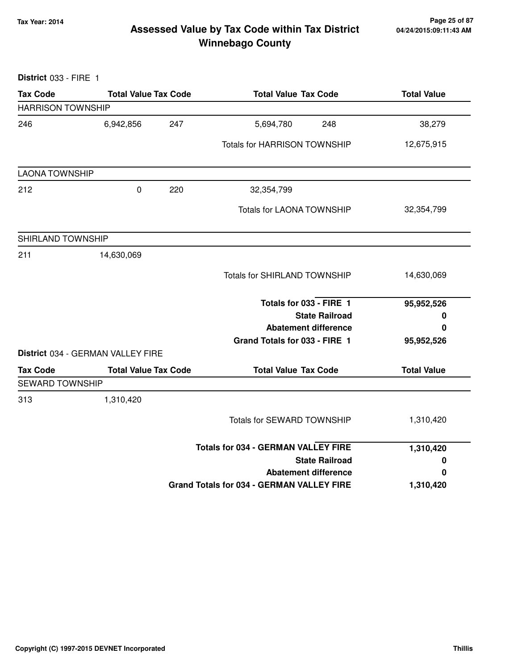#### **Tax Year: 2014 Page 25 of 87 Winnebago County Assessed Value by Tax Code within Tax District**

**District** 033 - FIRE 1 **Tax Code Total Value Tax Code Total Value Tax Code Total Value** HARRISON TOWNSHIP 246 6,942,856 5,694,780 247 248 38,279 Totals for HARRISON TOWNSHIP 12,675,915 LAONA TOWNSHIP 212 0 32,354,799 220 Totals for LAONA TOWNSHIP 32,354,799 SHIRLAND TOWNSHIP 211 14,630,069 Totals for SHIRLAND TOWNSHIP 14,630,069 **State Railroad Totals for 033 - FIRE 1 Abatement difference Grand Totals for 033 - FIRE 1 95,952,526 0 0 95,952,526 District** 034 - GERMAN VALLEY FIRE Tax Code **Total Value Tax Code** Total Value Tax Code Total Value SEWARD TOWNSHIP 313 1,310,420 Totals for SEWARD TOWNSHIP 1,310,420 **State Railroad Totals for 034 - GERMAN VALLEY FIRE Abatement difference Grand Totals for 034 - GERMAN VALLEY FIRE 1,310,420 0 0 1,310,420**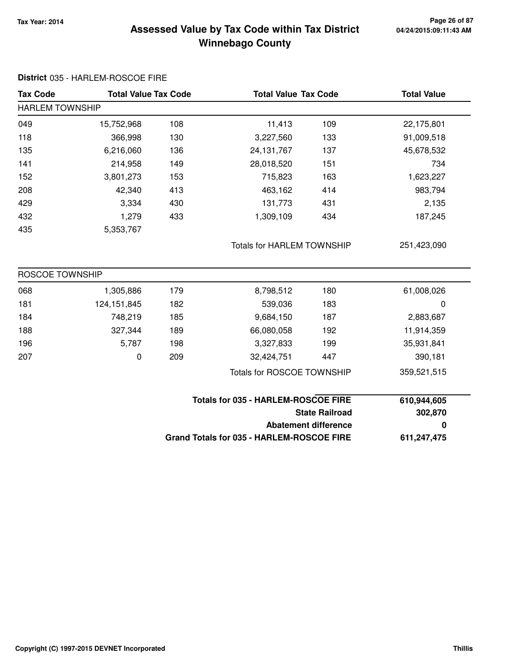**District** 035 - HARLEM-ROSCOE FIRE

#### **Tax Year: 2014 Page 26 of 87 Winnebago County Assessed Value by Tax Code within Tax District**

| <b>Tax Code</b>        | <b>Total Value Tax Code</b> |     | <b>Total Value Tax Code</b>                |                             | <b>Total Value</b> |  |
|------------------------|-----------------------------|-----|--------------------------------------------|-----------------------------|--------------------|--|
| <b>HARLEM TOWNSHIP</b> |                             |     |                                            |                             |                    |  |
| 049                    | 15,752,968                  | 108 | 11,413                                     | 109                         | 22,175,801         |  |
| 118                    | 366,998                     | 130 | 3,227,560                                  | 133                         | 91,009,518         |  |
| 135                    | 6,216,060                   | 136 | 24, 131, 767                               | 137                         | 45,678,532         |  |
| 141                    | 214,958                     | 149 | 28,018,520                                 | 151                         | 734                |  |
| 152                    | 3,801,273                   | 153 | 715,823                                    | 163                         | 1,623,227          |  |
| 208                    | 42,340                      | 413 | 463,162                                    | 414                         | 983,794            |  |
| 429                    | 3,334                       | 430 | 131,773                                    | 431                         | 2,135              |  |
| 432                    | 1,279                       | 433 | 1,309,109                                  | 434                         | 187,245            |  |
| 435                    | 5,353,767                   |     |                                            |                             |                    |  |
|                        |                             |     | <b>Totals for HARLEM TOWNSHIP</b>          |                             | 251,423,090        |  |
| <b>ROSCOE TOWNSHIP</b> |                             |     |                                            |                             |                    |  |
| 068                    | 1,305,886                   | 179 | 8,798,512                                  | 180                         | 61,008,026         |  |
| 181                    | 124, 151, 845               | 182 | 539,036                                    | 183                         | 0                  |  |
| 184                    | 748,219                     | 185 | 9,684,150                                  | 187                         | 2,883,687          |  |
| 188                    | 327,344                     | 189 | 66,080,058                                 | 192                         | 11,914,359         |  |
| 196                    | 5,787                       | 198 | 3,327,833                                  | 199                         | 35,931,841         |  |
| 207                    | 0                           | 209 | 32,424,751                                 | 447                         | 390,181            |  |
|                        |                             |     | <b>Totals for ROSCOE TOWNSHIP</b>          |                             | 359,521,515        |  |
|                        |                             |     | <b>Totals for 035 - HARLEM-ROSCOE FIRE</b> |                             | 610,944,605        |  |
|                        |                             |     |                                            | <b>State Railroad</b>       |                    |  |
|                        |                             |     |                                            | <b>Abatement difference</b> |                    |  |
|                        |                             |     | Grand Totals for 035 - HARLEM-ROSCOE FIRE  |                             | 611,247,475        |  |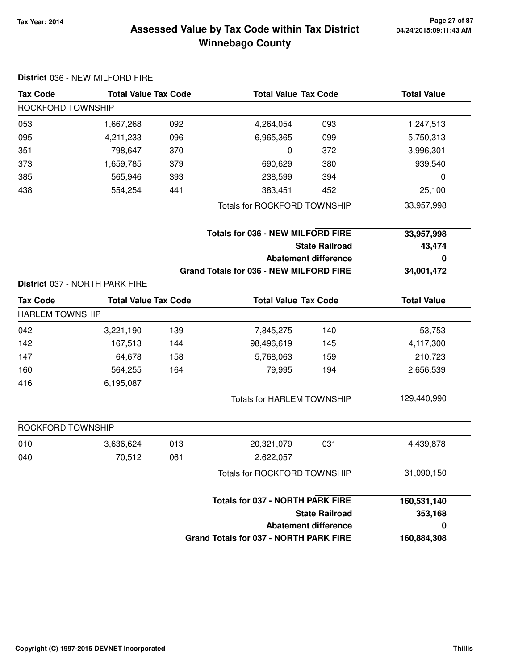#### **Tax Year: 2014 Page 27 of 87 Winnebago County Assessed Value by Tax Code within Tax District**

|                        | District 036 - NEW MILFORD FIRE |     |                                               |                             |                    |
|------------------------|---------------------------------|-----|-----------------------------------------------|-----------------------------|--------------------|
| <b>Tax Code</b>        | <b>Total Value Tax Code</b>     |     | <b>Total Value Tax Code</b>                   |                             | <b>Total Value</b> |
| ROCKFORD TOWNSHIP      |                                 |     |                                               |                             |                    |
| 053                    | 1,667,268                       | 092 | 4,264,054                                     | 093                         | 1,247,513          |
| 095                    | 4,211,233                       | 096 | 6,965,365                                     | 099                         | 5,750,313          |
| 351                    | 798,647                         | 370 | 0                                             | 372                         | 3,996,301          |
| 373                    | 1,659,785                       | 379 | 690,629                                       | 380                         | 939,540            |
| 385                    | 565,946                         | 393 | 238,599                                       | 394                         | 0                  |
| 438                    | 554,254                         | 441 | 383,451                                       | 452                         | 25,100             |
|                        |                                 |     | <b>Totals for ROCKFORD TOWNSHIP</b>           |                             | 33,957,998         |
|                        |                                 |     | <b>Totals for 036 - NEW MILFORD FIRE</b>      |                             | 33,957,998         |
|                        |                                 |     |                                               | <b>State Railroad</b>       | 43,474             |
|                        |                                 |     |                                               | <b>Abatement difference</b> | 0                  |
|                        |                                 |     | Grand Totals for 036 - NEW MILFORD FIRE       |                             | 34,001,472         |
|                        | District 037 - NORTH PARK FIRE  |     |                                               |                             |                    |
| <b>Tax Code</b>        | <b>Total Value Tax Code</b>     |     | <b>Total Value Tax Code</b>                   |                             | <b>Total Value</b> |
| <b>HARLEM TOWNSHIP</b> |                                 |     |                                               |                             |                    |
| 042                    | 3,221,190                       | 139 | 7,845,275                                     | 140                         | 53,753             |
| 142                    | 167,513                         | 144 | 98,496,619                                    | 145                         | 4,117,300          |
| 147                    | 64,678                          | 158 | 5,768,063                                     | 159                         | 210,723            |
| 160                    | 564,255                         | 164 | 79,995                                        | 194                         | 2,656,539          |
| 416                    | 6,195,087                       |     |                                               |                             |                    |
|                        |                                 |     | <b>Totals for HARLEM TOWNSHIP</b>             |                             | 129,440,990        |
| ROCKFORD TOWNSHIP      |                                 |     |                                               |                             |                    |
| 010                    | 3,636,624                       | 013 | 20,321,079                                    | 031                         | 4,439,878          |
| 040                    | 70,512                          | 061 | 2,622,057                                     |                             |                    |
|                        |                                 |     | <b>Totals for ROCKFORD TOWNSHIP</b>           |                             | 31,090,150         |
|                        |                                 |     | <b>Totals for 037 - NORTH PARK FIRE</b>       |                             | 160,531,140        |
|                        |                                 |     |                                               | <b>State Railroad</b>       | 353,168            |
|                        |                                 |     |                                               | <b>Abatement difference</b> | $\mathbf 0$        |
|                        |                                 |     | <b>Grand Totals for 037 - NORTH PARK FIRE</b> |                             | 160,884,308        |

**Copyright (C) 1997-2015 DEVNET Incorporated Thillis**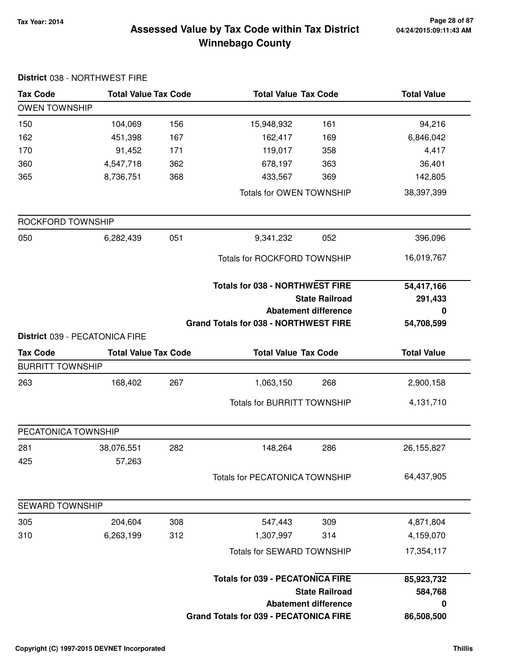#### **Tax Year: 2014 Page 28 of 87 Winnebago County Assessed Value by Tax Code within Tax District**

|                         | District 038 - NORTHWEST FIRE  |     |                                               |                             |                    |
|-------------------------|--------------------------------|-----|-----------------------------------------------|-----------------------------|--------------------|
| <b>Tax Code</b>         | <b>Total Value Tax Code</b>    |     | <b>Total Value Tax Code</b>                   |                             | <b>Total Value</b> |
| <b>OWEN TOWNSHIP</b>    |                                |     |                                               |                             |                    |
| 150                     | 104,069                        | 156 | 15,948,932                                    | 161                         | 94,216             |
| 162                     | 451,398                        | 167 | 162,417                                       | 169                         | 6,846,042          |
| 170                     | 91,452                         | 171 | 119,017                                       | 358                         | 4,417              |
| 360                     | 4,547,718                      | 362 | 678,197                                       | 363                         | 36,401             |
| 365                     | 8,736,751                      | 368 | 433,567                                       | 369                         | 142,805            |
|                         |                                |     | Totals for OWEN TOWNSHIP                      |                             | 38,397,399         |
| ROCKFORD TOWNSHIP       |                                |     |                                               |                             |                    |
| 050                     | 6,282,439                      | 051 | 9,341,232                                     | 052                         | 396,096            |
|                         |                                |     | Totals for ROCKFORD TOWNSHIP                  |                             | 16,019,767         |
|                         |                                |     | <b>Totals for 038 - NORTHWEST FIRE</b>        |                             | 54,417,166         |
|                         |                                |     |                                               | <b>State Railroad</b>       | 291,433            |
|                         |                                |     |                                               | <b>Abatement difference</b> | 0                  |
|                         |                                |     | <b>Grand Totals for 038 - NORTHWEST FIRE</b>  |                             | 54,708,599         |
|                         | District 039 - PECATONICA FIRE |     |                                               |                             |                    |
| <b>Tax Code</b>         | <b>Total Value Tax Code</b>    |     | <b>Total Value Tax Code</b>                   |                             | <b>Total Value</b> |
| <b>BURRITT TOWNSHIP</b> |                                |     |                                               |                             |                    |
| 263                     | 168,402                        | 267 | 1,063,150                                     | 268                         | 2,900,158          |
|                         |                                |     | <b>Totals for BURRITT TOWNSHIP</b>            |                             | 4,131,710          |
| PECATONICA TOWNSHIP     |                                |     |                                               |                             |                    |
| 281                     | 38,076,551                     | 282 | 148,264                                       | 286                         | 26, 155, 827       |
| 425                     | 57,263                         |     | <b>Totals for PECATONICA TOWNSHIP</b>         |                             | 64,437,905         |
| <b>SEWARD TOWNSHIP</b>  |                                |     |                                               |                             |                    |
| 305                     | 204,604                        | 308 | 547,443                                       | 309                         | 4,871,804          |
| 310                     | 6,263,199                      | 312 | 1,307,997                                     | 314                         | 4,159,070          |
|                         |                                |     | <b>Totals for SEWARD TOWNSHIP</b>             |                             | 17,354,117         |
|                         |                                |     | <b>Totals for 039 - PECATONICA FIRE</b>       |                             | 85,923,732         |
|                         |                                |     |                                               | <b>State Railroad</b>       | 584,768            |
|                         |                                |     |                                               | <b>Abatement difference</b> | 0                  |
|                         |                                |     | <b>Grand Totals for 039 - PECATONICA FIRE</b> |                             | 86,508,500         |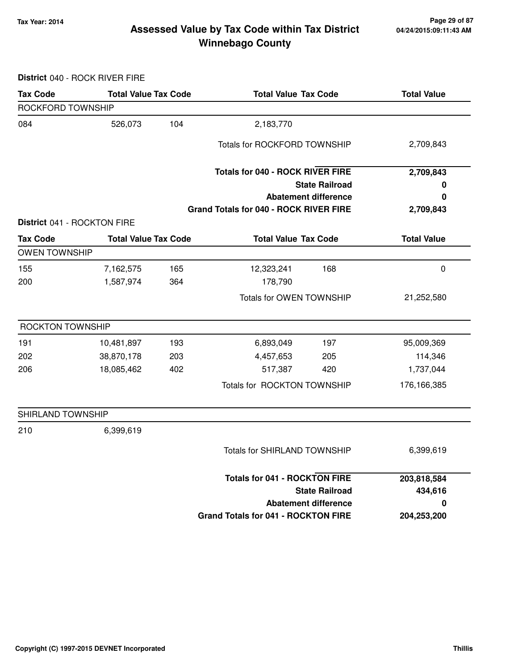#### **Tax Year: 2014 Page 29 of 87 Winnebago County Assessed Value by Tax Code within Tax District**

**District** 040 - ROCK RIVER FIRE

| <b>Tax Code</b>         | <b>Total Value Tax Code</b> |     | <b>Total Value Tax Code</b>                |                             | <b>Total Value</b> |
|-------------------------|-----------------------------|-----|--------------------------------------------|-----------------------------|--------------------|
| ROCKFORD TOWNSHIP       |                             |     |                                            |                             |                    |
| 084                     | 526,073                     | 104 | 2,183,770                                  |                             |                    |
|                         |                             |     | Totals for ROCKFORD TOWNSHIP               |                             | 2,709,843          |
|                         |                             |     | <b>Totals for 040 - ROCK RIVER FIRE</b>    |                             | 2,709,843          |
|                         |                             |     |                                            | <b>State Railroad</b>       | 0                  |
|                         |                             |     |                                            | <b>Abatement difference</b> | 0                  |
|                         |                             |     | Grand Totals for 040 - ROCK RIVER FIRE     |                             | 2,709,843          |
|                         | District 041 - ROCKTON FIRE |     |                                            |                             |                    |
| <b>Tax Code</b>         | <b>Total Value Tax Code</b> |     | <b>Total Value Tax Code</b>                |                             | <b>Total Value</b> |
| <b>OWEN TOWNSHIP</b>    |                             |     |                                            |                             |                    |
| 155                     | 7,162,575                   | 165 | 12,323,241                                 | 168                         | 0                  |
| 200                     | 1,587,974                   | 364 | 178,790                                    |                             |                    |
|                         |                             |     | Totals for OWEN TOWNSHIP                   |                             | 21,252,580         |
| <b>ROCKTON TOWNSHIP</b> |                             |     |                                            |                             |                    |
| 191                     | 10,481,897                  | 193 | 6,893,049                                  | 197                         | 95,009,369         |
| 202                     | 38,870,178                  | 203 | 4,457,653                                  | 205                         | 114,346            |
| 206                     | 18,085,462                  | 402 | 517,387                                    | 420                         | 1,737,044          |
|                         |                             |     | Totals for ROCKTON TOWNSHIP                |                             | 176,166,385        |
| SHIRLAND TOWNSHIP       |                             |     |                                            |                             |                    |
| 210                     | 6,399,619                   |     |                                            |                             |                    |
|                         |                             |     | Totals for SHIRLAND TOWNSHIP               |                             | 6,399,619          |
|                         |                             |     | <b>Totals for 041 - ROCKTON FIRE</b>       |                             | 203,818,584        |
|                         |                             |     |                                            | <b>State Railroad</b>       | 434,616            |
|                         |                             |     |                                            | <b>Abatement difference</b> | 0                  |
|                         |                             |     | <b>Grand Totals for 041 - ROCKTON FIRE</b> |                             | 204,253,200        |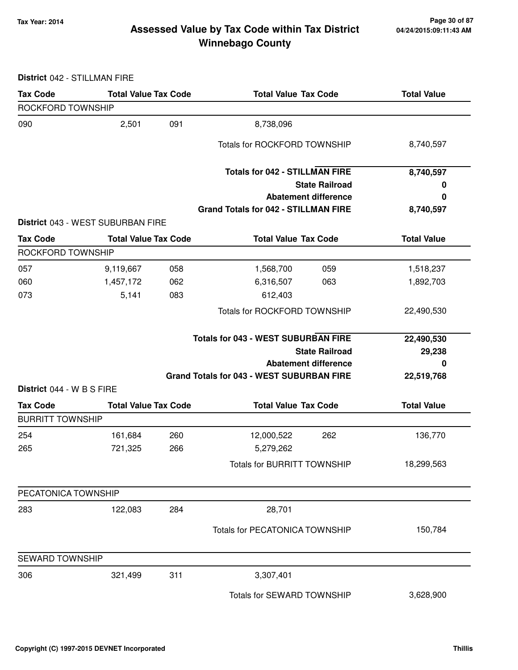#### **Tax Year: 2014 Page 30 of 87 Winnebago County Assessed Value by Tax Code within Tax District**

| District 042 - STILLMAN FIRE               |                                   |     |                                                  |                    |
|--------------------------------------------|-----------------------------------|-----|--------------------------------------------------|--------------------|
| <b>Tax Code</b>                            | <b>Total Value Tax Code</b>       |     | <b>Total Value Tax Code</b>                      | <b>Total Value</b> |
| ROCKFORD TOWNSHIP                          |                                   |     |                                                  |                    |
| 090                                        | 2,501                             | 091 | 8,738,096                                        |                    |
|                                            |                                   |     | Totals for ROCKFORD TOWNSHIP                     | 8,740,597          |
|                                            |                                   |     | <b>Totals for 042 - STILLMAN FIRE</b>            | 8,740,597          |
|                                            |                                   |     | <b>State Railroad</b>                            | 0                  |
|                                            |                                   |     | <b>Abatement difference</b>                      | 0                  |
|                                            | District 043 - WEST SUBURBAN FIRE |     | <b>Grand Totals for 042 - STILLMAN FIRE</b>      | 8,740,597          |
| <b>Tax Code</b>                            | <b>Total Value Tax Code</b>       |     | <b>Total Value Tax Code</b>                      | <b>Total Value</b> |
| ROCKFORD TOWNSHIP                          |                                   |     |                                                  |                    |
| 057                                        | 9,119,667                         | 058 | 1,568,700<br>059                                 | 1,518,237          |
| 060                                        | 1,457,172                         | 062 | 6,316,507<br>063                                 | 1,892,703          |
| 073                                        | 5,141                             | 083 | 612,403                                          |                    |
|                                            |                                   |     | <b>Totals for ROCKFORD TOWNSHIP</b>              | 22,490,530         |
|                                            |                                   |     | <b>Totals for 043 - WEST SUBURBAN FIRE</b>       | 22,490,530         |
|                                            |                                   |     | <b>State Railroad</b>                            | 29,238             |
|                                            |                                   |     | <b>Abatement difference</b>                      | O                  |
| District 044 - W B S FIRE                  |                                   |     | <b>Grand Totals for 043 - WEST SUBURBAN FIRE</b> | 22,519,768         |
|                                            | <b>Total Value Tax Code</b>       |     |                                                  |                    |
| <b>Tax Code</b><br><b>BURRITT TOWNSHIP</b> |                                   |     | <b>Total Value Tax Code</b>                      | <b>Total Value</b> |
| 254                                        | 161,684                           | 260 | 12,000,522<br>262                                | 136,770            |
| 265                                        | 721,325                           | 266 | 5,279,262                                        |                    |
|                                            |                                   |     | <b>Totals for BURRITT TOWNSHIP</b>               | 18,299,563         |
| PECATONICA TOWNSHIP                        |                                   |     |                                                  |                    |
| 283                                        | 122,083                           | 284 | 28,701                                           |                    |
|                                            |                                   |     |                                                  |                    |
|                                            |                                   |     | Totals for PECATONICA TOWNSHIP                   | 150,784            |
| <b>SEWARD TOWNSHIP</b>                     |                                   |     |                                                  |                    |
| 306                                        | 321,499                           | 311 | 3,307,401                                        |                    |
|                                            |                                   |     | Totals for SEWARD TOWNSHIP                       | 3,628,900          |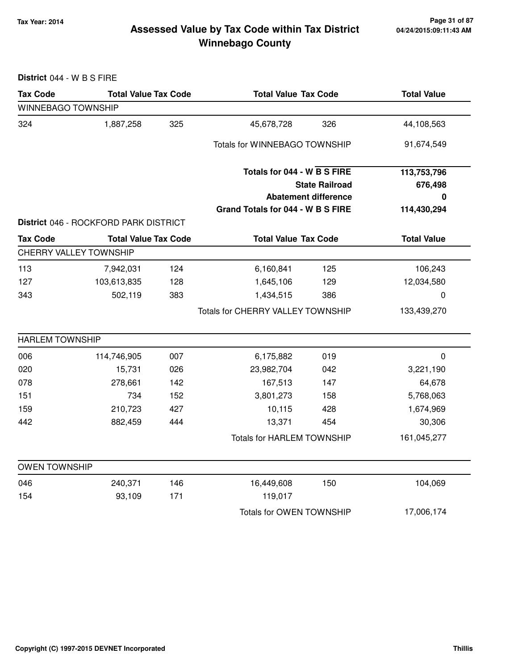#### **Tax Year: 2014 Page 31 of 87 Winnebago County Assessed Value by Tax Code within Tax District**

**District** 044 - W B S FIRE

| <b>Tax Code</b>        | <b>Total Value Tax Code</b>           |     | <b>Total Value Tax Code</b>       |                             | <b>Total Value</b> |  |
|------------------------|---------------------------------------|-----|-----------------------------------|-----------------------------|--------------------|--|
| WINNEBAGO TOWNSHIP     |                                       |     |                                   |                             |                    |  |
| 324                    | 1,887,258                             | 325 | 45,678,728                        | 326                         | 44,108,563         |  |
|                        |                                       |     | Totals for WINNEBAGO TOWNSHIP     |                             | 91,674,549         |  |
|                        |                                       |     | Totals for 044 - W B S FIRE       |                             | 113,753,796        |  |
|                        |                                       |     |                                   | <b>State Railroad</b>       | 676,498            |  |
|                        |                                       |     |                                   | <b>Abatement difference</b> | 0                  |  |
|                        |                                       |     | Grand Totals for 044 - W B S FIRE |                             | 114,430,294        |  |
|                        | District 046 - ROCKFORD PARK DISTRICT |     |                                   |                             |                    |  |
| <b>Tax Code</b>        | <b>Total Value Tax Code</b>           |     | <b>Total Value Tax Code</b>       |                             | <b>Total Value</b> |  |
|                        | <b>CHERRY VALLEY TOWNSHIP</b>         |     |                                   |                             |                    |  |
| 113                    | 7,942,031                             | 124 | 6,160,841                         | 125                         | 106,243            |  |
| 127                    | 103,613,835                           | 128 | 1,645,106                         | 129                         | 12,034,580         |  |
| 343                    | 502,119                               | 383 | 1,434,515                         | 386                         | $\mathbf 0$        |  |
|                        |                                       |     | Totals for CHERRY VALLEY TOWNSHIP |                             | 133,439,270        |  |
| <b>HARLEM TOWNSHIP</b> |                                       |     |                                   |                             |                    |  |
| 006                    | 114,746,905                           | 007 | 6,175,882                         | 019                         | $\mathbf 0$        |  |
| 020                    | 15,731                                | 026 | 23,982,704                        | 042                         | 3,221,190          |  |
| 078                    | 278,661                               | 142 | 167,513                           | 147                         | 64,678             |  |
| 151                    | 734                                   | 152 | 3,801,273                         | 158                         | 5,768,063          |  |
| 159                    | 210,723                               | 427 | 10,115                            | 428                         | 1,674,969          |  |
| 442                    | 882,459                               | 444 | 13,371                            | 454                         | 30,306             |  |
|                        |                                       |     | <b>Totals for HARLEM TOWNSHIP</b> |                             | 161,045,277        |  |
| <b>OWEN TOWNSHIP</b>   |                                       |     |                                   |                             |                    |  |
| 046                    | 240,371                               | 146 | 16,449,608                        | 150                         | 104,069            |  |
| 154                    | 93,109                                | 171 | 119,017                           |                             |                    |  |
|                        |                                       |     | Totals for OWEN TOWNSHIP          |                             | 17,006,174         |  |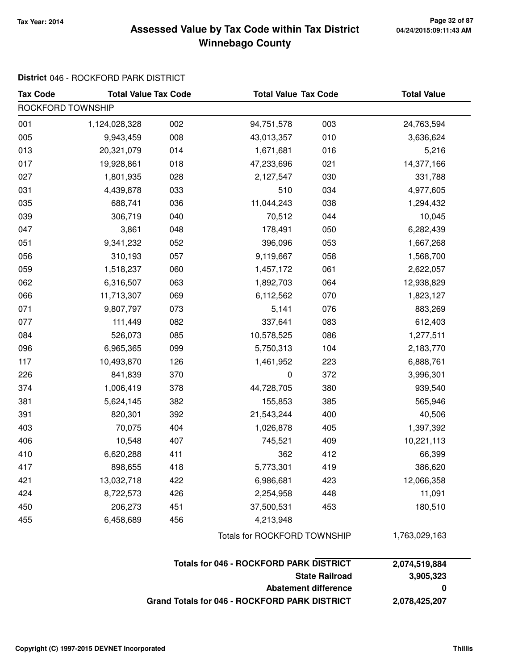#### **Tax Year: 2014 Page 32 of 87 Winnebago County Assessed Value by Tax Code within Tax District**

#### **District** 046 - ROCKFORD PARK DISTRICT

| <b>Tax Code</b>   | <b>Total Value Tax Code</b> |     | <b>Total Value Tax Code</b>                    |                             | <b>Total Value</b> |  |
|-------------------|-----------------------------|-----|------------------------------------------------|-----------------------------|--------------------|--|
| ROCKFORD TOWNSHIP |                             |     |                                                |                             |                    |  |
| 001               | 1,124,028,328               | 002 | 94,751,578                                     | 003                         | 24,763,594         |  |
| 005               | 9,943,459                   | 008 | 43,013,357                                     | 010                         | 3,636,624          |  |
| 013               | 20,321,079                  | 014 | 1,671,681                                      | 016                         | 5,216              |  |
| 017               | 19,928,861                  | 018 | 47,233,696                                     | 021                         | 14,377,166         |  |
| 027               | 1,801,935                   | 028 | 2,127,547                                      | 030                         | 331,788            |  |
| 031               | 4,439,878                   | 033 | 510                                            | 034                         | 4,977,605          |  |
| 035               | 688,741                     | 036 | 11,044,243                                     | 038                         | 1,294,432          |  |
| 039               | 306,719                     | 040 | 70,512                                         | 044                         | 10,045             |  |
| 047               | 3,861                       | 048 | 178,491                                        | 050                         | 6,282,439          |  |
| 051               | 9,341,232                   | 052 | 396,096                                        | 053                         | 1,667,268          |  |
| 056               | 310,193                     | 057 | 9,119,667                                      | 058                         | 1,568,700          |  |
| 059               | 1,518,237                   | 060 | 1,457,172                                      | 061                         | 2,622,057          |  |
| 062               | 6,316,507                   | 063 | 1,892,703                                      | 064                         | 12,938,829         |  |
| 066               | 11,713,307                  | 069 | 6,112,562                                      | 070                         | 1,823,127          |  |
| 071               | 9,807,797                   | 073 | 5,141                                          | 076                         | 883,269            |  |
| 077               | 111,449                     | 082 | 337,641                                        | 083                         | 612,403            |  |
| 084               | 526,073                     | 085 | 10,578,525                                     | 086                         | 1,277,511          |  |
| 096               | 6,965,365                   | 099 | 5,750,313                                      | 104                         | 2,183,770          |  |
| 117               | 10,493,870                  | 126 | 1,461,952                                      | 223                         | 6,888,761          |  |
| 226               | 841,839                     | 370 | 0                                              | 372                         | 3,996,301          |  |
| 374               | 1,006,419                   | 378 | 44,728,705                                     | 380                         | 939,540            |  |
| 381               | 5,624,145                   | 382 | 155,853                                        | 385                         | 565,946            |  |
| 391               | 820,301                     | 392 | 21,543,244                                     | 400                         | 40,506             |  |
| 403               | 70,075                      | 404 | 1,026,878                                      | 405                         | 1,397,392          |  |
| 406               | 10,548                      | 407 | 745,521                                        | 409                         | 10,221,113         |  |
| 410               | 6,620,288                   | 411 | 362                                            | 412                         | 66,399             |  |
| 417               | 898,655                     | 418 | 5,773,301                                      | 419                         | 386,620            |  |
| 421               | 13,032,718                  | 422 | 6,986,681                                      | 423                         | 12,066,358         |  |
| 424               | 8,722,573                   | 426 | 2,254,958                                      | 448                         | 11,091             |  |
| 450               | 206,273                     | 451 | 37,500,531                                     | 453                         | 180,510            |  |
| 455               | 6,458,689                   | 456 | 4,213,948                                      |                             |                    |  |
|                   |                             |     | <b>Totals for ROCKFORD TOWNSHIP</b>            |                             | 1,763,029,163      |  |
|                   |                             |     | <b>Totals for 046 - ROCKFORD PARK DISTRICT</b> |                             | 2,074,519,884      |  |
|                   |                             |     |                                                | <b>State Railroad</b>       | 3,905,323          |  |
|                   |                             |     |                                                | <b>Abatement difference</b> | 0                  |  |

**Grand Totals for 046 - ROCKFORD PARK DISTRICT 2,078,425,207**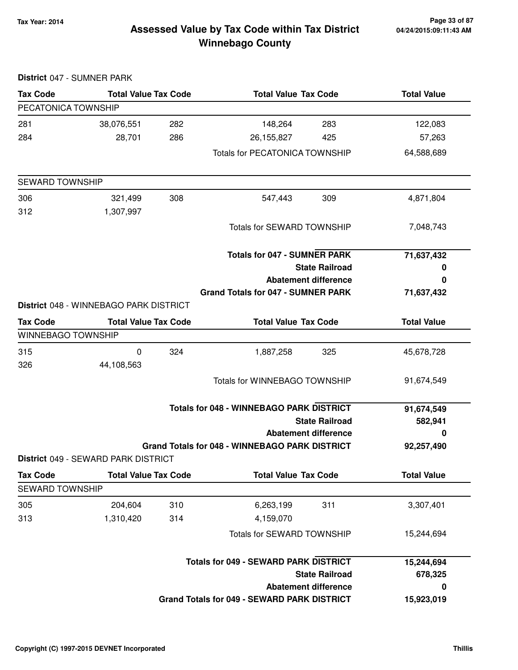#### **Tax Year: 2014 Page 33 of 87 Winnebago County Assessed Value by Tax Code within Tax District**

|                        | District 047 - SUMNER PARK             |     |                                                       |                             |                    |
|------------------------|----------------------------------------|-----|-------------------------------------------------------|-----------------------------|--------------------|
| <b>Tax Code</b>        | <b>Total Value Tax Code</b>            |     | <b>Total Value Tax Code</b>                           |                             | <b>Total Value</b> |
| PECATONICA TOWNSHIP    |                                        |     |                                                       |                             |                    |
| 281                    | 38,076,551                             | 282 | 148,264                                               | 283                         | 122,083            |
| 284                    | 28,701                                 | 286 | 26,155,827                                            | 425                         | 57,263             |
|                        |                                        |     | <b>Totals for PECATONICA TOWNSHIP</b>                 |                             | 64,588,689         |
| <b>SEWARD TOWNSHIP</b> |                                        |     |                                                       |                             |                    |
| 306                    | 321,499                                | 308 | 547,443                                               | 309                         | 4,871,804          |
| 312                    | 1,307,997                              |     |                                                       |                             |                    |
|                        |                                        |     | <b>Totals for SEWARD TOWNSHIP</b>                     |                             | 7,048,743          |
|                        |                                        |     | <b>Totals for 047 - SUMNER PARK</b>                   |                             | 71,637,432         |
|                        |                                        |     |                                                       | <b>State Railroad</b>       | 0                  |
|                        |                                        |     |                                                       | <b>Abatement difference</b> | 0                  |
|                        | District 048 - WINNEBAGO PARK DISTRICT |     | <b>Grand Totals for 047 - SUMNER PARK</b>             |                             | 71,637,432         |
|                        |                                        |     |                                                       |                             |                    |
| <b>Tax Code</b>        | <b>Total Value Tax Code</b>            |     | <b>Total Value Tax Code</b>                           |                             | <b>Total Value</b> |
| WINNEBAGO TOWNSHIP     |                                        |     |                                                       |                             |                    |
| 315                    | $\pmb{0}$                              | 324 | 1,887,258                                             | 325                         | 45,678,728         |
| 326                    | 44,108,563                             |     |                                                       |                             |                    |
|                        |                                        |     | Totals for WINNEBAGO TOWNSHIP                         |                             | 91,674,549         |
|                        |                                        |     | <b>Totals for 048 - WINNEBAGO PARK DISTRICT</b>       |                             | 91,674,549         |
|                        |                                        |     |                                                       | <b>State Railroad</b>       | 582,941            |
|                        |                                        |     |                                                       | <b>Abatement difference</b> | 0                  |
|                        |                                        |     | <b>Grand Totals for 048 - WINNEBAGO PARK DISTRICT</b> |                             | 92,257,490         |
|                        | District 049 - SEWARD PARK DISTRICT    |     |                                                       |                             |                    |
| <b>Tax Code</b>        | <b>Total Value Tax Code</b>            |     | <b>Total Value Tax Code</b>                           |                             | <b>Total Value</b> |
| <b>SEWARD TOWNSHIP</b> |                                        |     |                                                       |                             |                    |
| 305                    | 204,604                                | 310 | 6,263,199                                             | 311                         | 3,307,401          |
| 313                    | 1,310,420                              | 314 | 4,159,070                                             |                             |                    |
|                        |                                        |     | <b>Totals for SEWARD TOWNSHIP</b>                     |                             | 15,244,694         |
|                        |                                        |     | <b>Totals for 049 - SEWARD PARK DISTRICT</b>          |                             | 15,244,694         |
|                        |                                        |     |                                                       | <b>State Railroad</b>       | 678,325            |
|                        |                                        |     |                                                       | <b>Abatement difference</b> | 0                  |
|                        |                                        |     | <b>Grand Totals for 049 - SEWARD PARK DISTRICT</b>    |                             | 15,923,019         |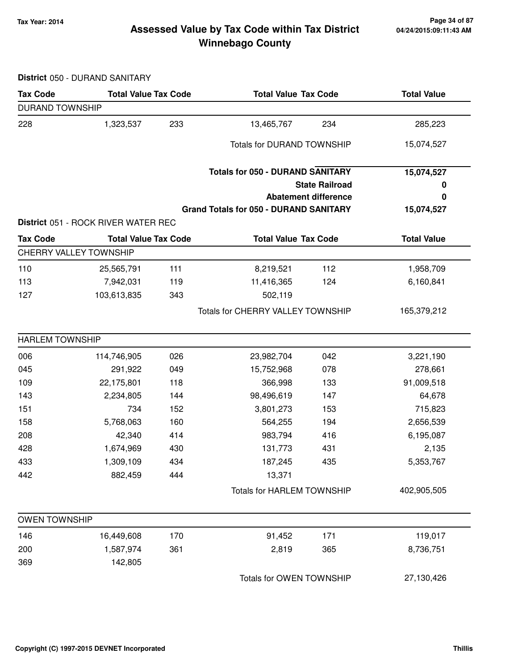#### **Tax Year: 2014 Page 34 of 87 Winnebago County Assessed Value by Tax Code within Tax District**

**District** 050 - DURAND SANITARY

| <b>Tax Code</b>        | <b>Total Value Tax Code</b>         |     | <b>Total Value Tax Code</b>                   |                             | <b>Total Value</b> |
|------------------------|-------------------------------------|-----|-----------------------------------------------|-----------------------------|--------------------|
| <b>DURAND TOWNSHIP</b> |                                     |     |                                               |                             |                    |
| 228                    | 1,323,537                           | 233 | 13,465,767                                    | 234                         | 285,223            |
|                        |                                     |     | <b>Totals for DURAND TOWNSHIP</b>             |                             | 15,074,527         |
|                        |                                     |     | <b>Totals for 050 - DURAND SANITARY</b>       |                             | 15,074,527         |
|                        |                                     |     |                                               | <b>State Railroad</b>       | 0                  |
|                        |                                     |     |                                               | <b>Abatement difference</b> | 0                  |
|                        |                                     |     | <b>Grand Totals for 050 - DURAND SANITARY</b> |                             | 15,074,527         |
|                        | District 051 - ROCK RIVER WATER REC |     |                                               |                             |                    |
| <b>Tax Code</b>        | <b>Total Value Tax Code</b>         |     | <b>Total Value Tax Code</b>                   |                             | <b>Total Value</b> |
| CHERRY VALLEY TOWNSHIP |                                     |     |                                               |                             |                    |
| 110                    | 25,565,791                          | 111 | 8,219,521                                     | 112                         | 1,958,709          |
| 113                    | 7,942,031                           | 119 | 11,416,365                                    | 124                         | 6,160,841          |
| 127                    | 103,613,835                         | 343 | 502,119                                       |                             |                    |
|                        |                                     |     | Totals for CHERRY VALLEY TOWNSHIP             |                             | 165,379,212        |
| <b>HARLEM TOWNSHIP</b> |                                     |     |                                               |                             |                    |
| 006                    | 114,746,905                         | 026 | 23,982,704                                    | 042                         | 3,221,190          |
| 045                    | 291,922                             | 049 | 15,752,968                                    | 078                         | 278,661            |
| 109                    | 22,175,801                          | 118 | 366,998                                       | 133                         | 91,009,518         |
| 143                    | 2,234,805                           | 144 | 98,496,619                                    | 147                         | 64,678             |
| 151                    | 734                                 | 152 | 3,801,273                                     | 153                         | 715,823            |
| 158                    | 5,768,063                           | 160 | 564,255                                       | 194                         | 2,656,539          |
| 208                    | 42,340                              | 414 | 983,794                                       | 416                         | 6,195,087          |
| 428                    | 1,674,969                           | 430 | 131,773                                       | 431                         | 2,135              |
| 433                    | 1,309,109                           | 434 | 187,245                                       | 435                         | 5,353,767          |
| 442                    | 882,459                             | 444 | 13,371                                        |                             |                    |
|                        |                                     |     | <b>Totals for HARLEM TOWNSHIP</b>             |                             | 402,905,505        |
| <b>OWEN TOWNSHIP</b>   |                                     |     |                                               |                             |                    |
| 146                    | 16,449,608                          | 170 | 91,452                                        | 171                         | 119,017            |
| 200                    | 1,587,974                           | 361 | 2,819                                         | 365                         | 8,736,751          |
| 369                    | 142,805                             |     |                                               |                             |                    |
|                        |                                     |     | Totals for OWEN TOWNSHIP                      |                             | 27,130,426         |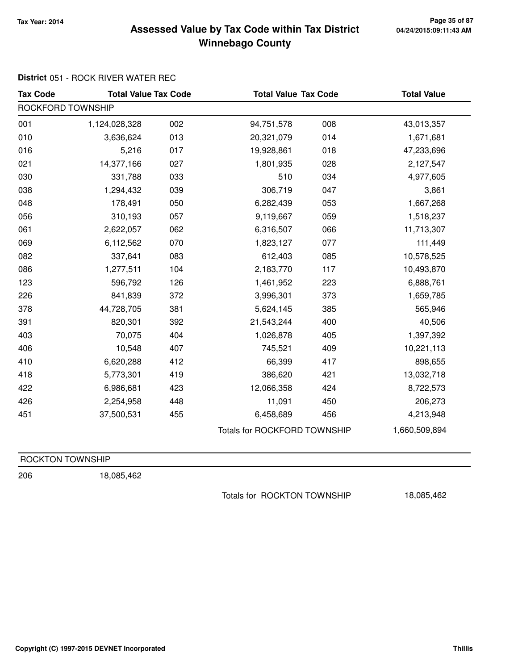#### **Tax Year: 2014 Page 35 of 87 Winnebago County Assessed Value by Tax Code within Tax District**

# **District** 051 - ROCK RIVER WATER REC

| <b>Tax Code</b>   | <b>Total Value Tax Code</b> |     | <b>Total Value Tax Code</b>  |     | <b>Total Value</b> |
|-------------------|-----------------------------|-----|------------------------------|-----|--------------------|
| ROCKFORD TOWNSHIP |                             |     |                              |     |                    |
| 001               | 1,124,028,328               | 002 | 94,751,578                   | 008 | 43,013,357         |
| 010               | 3,636,624                   | 013 | 20,321,079                   | 014 | 1,671,681          |
| 016               | 5,216                       | 017 | 19,928,861                   | 018 | 47,233,696         |
| 021               | 14,377,166                  | 027 | 1,801,935                    | 028 | 2,127,547          |
| 030               | 331,788                     | 033 | 510                          | 034 | 4,977,605          |
| 038               | 1,294,432                   | 039 | 306,719                      | 047 | 3,861              |
| 048               | 178,491                     | 050 | 6,282,439                    | 053 | 1,667,268          |
| 056               | 310,193                     | 057 | 9,119,667                    | 059 | 1,518,237          |
| 061               | 2,622,057                   | 062 | 6,316,507                    | 066 | 11,713,307         |
| 069               | 6,112,562                   | 070 | 1,823,127                    | 077 | 111,449            |
| 082               | 337,641                     | 083 | 612,403                      | 085 | 10,578,525         |
| 086               | 1,277,511                   | 104 | 2,183,770                    | 117 | 10,493,870         |
| 123               | 596,792                     | 126 | 1,461,952                    | 223 | 6,888,761          |
| 226               | 841,839                     | 372 | 3,996,301                    | 373 | 1,659,785          |
| 378               | 44,728,705                  | 381 | 5,624,145                    | 385 | 565,946            |
| 391               | 820,301                     | 392 | 21,543,244                   | 400 | 40,506             |
| 403               | 70,075                      | 404 | 1,026,878                    | 405 | 1,397,392          |
| 406               | 10,548                      | 407 | 745,521                      | 409 | 10,221,113         |
| 410               | 6,620,288                   | 412 | 66,399                       | 417 | 898,655            |
| 418               | 5,773,301                   | 419 | 386,620                      | 421 | 13,032,718         |
| 422               | 6,986,681                   | 423 | 12,066,358                   | 424 | 8,722,573          |
| 426               | 2,254,958                   | 448 | 11,091                       | 450 | 206,273            |
| 451               | 37,500,531                  | 455 | 6,458,689                    | 456 | 4,213,948          |
|                   |                             |     | Totals for ROCKFORD TOWNSHIP |     | 1,660,509,894      |

| ROCKTON TOWNSHIP |  |  |
|------------------|--|--|
|                  |  |  |

206 18,085,462

Totals for ROCKTON TOWNSHIP 18,085,462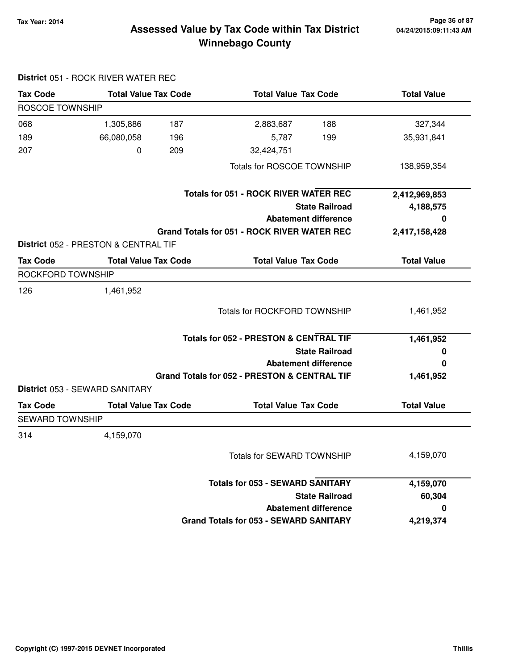**District** 051 - ROCK RIVER WATER REC

#### **Tax Year: 2014 Page 36 of 87 Winnebago County Assessed Value by Tax Code within Tax District**

| <b>Tax Code</b>        | <b>Total Value Tax Code</b>          | <b>Total Value Tax Code</b>                        | <b>Total Value</b> |
|------------------------|--------------------------------------|----------------------------------------------------|--------------------|
| ROSCOE TOWNSHIP        |                                      |                                                    |                    |
| 068                    | 1,305,886<br>187                     | 188<br>2,883,687                                   | 327,344            |
| 189                    | 66,080,058<br>196                    | 199<br>5,787                                       | 35,931,841         |
| 207                    | 0<br>209                             | 32,424,751                                         |                    |
|                        |                                      | Totals for ROSCOE TOWNSHIP                         | 138,959,354        |
|                        |                                      | <b>Totals for 051 - ROCK RIVER WATER REC</b>       | 2,412,969,853      |
|                        |                                      | <b>State Railroad</b>                              | 4,188,575          |
|                        |                                      | <b>Abatement difference</b>                        | 0                  |
|                        |                                      | <b>Grand Totals for 051 - ROCK RIVER WATER REC</b> | 2,417,158,428      |
|                        | District 052 - PRESTON & CENTRAL TIF |                                                    |                    |
| <b>Tax Code</b>        | <b>Total Value Tax Code</b>          | <b>Total Value Tax Code</b>                        | <b>Total Value</b> |
| ROCKFORD TOWNSHIP      |                                      |                                                    |                    |
| 126                    | 1,461,952                            |                                                    |                    |
|                        |                                      | <b>Totals for ROCKFORD TOWNSHIP</b>                | 1,461,952          |
|                        |                                      | <b>Totals for 052 - PRESTON &amp; CENTRAL TIF</b>  | 1,461,952          |
|                        |                                      | <b>State Railroad</b>                              | 0                  |
|                        |                                      | <b>Abatement difference</b>                        | 0                  |
|                        |                                      | Grand Totals for 052 - PRESTON & CENTRAL TIF       | 1,461,952          |
|                        | District 053 - SEWARD SANITARY       |                                                    |                    |
| <b>Tax Code</b>        | <b>Total Value Tax Code</b>          | <b>Total Value Tax Code</b>                        | <b>Total Value</b> |
| <b>SEWARD TOWNSHIP</b> |                                      |                                                    |                    |
| 314                    | 4,159,070                            |                                                    |                    |
|                        |                                      | Totals for SEWARD TOWNSHIP                         | 4,159,070          |
|                        |                                      | <b>Totals for 053 - SEWARD SANITARY</b>            | 4,159,070          |
|                        |                                      | <b>State Railroad</b>                              | 60,304             |
|                        |                                      | <b>Abatement difference</b>                        | 0                  |
|                        |                                      | <b>Grand Totals for 053 - SEWARD SANITARY</b>      | 4,219,374          |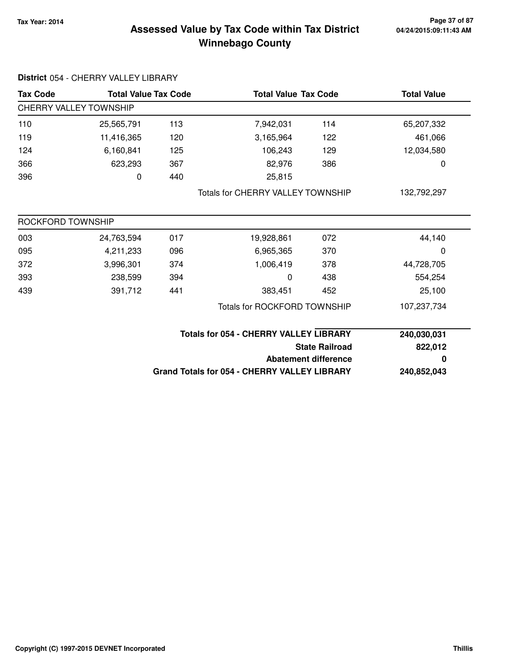### **Tax Year: 2014 Page 37 of 87 Winnebago County Assessed Value by Tax Code within Tax District**

| <b>Tax Code</b>               |            | <b>Total Value Tax Code</b>                   | <b>Total Value Tax Code</b>                         |                             | <b>Total Value</b> |
|-------------------------------|------------|-----------------------------------------------|-----------------------------------------------------|-----------------------------|--------------------|
| <b>CHERRY VALLEY TOWNSHIP</b> |            |                                               |                                                     |                             |                    |
| 110                           | 25,565,791 | 113                                           | 7,942,031                                           | 114                         | 65,207,332         |
| 119                           | 11,416,365 | 120                                           | 3,165,964                                           | 122                         | 461,066            |
| 124                           | 6,160,841  | 125                                           | 106,243                                             | 129                         | 12,034,580         |
| 366                           | 623,293    | 367                                           | 82,976                                              | 386                         | 0                  |
| 396                           | 0          | 440                                           | 25,815                                              |                             |                    |
|                               |            |                                               | <b>Totals for CHERRY VALLEY TOWNSHIP</b>            |                             | 132,792,297        |
| ROCKFORD TOWNSHIP             |            |                                               |                                                     |                             |                    |
| 003                           | 24,763,594 | 017                                           | 19,928,861                                          | 072                         | 44,140             |
| 095                           | 4,211,233  | 096                                           | 6,965,365                                           | 370                         | 0                  |
| 372                           | 3,996,301  | 374                                           | 1,006,419                                           | 378                         | 44,728,705         |
| 393                           | 238,599    | 394                                           | 0                                                   | 438                         | 554,254            |
| 439                           | 391,712    | 441                                           | 383,451                                             | 452                         | 25,100             |
|                               |            | <b>Totals for ROCKFORD TOWNSHIP</b>           |                                                     |                             | 107,237,734        |
|                               |            | <b>Totals for 054 - CHERRY VALLEY LIBRARY</b> |                                                     |                             | 240,030,031        |
|                               |            | <b>State Railroad</b>                         |                                                     |                             | 822,012            |
|                               |            |                                               |                                                     | <b>Abatement difference</b> | 0                  |
|                               |            |                                               | <b>Grand Totals for 054 - CHERRY VALLEY LIBRARY</b> |                             | 240,852,043        |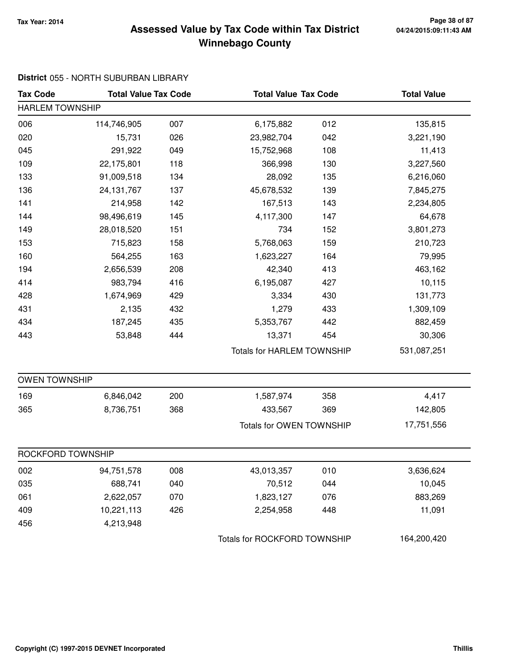# **Tax Year: 2014 Page 38 of 87 Winnebago County Assessed Value by Tax Code within Tax District**

# **District** 055 - NORTH SUBURBAN LIBRARY

| <b>Tax Code</b>        | <b>Total Value Tax Code</b> |     |                              | <b>Total Value Tax Code</b>       |             |
|------------------------|-----------------------------|-----|------------------------------|-----------------------------------|-------------|
| <b>HARLEM TOWNSHIP</b> |                             |     |                              |                                   |             |
| 006                    | 114,746,905                 | 007 | 6,175,882                    | 012                               | 135,815     |
| 020                    | 15,731                      | 026 | 23,982,704                   | 042                               | 3,221,190   |
| 045                    | 291,922                     | 049 | 15,752,968                   | 108                               | 11,413      |
| 109                    | 22,175,801                  | 118 | 366,998                      | 130                               | 3,227,560   |
| 133                    | 91,009,518                  | 134 | 28,092                       | 135                               | 6,216,060   |
| 136                    | 24, 131, 767                | 137 | 45,678,532                   | 139                               | 7,845,275   |
| 141                    | 214,958                     | 142 | 167,513                      | 143                               | 2,234,805   |
| 144                    | 98,496,619                  | 145 | 4,117,300                    | 147                               | 64,678      |
| 149                    | 28,018,520                  | 151 | 734                          | 152                               | 3,801,273   |
| 153                    | 715,823                     | 158 | 5,768,063                    | 159                               | 210,723     |
| 160                    | 564,255                     | 163 | 1,623,227                    | 164                               | 79,995      |
| 194                    | 2,656,539                   | 208 | 42,340                       | 413                               | 463,162     |
| 414                    | 983,794                     | 416 | 6,195,087                    | 427                               | 10,115      |
| 428                    | 1,674,969                   | 429 | 3,334                        | 430                               | 131,773     |
| 431                    | 2,135                       | 432 | 1,279                        | 433                               | 1,309,109   |
| 434                    | 187,245                     | 435 | 5,353,767                    | 442                               | 882,459     |
| 443                    | 53,848                      | 444 | 13,371                       | 454                               | 30,306      |
|                        |                             |     |                              | <b>Totals for HARLEM TOWNSHIP</b> |             |
| <b>OWEN TOWNSHIP</b>   |                             |     |                              |                                   |             |
| 169                    | 6,846,042                   | 200 | 1,587,974                    | 358                               | 4,417       |
| 365                    | 8,736,751                   | 368 | 433,567                      | 369                               | 142,805     |
|                        |                             |     | Totals for OWEN TOWNSHIP     |                                   | 17,751,556  |
| ROCKFORD TOWNSHIP      |                             |     |                              |                                   |             |
| 002                    | 94,751,578                  | 008 | 43,013,357                   | 010                               | 3,636,624   |
| 035                    | 688,741                     | 040 | 70,512                       | 044                               | 10,045      |
| 061                    | 2,622,057                   | 070 | 1,823,127                    | 076                               | 883,269     |
| 409                    | 10,221,113                  | 426 | 2,254,958                    | 448                               | 11,091      |
| 456                    | 4,213,948                   |     |                              |                                   |             |
|                        |                             |     | Totals for ROCKFORD TOWNSHIP |                                   | 164,200,420 |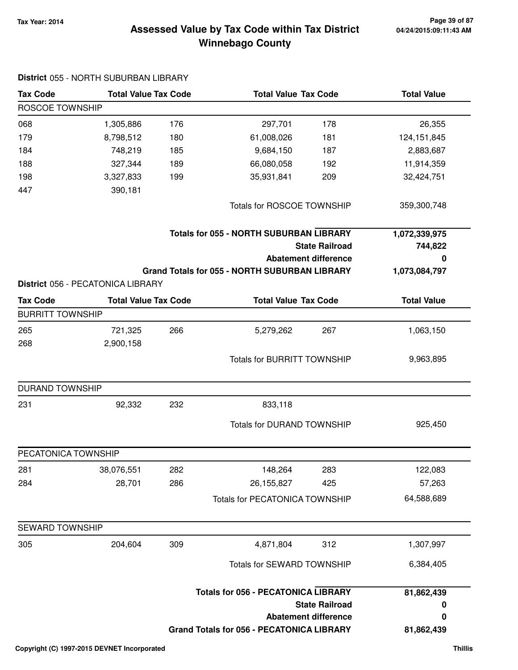### **Tax Year: 2014 Page 39 of 87 Winnebago County Assessed Value by Tax Code within Tax District**

| <b>Tax Code</b>         | <b>Total Value Tax Code</b><br><b>Total Value Tax Code</b> |     |                                                                         | <b>Total Value</b>          |                          |
|-------------------------|------------------------------------------------------------|-----|-------------------------------------------------------------------------|-----------------------------|--------------------------|
| ROSCOE TOWNSHIP         |                                                            |     |                                                                         |                             |                          |
| 068                     | 1,305,886                                                  | 176 | 297,701                                                                 | 178                         | 26,355                   |
| 179                     | 8,798,512                                                  | 180 | 61,008,026                                                              | 181                         | 124, 151, 845            |
| 184                     | 748,219                                                    | 185 | 9,684,150                                                               | 187                         | 2,883,687                |
| 188                     | 327,344                                                    | 189 | 66,080,058                                                              | 192                         | 11,914,359               |
| 198                     | 3,327,833                                                  | 199 | 35,931,841                                                              | 209                         | 32,424,751               |
| 447                     | 390,181                                                    |     |                                                                         |                             |                          |
|                         |                                                            |     | Totals for ROSCOE TOWNSHIP                                              |                             | 359,300,748              |
|                         |                                                            |     | <b>Totals for 055 - NORTH SUBURBAN LIBRARY</b><br><b>State Railroad</b> |                             | 1,072,339,975<br>744,822 |
|                         |                                                            |     |                                                                         | <b>Abatement difference</b> | 0                        |
|                         |                                                            |     | <b>Grand Totals for 055 - NORTH SUBURBAN LIBRARY</b>                    |                             | 1,073,084,797            |
|                         | District 056 - PECATONICA LIBRARY                          |     |                                                                         |                             |                          |
| <b>Tax Code</b>         | <b>Total Value Tax Code</b>                                |     | <b>Total Value Tax Code</b>                                             |                             | <b>Total Value</b>       |
| <b>BURRITT TOWNSHIP</b> |                                                            |     |                                                                         |                             |                          |
| 265                     | 721,325                                                    | 266 | 5,279,262                                                               | 267                         | 1,063,150                |
| 268                     | 2,900,158                                                  |     |                                                                         |                             |                          |
|                         |                                                            |     | <b>Totals for BURRITT TOWNSHIP</b>                                      |                             | 9,963,895                |
| <b>DURAND TOWNSHIP</b>  |                                                            |     |                                                                         |                             |                          |
| 231                     | 92,332                                                     | 232 | 833,118                                                                 |                             |                          |
|                         |                                                            |     | <b>Totals for DURAND TOWNSHIP</b>                                       |                             | 925,450                  |
| PECATONICA TOWNSHIP     |                                                            |     |                                                                         |                             |                          |
| 281                     | 38,076,551                                                 | 282 | 148,264                                                                 | 283                         | 122,083                  |
| 284                     | 28,701                                                     | 286 | 26,155,827                                                              | 425                         | 57,263                   |
|                         |                                                            |     | <b>Totals for PECATONICA TOWNSHIP</b>                                   |                             | 64,588,689               |
| <b>SEWARD TOWNSHIP</b>  |                                                            |     |                                                                         |                             |                          |
| 305                     | 204,604                                                    | 309 | 4,871,804                                                               | 312                         | 1,307,997                |
|                         |                                                            |     | <b>Totals for SEWARD TOWNSHIP</b>                                       |                             | 6,384,405                |
|                         |                                                            |     | <b>Totals for 056 - PECATONICA LIBRARY</b><br><b>State Railroad</b>     |                             | 81,862,439<br>0          |
|                         |                                                            |     |                                                                         | <b>Abatement difference</b> | 0                        |
|                         |                                                            |     | <b>Grand Totals for 056 - PECATONICA LIBRARY</b>                        |                             | 81,862,439               |

#### **District** 055 - NORTH SUBURBAN LIBRARY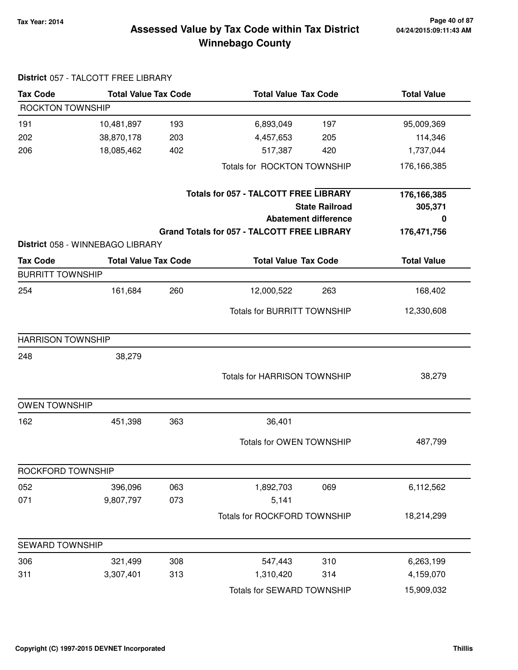### **Tax Year: 2014 Page 40 of 87 Winnebago County Assessed Value by Tax Code within Tax District**

| <b>Tax Code</b>          | <b>Total Value Tax Code</b>      |     |                                                    | <b>Total Value Tax Code</b> |                    |
|--------------------------|----------------------------------|-----|----------------------------------------------------|-----------------------------|--------------------|
| ROCKTON TOWNSHIP         |                                  |     |                                                    |                             |                    |
| 191                      | 10,481,897                       | 193 | 6,893,049                                          | 197                         | 95,009,369         |
| 202                      | 38,870,178                       | 203 | 4,457,653                                          | 205                         | 114,346            |
| 206                      | 18,085,462                       | 402 | 517,387                                            | 420                         | 1,737,044          |
|                          |                                  |     | Totals for ROCKTON TOWNSHIP                        |                             | 176,166,385        |
|                          |                                  |     | <b>Totals for 057 - TALCOTT FREE LIBRARY</b>       |                             | 176,166,385        |
|                          |                                  |     |                                                    | <b>State Railroad</b>       | 305,371            |
|                          |                                  |     |                                                    | <b>Abatement difference</b> | 0                  |
|                          |                                  |     | <b>Grand Totals for 057 - TALCOTT FREE LIBRARY</b> |                             | 176,471,756        |
|                          | District 058 - WINNEBAGO LIBRARY |     |                                                    |                             |                    |
| <b>Tax Code</b>          | <b>Total Value Tax Code</b>      |     | <b>Total Value Tax Code</b>                        |                             | <b>Total Value</b> |
| <b>BURRITT TOWNSHIP</b>  |                                  |     |                                                    |                             |                    |
| 254                      | 161,684                          | 260 | 12,000,522                                         | 263                         | 168,402            |
|                          |                                  |     | <b>Totals for BURRITT TOWNSHIP</b>                 |                             | 12,330,608         |
| <b>HARRISON TOWNSHIP</b> |                                  |     |                                                    |                             |                    |
| 248                      | 38,279                           |     |                                                    |                             |                    |
|                          |                                  |     | <b>Totals for HARRISON TOWNSHIP</b>                |                             | 38,279             |
| <b>OWEN TOWNSHIP</b>     |                                  |     |                                                    |                             |                    |
| 162                      | 451,398                          | 363 | 36,401                                             |                             |                    |
|                          |                                  |     | <b>Totals for OWEN TOWNSHIP</b>                    |                             | 487,799            |
| ROCKFORD TOWNSHIP        |                                  |     |                                                    |                             |                    |
| 052                      | 396,096                          | 063 | 1,892,703                                          | 069                         | 6,112,562          |
| 071                      | 9,807,797                        | 073 | 5,141                                              |                             |                    |
|                          |                                  |     | Totals for ROCKFORD TOWNSHIP                       |                             | 18,214,299         |
| <b>SEWARD TOWNSHIP</b>   |                                  |     |                                                    |                             |                    |
| 306                      | 321,499                          | 308 | 547,443                                            | 310                         | 6,263,199          |
| 311                      | 3,307,401                        | 313 | 1,310,420                                          | 314                         | 4,159,070          |
|                          |                                  |     | Totals for SEWARD TOWNSHIP                         |                             | 15,909,032         |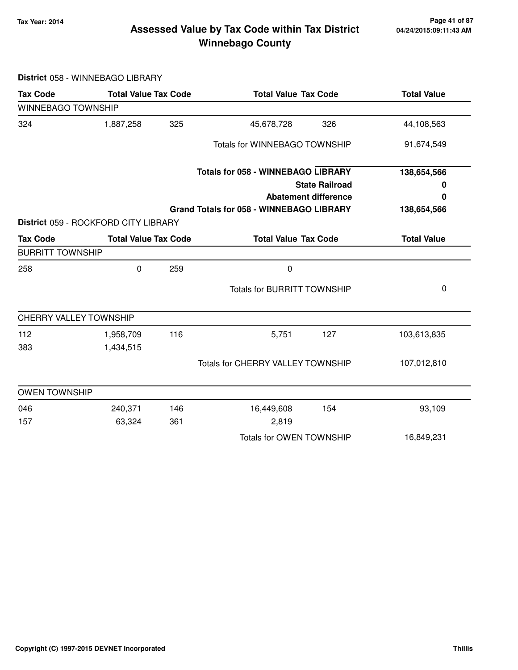### **Tax Year: 2014 Page 41 of 87 Winnebago County Assessed Value by Tax Code within Tax District**

**District** 058 - WINNEBAGO LIBRARY

| <b>Tax Code</b>           | <b>Total Value Tax Code</b>          |     | <b>Total Value Tax Code</b>                                                    | <b>Total Value</b> |
|---------------------------|--------------------------------------|-----|--------------------------------------------------------------------------------|--------------------|
| <b>WINNEBAGO TOWNSHIP</b> |                                      |     |                                                                                |                    |
| 324                       | 1,887,258                            | 325 | 45,678,728<br>326                                                              | 44,108,563         |
|                           |                                      |     | <b>Totals for WINNEBAGO TOWNSHIP</b>                                           | 91,674,549         |
|                           |                                      |     | <b>Totals for 058 - WINNEBAGO LIBRARY</b>                                      | 138,654,566        |
|                           |                                      |     | <b>State Railroad</b>                                                          | 0                  |
|                           |                                      |     | <b>Abatement difference</b><br><b>Grand Totals for 058 - WINNEBAGO LIBRARY</b> | 0<br>138,654,566   |
|                           | District 059 - ROCKFORD CITY LIBRARY |     |                                                                                |                    |
| <b>Tax Code</b>           | <b>Total Value Tax Code</b>          |     | <b>Total Value Tax Code</b>                                                    | <b>Total Value</b> |
| <b>BURRITT TOWNSHIP</b>   |                                      |     |                                                                                |                    |
| 258                       | $\pmb{0}$                            | 259 | 0                                                                              |                    |
|                           |                                      |     | <b>Totals for BURRITT TOWNSHIP</b>                                             | 0                  |
|                           | <b>CHERRY VALLEY TOWNSHIP</b>        |     |                                                                                |                    |
| 112                       | 1,958,709                            | 116 | 5,751<br>127                                                                   | 103,613,835        |
| 383                       | 1,434,515                            |     |                                                                                |                    |
|                           |                                      |     | <b>Totals for CHERRY VALLEY TOWNSHIP</b>                                       | 107,012,810        |
| <b>OWEN TOWNSHIP</b>      |                                      |     |                                                                                |                    |
| 046                       | 240,371                              | 146 | 16,449,608<br>154                                                              | 93,109             |
| 157                       | 63,324                               | 361 | 2,819                                                                          |                    |
|                           |                                      |     | Totals for OWEN TOWNSHIP                                                       | 16,849,231         |
|                           |                                      |     |                                                                                |                    |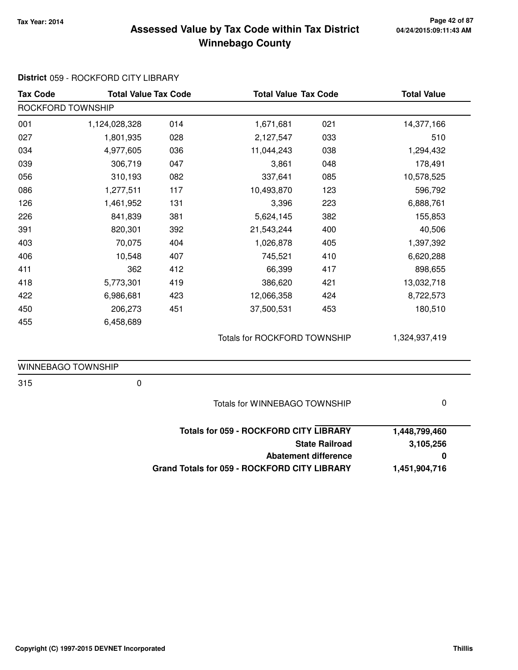### **Tax Year: 2014 Page 42 of 87 Winnebago County Assessed Value by Tax Code within Tax District**

| <b>Tax Code</b>    | <b>Total Value Tax Code</b> |                                      | <b>Total Value Tax Code</b>                         |                       | <b>Total Value</b> |
|--------------------|-----------------------------|--------------------------------------|-----------------------------------------------------|-----------------------|--------------------|
| ROCKFORD TOWNSHIP  |                             |                                      |                                                     |                       |                    |
| 001                | 1,124,028,328               | 014                                  | 1,671,681                                           | 021                   | 14,377,166         |
| 027                | 1,801,935                   | 028                                  | 2,127,547                                           | 033                   | 510                |
| 034                | 4,977,605                   | 036                                  | 11,044,243                                          | 038                   | 1,294,432          |
| 039                | 306,719                     | 047                                  | 3,861                                               | 048                   | 178,491            |
| 056                | 310,193                     | 082                                  | 337,641                                             | 085                   | 10,578,525         |
| 086                | 1,277,511                   | 117                                  | 10,493,870                                          | 123                   | 596,792            |
| 126                | 1,461,952                   | 131                                  | 3,396                                               | 223                   | 6,888,761          |
| 226                | 841,839                     | 381                                  | 5,624,145                                           | 382                   | 155,853            |
| 391                | 820,301                     | 392                                  | 21,543,244                                          | 400                   | 40,506             |
| 403                | 70,075                      | 404                                  | 1,026,878                                           | 405                   | 1,397,392          |
| 406                | 10,548                      | 407                                  | 745,521                                             | 410                   | 6,620,288          |
| 411                | 362                         | 412                                  | 66,399                                              | 417                   | 898,655            |
| 418                | 5,773,301                   | 419                                  | 386,620                                             | 421                   | 13,032,718         |
| 422                | 6,986,681                   | 423                                  | 12,066,358                                          | 424                   | 8,722,573          |
| 450                | 206,273                     | 451                                  | 37,500,531                                          | 453                   | 180,510            |
| 455                | 6,458,689                   |                                      |                                                     |                       |                    |
|                    |                             |                                      | Totals for ROCKFORD TOWNSHIP                        |                       | 1,324,937,419      |
| WINNEBAGO TOWNSHIP |                             |                                      |                                                     |                       |                    |
| 315                | $\pmb{0}$                   |                                      |                                                     |                       |                    |
|                    |                             | <b>Totals for WINNEBAGO TOWNSHIP</b> |                                                     | $\pmb{0}$             |                    |
|                    |                             |                                      | <b>Totals for 059 - ROCKFORD CITY LIBRARY</b>       |                       | 1,448,799,460      |
|                    |                             |                                      |                                                     | <b>State Railroad</b> | 3,105,256          |
|                    |                             |                                      | <b>Abatement difference</b>                         | 0                     |                    |
|                    |                             |                                      | <b>Grand Totals for 059 - ROCKFORD CITY LIBRARY</b> |                       | 1,451,904,716      |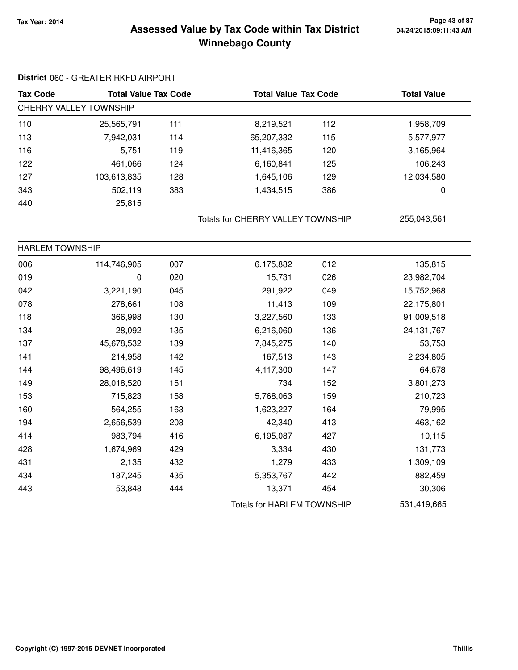# **Tax Year: 2014 Page 43 of 87 Winnebago County Assessed Value by Tax Code within Tax District**

#### **District** 060 - GREATER RKFD AIRPORT

| <b>Tax Code</b>        | <b>Total Value Tax Code</b> |     | <b>Total Value Tax Code</b> |     | <b>Total Value</b> |  |
|------------------------|-----------------------------|-----|-----------------------------|-----|--------------------|--|
| CHERRY VALLEY TOWNSHIP |                             |     |                             |     |                    |  |
| 110                    | 25,565,791                  | 111 | 8,219,521                   | 112 | 1,958,709          |  |
| 113                    | 7,942,031                   | 114 | 65,207,332                  | 115 | 5,577,977          |  |
| 116                    | 5,751                       | 119 | 11,416,365                  | 120 | 3,165,964          |  |
| 122                    | 461,066                     | 124 | 6,160,841                   | 125 | 106,243            |  |
| 127                    | 103,613,835                 | 128 | 1,645,106                   | 129 | 12,034,580         |  |
| 343                    | 502,119                     | 383 | 1,434,515                   | 386 | 0                  |  |
| 440                    | 25,815                      |     |                             |     |                    |  |

Totals for CHERRY VALLEY TOWNSHIP 255,043,561

| <b>HARLEM TOWNSHIP</b> |             |     |                                   |     |              |
|------------------------|-------------|-----|-----------------------------------|-----|--------------|
| 006                    | 114,746,905 | 007 | 6,175,882                         | 012 | 135,815      |
| 019                    | 0           | 020 | 15,731                            | 026 | 23,982,704   |
| 042                    | 3,221,190   | 045 | 291,922                           | 049 | 15,752,968   |
| 078                    | 278,661     | 108 | 11,413                            | 109 | 22,175,801   |
| 118                    | 366,998     | 130 | 3,227,560                         | 133 | 91,009,518   |
| 134                    | 28,092      | 135 | 6,216,060                         | 136 | 24, 131, 767 |
| 137                    | 45,678,532  | 139 | 7,845,275                         | 140 | 53,753       |
| 141                    | 214,958     | 142 | 167,513                           | 143 | 2,234,805    |
| 144                    | 98,496,619  | 145 | 4,117,300                         | 147 | 64,678       |
| 149                    | 28,018,520  | 151 | 734                               | 152 | 3,801,273    |
| 153                    | 715,823     | 158 | 5,768,063                         | 159 | 210,723      |
| 160                    | 564,255     | 163 | 1,623,227                         | 164 | 79,995       |
| 194                    | 2,656,539   | 208 | 42,340                            | 413 | 463,162      |
| 414                    | 983,794     | 416 | 6,195,087                         | 427 | 10,115       |
| 428                    | 1,674,969   | 429 | 3,334                             | 430 | 131,773      |
| 431                    | 2,135       | 432 | 1,279                             | 433 | 1,309,109    |
| 434                    | 187,245     | 435 | 5,353,767                         | 442 | 882,459      |
| 443                    | 53,848      | 444 | 13,371                            | 454 | 30,306       |
|                        |             |     | <b>Totals for HARLEM TOWNSHIP</b> |     | 531,419,665  |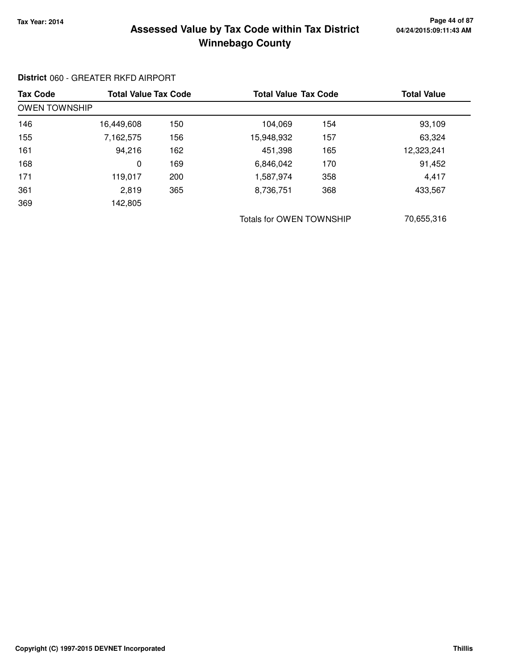### **Tax Year: 2014 Page 44 of 87 Winnebago County Assessed Value by Tax Code within Tax District**

#### **District** 060 - GREATER RKFD AIRPORT

| <b>Tax Code</b>      | <b>Total Value Tax Code</b> |     | <b>Total Value Tax Code</b> |     | <b>Total Value</b> |
|----------------------|-----------------------------|-----|-----------------------------|-----|--------------------|
| <b>OWEN TOWNSHIP</b> |                             |     |                             |     |                    |
| 146                  | 16,449,608                  | 150 | 104,069                     | 154 | 93,109             |
| 155                  | 7,162,575                   | 156 | 15,948,932                  | 157 | 63,324             |
| 161                  | 94,216                      | 162 | 451,398                     | 165 | 12,323,241         |
| 168                  | 0                           | 169 | 6,846,042                   | 170 | 91,452             |
| 171                  | 119,017                     | 200 | 1,587,974                   | 358 | 4,417              |
| 361                  | 2,819                       | 365 | 8,736,751                   | 368 | 433,567            |
| 369                  | 142,805                     |     |                             |     |                    |
|                      |                             |     | Totals for OWEN TOWNSHIP    |     | 70,655,316         |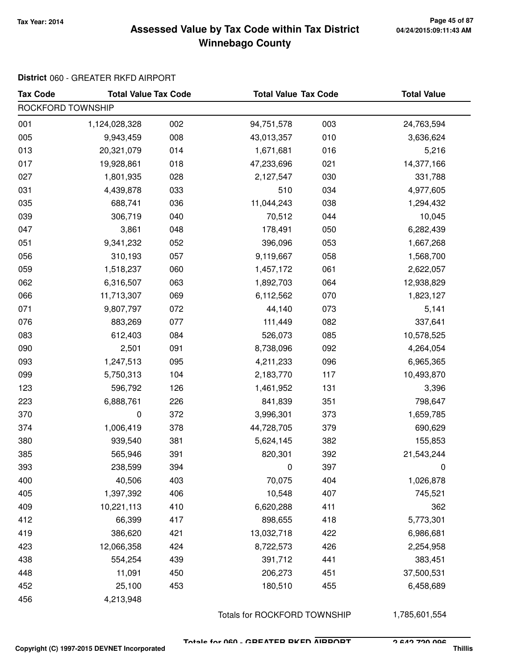### **Tax Year: 2014 Page 45 of 87 Winnebago County Assessed Value by Tax Code within Tax District**

### **District** 060 - GREATER RKFD AIRPORT

| <b>Tax Code</b>   | <b>Total Value Tax Code</b> |     | <b>Total Value Tax Code</b> |     | <b>Total Value</b> |  |  |  |
|-------------------|-----------------------------|-----|-----------------------------|-----|--------------------|--|--|--|
| ROCKFORD TOWNSHIP |                             |     |                             |     |                    |  |  |  |
| 001               | 1,124,028,328               | 002 | 94,751,578                  | 003 | 24,763,594         |  |  |  |
| 005               | 9,943,459                   | 008 | 43,013,357                  | 010 | 3,636,624          |  |  |  |
| 013               | 20,321,079                  | 014 | 1,671,681                   | 016 | 5,216              |  |  |  |
| 017               | 19,928,861                  | 018 | 47,233,696                  | 021 | 14,377,166         |  |  |  |
| 027               | 1,801,935                   | 028 | 2,127,547                   | 030 | 331,788            |  |  |  |
| 031               | 4,439,878                   | 033 | 510                         | 034 | 4,977,605          |  |  |  |
| 035               | 688,741                     | 036 | 11,044,243                  | 038 | 1,294,432          |  |  |  |
| 039               | 306,719                     | 040 | 70,512                      | 044 | 10,045             |  |  |  |
| 047               | 3,861                       | 048 | 178,491                     | 050 | 6,282,439          |  |  |  |
| 051               | 9,341,232                   | 052 | 396,096                     | 053 | 1,667,268          |  |  |  |
| 056               | 310,193                     | 057 | 9,119,667                   | 058 | 1,568,700          |  |  |  |
| 059               | 1,518,237                   | 060 | 1,457,172                   | 061 | 2,622,057          |  |  |  |
| 062               | 6,316,507                   | 063 | 1,892,703                   | 064 | 12,938,829         |  |  |  |
| 066               | 11,713,307                  | 069 | 6,112,562                   | 070 | 1,823,127          |  |  |  |
| 071               | 9,807,797                   | 072 | 44,140                      | 073 | 5,141              |  |  |  |
| 076               | 883,269                     | 077 | 111,449                     | 082 | 337,641            |  |  |  |
| 083               | 612,403                     | 084 | 526,073                     | 085 | 10,578,525         |  |  |  |
| 090               | 2,501                       | 091 | 8,738,096                   | 092 | 4,264,054          |  |  |  |
| 093               | 1,247,513                   | 095 | 4,211,233                   | 096 | 6,965,365          |  |  |  |
| 099               | 5,750,313                   | 104 | 2,183,770                   | 117 | 10,493,870         |  |  |  |
| 123               | 596,792                     | 126 | 1,461,952                   | 131 | 3,396              |  |  |  |
| 223               | 6,888,761                   | 226 | 841,839                     | 351 | 798,647            |  |  |  |
| 370               | 0                           | 372 | 3,996,301                   | 373 | 1,659,785          |  |  |  |
| 374               | 1,006,419                   | 378 | 44,728,705                  | 379 | 690,629            |  |  |  |
| 380               | 939,540                     | 381 | 5,624,145                   | 382 | 155,853            |  |  |  |
| 385               | 565,946                     | 391 | 820,301                     | 392 | 21,543,244         |  |  |  |
| 393               | 238,599                     | 394 | 0                           | 397 |                    |  |  |  |
| 400               | 40,506                      | 403 | 70,075                      | 404 | 1,026,878          |  |  |  |
| 405               | 1,397,392                   | 406 | 10,548                      | 407 | 745,521            |  |  |  |
| 409               | 10,221,113                  | 410 | 6,620,288                   | 411 | 362                |  |  |  |
| 412               | 66,399                      | 417 | 898,655                     | 418 | 5,773,301          |  |  |  |
| 419               | 386,620                     | 421 | 13,032,718                  | 422 | 6,986,681          |  |  |  |
| 423               | 12,066,358                  | 424 | 8,722,573                   | 426 | 2,254,958          |  |  |  |
| 438               | 554,254                     | 439 | 391,712                     | 441 | 383,451            |  |  |  |
| 448               | 11,091                      | 450 | 206,273                     | 451 | 37,500,531         |  |  |  |
| 452               | 25,100                      | 453 | 180,510                     | 455 | 6,458,689          |  |  |  |
| 456               | 4,213,948                   |     |                             |     |                    |  |  |  |

Totals for ROCKFORD TOWNSHIP 1,785,601,554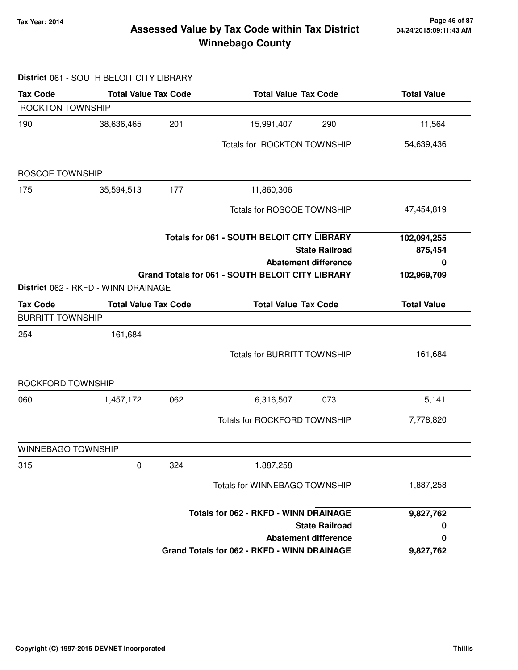**District** 061 - SOUTH BELOIT CITY LIBRARY

#### **Tax Year: 2014 Page 46 of 87 Winnebago County Assessed Value by Tax Code within Tax District**

# **Tax Code Total Value Tax Code Total Value Tax Code Total Value** ROCKTON TOWNSHIP 190 38,636,465 15,991,407 201 290 11,564 Totals for ROCKTON TOWNSHIP 54,639,436 ROSCOE TOWNSHIP 175 35,594,513 11,860,306 177 Totals for ROSCOE TOWNSHIP 47,454,819 **State Railroad Totals for 061 - SOUTH BELOIT CITY LIBRARY Abatement difference Grand Totals for 061 - SOUTH BELOIT CITY LIBRARY 102,094,255 875,454 0 102,969,709 District** 062 - RKFD - WINN DRAINAGE **Tax Code Total Value Tax Code Total Value Tax Code Total Value** BURRITT TOWNSHIP 254 161,684 Totals for BURRITT TOWNSHIP 161,684 ROCKFORD TOWNSHIP 060 1,457,172 6,316,507 062 073 5,141 Totals for ROCKFORD TOWNSHIP 7,778,820 WINNEBAGO TOWNSHIP 315 0 1,887,258 324 Totals for WINNEBAGO TOWNSHIP 1,887,258 **State Railroad Totals for 062 - RKFD - WINN DRAINAGE Abatement difference Grand Totals for 062 - RKFD - WINN DRAINAGE 9,827,762 0 0 9,827,762**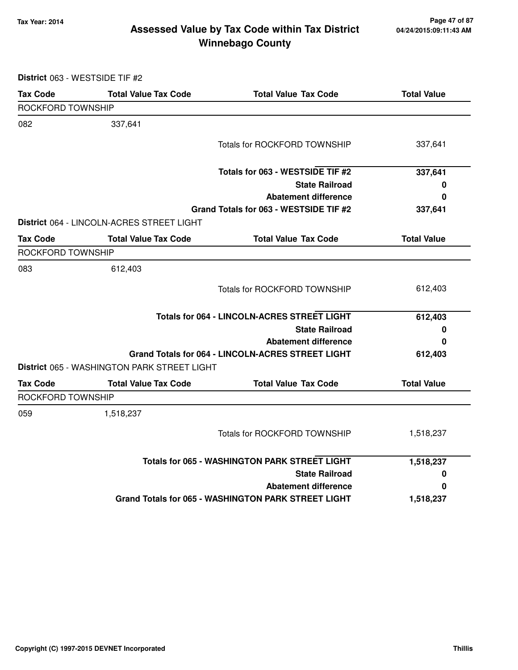### **Tax Year: 2014 Page 47 of 87 Winnebago County Assessed Value by Tax Code within Tax District**

**District** 063 - WESTSIDE TIF #2

| <b>Tax Code</b>   | <b>Total Value Tax Code</b>                 | <b>Total Value Tax Code</b>                                | <b>Total Value</b> |
|-------------------|---------------------------------------------|------------------------------------------------------------|--------------------|
| ROCKFORD TOWNSHIP |                                             |                                                            |                    |
| 082               | 337,641                                     |                                                            |                    |
|                   |                                             | <b>Totals for ROCKFORD TOWNSHIP</b>                        | 337,641            |
|                   |                                             | Totals for 063 - WESTSIDE TIF #2                           | 337,641            |
|                   |                                             | <b>State Railroad</b>                                      | 0                  |
|                   |                                             | <b>Abatement difference</b>                                | 0                  |
|                   |                                             | Grand Totals for 063 - WESTSIDE TIF #2                     | 337,641            |
|                   | District 064 - LINCOLN-ACRES STREET LIGHT   |                                                            |                    |
| <b>Tax Code</b>   | <b>Total Value Tax Code</b>                 | <b>Total Value Tax Code</b>                                | <b>Total Value</b> |
| ROCKFORD TOWNSHIP |                                             |                                                            |                    |
| 083               | 612,403                                     |                                                            |                    |
|                   |                                             | <b>Totals for ROCKFORD TOWNSHIP</b>                        | 612,403            |
|                   |                                             | Totals for 064 - LINCOLN-ACRES STREET LIGHT                | 612,403            |
|                   |                                             | <b>State Railroad</b>                                      | 0                  |
|                   |                                             | <b>Abatement difference</b>                                | 0                  |
|                   |                                             | Grand Totals for 064 - LINCOLN-ACRES STREET LIGHT          | 612,403            |
|                   | District 065 - WASHINGTON PARK STREET LIGHT |                                                            |                    |
| <b>Tax Code</b>   | <b>Total Value Tax Code</b>                 | <b>Total Value Tax Code</b>                                | <b>Total Value</b> |
| ROCKFORD TOWNSHIP |                                             |                                                            |                    |
| 059               | 1,518,237                                   |                                                            |                    |
|                   |                                             | <b>Totals for ROCKFORD TOWNSHIP</b>                        | 1,518,237          |
|                   |                                             | <b>Totals for 065 - WASHINGTON PARK STREET LIGHT</b>       | 1,518,237          |
|                   |                                             | <b>State Railroad</b>                                      | 0                  |
|                   |                                             | <b>Abatement difference</b>                                | 0                  |
|                   |                                             | <b>Grand Totals for 065 - WASHINGTON PARK STREET LIGHT</b> | 1,518,237          |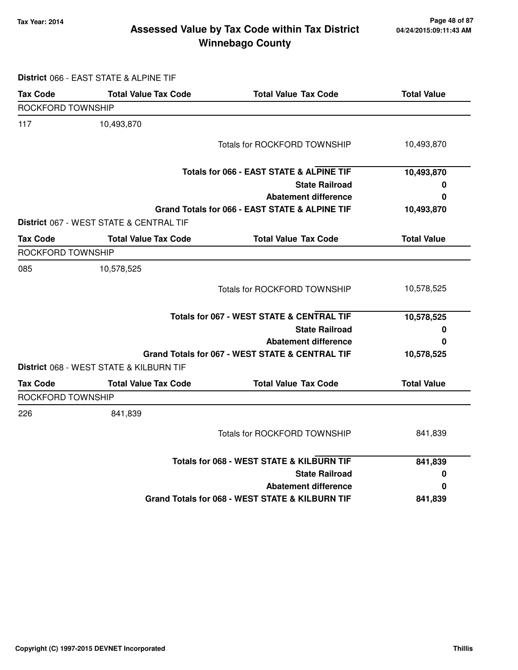### **Tax Year: 2014 Page 48 of 87 Winnebago County Assessed Value by Tax Code within Tax District**

**District** 066 - EAST STATE & ALPINE TIF

| <b>Tax Code</b>   | <b>Total Value Tax Code</b>             | <b>Total Value Tax Code</b>                         | <b>Total Value</b> |
|-------------------|-----------------------------------------|-----------------------------------------------------|--------------------|
| ROCKFORD TOWNSHIP |                                         |                                                     |                    |
| 117               | 10,493,870                              |                                                     |                    |
|                   |                                         | <b>Totals for ROCKFORD TOWNSHIP</b>                 | 10,493,870         |
|                   |                                         | <b>Totals for 066 - EAST STATE &amp; ALPINE TIF</b> | 10,493,870         |
|                   |                                         | <b>State Railroad</b>                               | 0                  |
|                   |                                         | <b>Abatement difference</b>                         | 0                  |
|                   |                                         | Grand Totals for 066 - EAST STATE & ALPINE TIF      | 10,493,870         |
|                   | District 067 - WEST STATE & CENTRAL TIF |                                                     |                    |
| <b>Tax Code</b>   | <b>Total Value Tax Code</b>             | <b>Total Value Tax Code</b>                         | <b>Total Value</b> |
| ROCKFORD TOWNSHIP |                                         |                                                     |                    |
| 085               | 10,578,525                              |                                                     |                    |
|                   |                                         | <b>Totals for ROCKFORD TOWNSHIP</b>                 | 10,578,525         |
|                   |                                         | Totals for 067 - WEST STATE & CENTRAL TIF           | 10,578,525         |
|                   |                                         | <b>State Railroad</b>                               | 0                  |
|                   |                                         | <b>Abatement difference</b>                         | 0                  |
|                   |                                         | Grand Totals for 067 - WEST STATE & CENTRAL TIF     | 10,578,525         |
|                   | District 068 - WEST STATE & KILBURN TIF |                                                     |                    |
| <b>Tax Code</b>   | <b>Total Value Tax Code</b>             | <b>Total Value Tax Code</b>                         | <b>Total Value</b> |
| ROCKFORD TOWNSHIP |                                         |                                                     |                    |
| 226               | 841,839                                 |                                                     |                    |
|                   |                                         | <b>Totals for ROCKFORD TOWNSHIP</b>                 | 841,839            |
|                   |                                         | Totals for 068 - WEST STATE & KILBURN TIF           | 841,839            |
|                   |                                         | <b>State Railroad</b>                               | 0                  |
|                   |                                         | <b>Abatement difference</b>                         | 0                  |
|                   |                                         | Grand Totals for 068 - WEST STATE & KILBURN TIF     | 841,839            |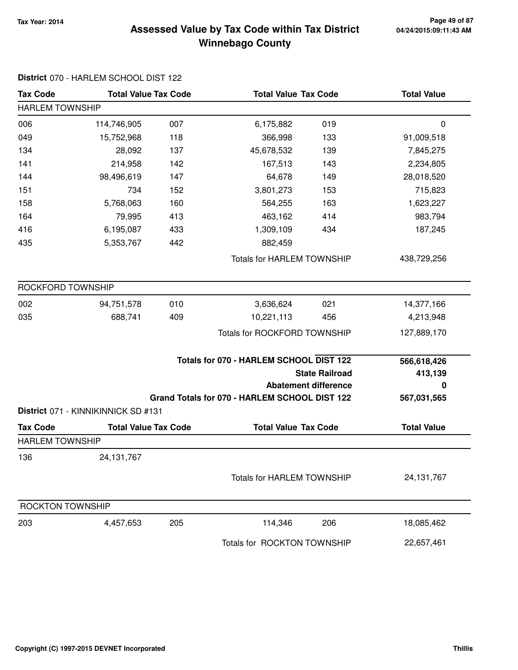### **Tax Year: 2014 Page 49 of 87 Winnebago County Assessed Value by Tax Code within Tax District**

| <b>Tax Code</b>         | <b>Total Value Tax Code</b>         |     | <b>Total Value Tax Code</b>                                                              |                                                      | <b>Total Value</b>                         |  |  |
|-------------------------|-------------------------------------|-----|------------------------------------------------------------------------------------------|------------------------------------------------------|--------------------------------------------|--|--|
| <b>HARLEM TOWNSHIP</b>  |                                     |     |                                                                                          |                                                      |                                            |  |  |
| 006                     | 114,746,905                         | 007 | 6,175,882                                                                                | 019                                                  | $\mathbf 0$                                |  |  |
| 049                     | 15,752,968                          | 118 | 366,998                                                                                  | 133                                                  | 91,009,518                                 |  |  |
| 134                     | 28,092                              | 137 | 45,678,532                                                                               | 139                                                  | 7,845,275                                  |  |  |
| 141                     | 214,958                             | 142 | 167,513                                                                                  | 143                                                  | 2,234,805                                  |  |  |
| 144                     | 98,496,619                          | 147 | 64,678                                                                                   | 149                                                  | 28,018,520                                 |  |  |
| 151                     | 734                                 | 152 | 3,801,273                                                                                | 153                                                  | 715,823                                    |  |  |
| 158                     | 5,768,063                           | 160 | 564,255                                                                                  | 163                                                  | 1,623,227                                  |  |  |
| 164                     | 79,995                              | 413 | 463,162                                                                                  | 414                                                  | 983,794                                    |  |  |
| 416                     | 6,195,087                           | 433 | 1,309,109                                                                                | 434                                                  | 187,245                                    |  |  |
| 435                     | 5,353,767                           | 442 | 882,459                                                                                  |                                                      |                                            |  |  |
|                         |                                     |     | <b>Totals for HARLEM TOWNSHIP</b>                                                        |                                                      | 438,729,256                                |  |  |
| ROCKFORD TOWNSHIP       |                                     |     |                                                                                          |                                                      |                                            |  |  |
| 002                     | 94,751,578                          | 010 | 3,636,624                                                                                | 021                                                  | 14,377,166                                 |  |  |
| 035                     | 688,741                             | 409 | 10,221,113                                                                               | 456                                                  | 4,213,948                                  |  |  |
|                         |                                     |     | <b>Totals for ROCKFORD TOWNSHIP</b>                                                      |                                                      | 127,889,170                                |  |  |
|                         |                                     |     | Totals for 070 - HARLEM SCHOOL DIST 122<br>Grand Totals for 070 - HARLEM SCHOOL DIST 122 | <b>State Railroad</b><br><b>Abatement difference</b> | 566,618,426<br>413,139<br>0<br>567,031,565 |  |  |
|                         | District 071 - KINNIKINNICK SD #131 |     |                                                                                          |                                                      |                                            |  |  |
| <b>Tax Code</b>         | <b>Total Value Tax Code</b>         |     | <b>Total Value Tax Code</b>                                                              |                                                      | <b>Total Value</b>                         |  |  |
| <b>HARLEM TOWNSHIP</b>  |                                     |     |                                                                                          |                                                      |                                            |  |  |
| 136                     | 24, 131, 767                        |     |                                                                                          |                                                      |                                            |  |  |
|                         |                                     |     | <b>Totals for HARLEM TOWNSHIP</b>                                                        |                                                      | 24, 131, 767                               |  |  |
| <b>ROCKTON TOWNSHIP</b> |                                     |     |                                                                                          |                                                      |                                            |  |  |
| 203                     | 4,457,653                           | 205 | 114,346                                                                                  | 206                                                  | 18,085,462                                 |  |  |
|                         |                                     |     | Totals for ROCKTON TOWNSHIP                                                              |                                                      | 22,657,461                                 |  |  |

# **District** 070 - HARLEM SCHOOL DIST 122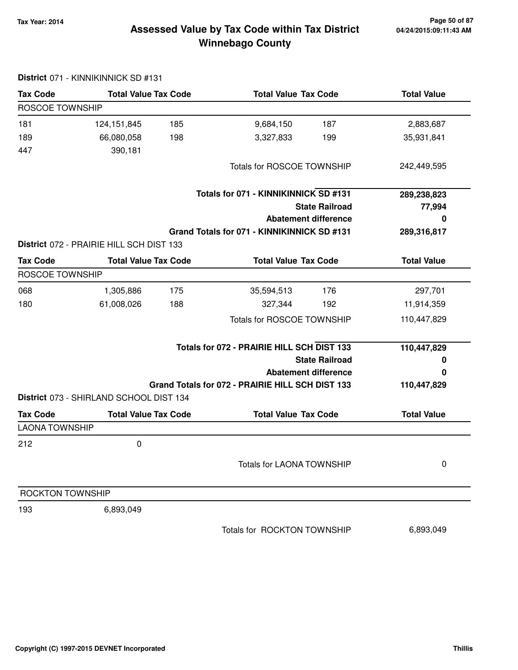# **Tax Year: 2014 Page 50 of 87 Winnebago County Assessed Value by Tax Code within Tax District**

|                         | District 071 - KINNIKINNICK SD #131      |     |                                                  |                             |                    |
|-------------------------|------------------------------------------|-----|--------------------------------------------------|-----------------------------|--------------------|
| <b>Tax Code</b>         | <b>Total Value Tax Code</b>              |     | <b>Total Value Tax Code</b>                      |                             | <b>Total Value</b> |
| ROSCOE TOWNSHIP         |                                          |     |                                                  |                             |                    |
| 181                     | 124, 151, 845                            | 185 | 9,684,150                                        | 187                         | 2,883,687          |
| 189                     | 66,080,058                               | 198 | 3,327,833                                        | 199                         | 35,931,841         |
| 447                     | 390,181                                  |     |                                                  |                             |                    |
|                         |                                          |     | <b>Totals for ROSCOE TOWNSHIP</b>                |                             | 242,449,595        |
|                         |                                          |     | Totals for 071 - KINNIKINNICK SD #131            |                             | 289,238,823        |
|                         |                                          |     |                                                  | <b>State Railroad</b>       | 77,994             |
|                         |                                          |     |                                                  | <b>Abatement difference</b> | 0                  |
|                         |                                          |     | Grand Totals for 071 - KINNIKINNICK SD #131      |                             | 289,316,817        |
|                         | District 072 - PRAIRIE HILL SCH DIST 133 |     |                                                  |                             |                    |
| <b>Tax Code</b>         | <b>Total Value Tax Code</b>              |     | <b>Total Value Tax Code</b>                      |                             | <b>Total Value</b> |
| <b>ROSCOE TOWNSHIP</b>  |                                          |     |                                                  |                             |                    |
| 068                     | 1,305,886                                | 175 | 35,594,513                                       | 176                         | 297,701            |
| 180                     | 61,008,026                               | 188 | 327,344                                          | 192                         | 11,914,359         |
|                         |                                          |     | <b>Totals for ROSCOE TOWNSHIP</b>                |                             | 110,447,829        |
|                         |                                          |     | Totals for 072 - PRAIRIE HILL SCH DIST 133       |                             | 110,447,829        |
|                         |                                          |     |                                                  | <b>State Railroad</b>       | 0                  |
|                         |                                          |     |                                                  | <b>Abatement difference</b> | 0                  |
|                         |                                          |     | Grand Totals for 072 - PRAIRIE HILL SCH DIST 133 |                             | 110,447,829        |
|                         | District 073 - SHIRLAND SCHOOL DIST 134  |     |                                                  |                             |                    |
| <b>Tax Code</b>         | <b>Total Value Tax Code</b>              |     | <b>Total Value Tax Code</b>                      |                             | <b>Total Value</b> |
| <b>LAONA TOWNSHIP</b>   |                                          |     |                                                  |                             |                    |
| 212                     | 0                                        |     |                                                  |                             |                    |
|                         |                                          |     | <b>Totals for LAONA TOWNSHIP</b>                 |                             | 0                  |
| <b>ROCKTON TOWNSHIP</b> |                                          |     |                                                  |                             |                    |
| 193                     | 6,893,049                                |     |                                                  |                             |                    |
|                         |                                          |     | Totals for ROCKTON TOWNSHIP                      |                             | 6,893,049          |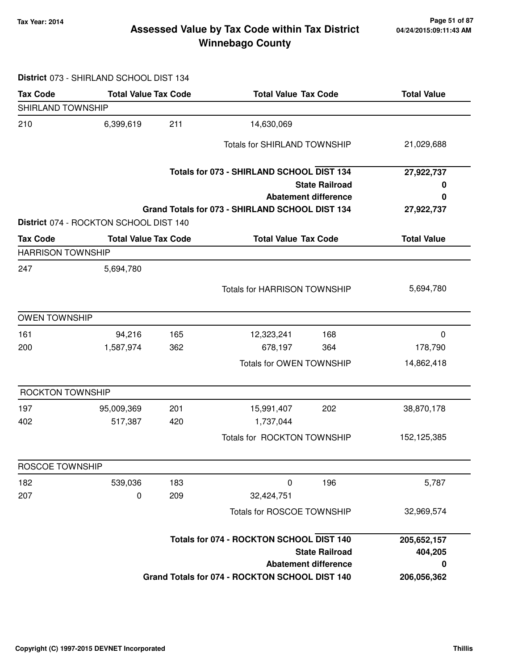### **Tax Year: 2014 Page 51 of 87 Winnebago County Assessed Value by Tax Code within Tax District**

#### **District** 073 - SHIRLAND SCHOOL DIST 134

| <b>Tax Code</b>          | <b>Total Value Tax Code</b>            |     | <b>Total Value Tax Code</b>                     |                             | <b>Total Value</b> |
|--------------------------|----------------------------------------|-----|-------------------------------------------------|-----------------------------|--------------------|
| SHIRLAND TOWNSHIP        |                                        |     |                                                 |                             |                    |
| 210                      | 6,399,619                              | 211 | 14,630,069                                      |                             |                    |
|                          |                                        |     | <b>Totals for SHIRLAND TOWNSHIP</b>             |                             | 21,029,688         |
|                          |                                        |     | Totals for 073 - SHIRLAND SCHOOL DIST 134       |                             | 27,922,737         |
|                          |                                        |     |                                                 | <b>State Railroad</b>       | 0                  |
|                          |                                        |     |                                                 | <b>Abatement difference</b> | 0                  |
|                          | District 074 - ROCKTON SCHOOL DIST 140 |     | Grand Totals for 073 - SHIRLAND SCHOOL DIST 134 |                             | 27,922,737         |
| <b>Tax Code</b>          | <b>Total Value Tax Code</b>            |     | <b>Total Value Tax Code</b>                     |                             | <b>Total Value</b> |
| <b>HARRISON TOWNSHIP</b> |                                        |     |                                                 |                             |                    |
| 247                      | 5,694,780                              |     |                                                 |                             |                    |
|                          |                                        |     | <b>Totals for HARRISON TOWNSHIP</b>             |                             | 5,694,780          |
| <b>OWEN TOWNSHIP</b>     |                                        |     |                                                 |                             |                    |
| 161                      | 94,216                                 | 165 | 12,323,241                                      | 168                         | 0                  |
| 200                      | 1,587,974                              | 362 | 678,197                                         | 364                         | 178,790            |
|                          |                                        |     | Totals for OWEN TOWNSHIP                        |                             | 14,862,418         |
| ROCKTON TOWNSHIP         |                                        |     |                                                 |                             |                    |
| 197                      | 95,009,369                             | 201 | 15,991,407                                      | 202                         | 38,870,178         |
| 402                      | 517,387                                | 420 | 1,737,044                                       |                             |                    |
|                          |                                        |     | Totals for ROCKTON TOWNSHIP                     |                             | 152,125,385        |
| ROSCOE TOWNSHIP          |                                        |     |                                                 |                             |                    |
| 182                      | 539,036                                | 183 | $\pmb{0}$                                       | 196                         | 5,787              |
| 207                      | 0                                      | 209 | 32,424,751                                      |                             |                    |
|                          |                                        |     | Totals for ROSCOE TOWNSHIP                      |                             | 32,969,574         |
|                          |                                        |     | Totals for 074 - ROCKTON SCHOOL DIST 140        |                             | 205,652,157        |
|                          |                                        |     | <b>State Railroad</b>                           | 404,205                     |                    |
|                          |                                        |     |                                                 | <b>Abatement difference</b> | 0                  |
|                          |                                        |     | Grand Totals for 074 - ROCKTON SCHOOL DIST 140  |                             | 206,056,362        |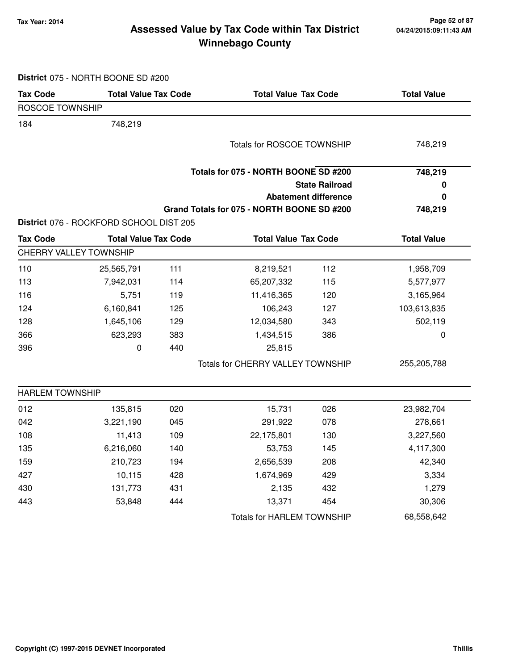### **Tax Year: 2014 Page 52 of 87 Winnebago County Assessed Value by Tax Code within Tax District**

**District** 075 - NORTH BOONE SD #200

| ROSCOE TOWNSHIP<br>184<br>748,219<br>Totals for ROSCOE TOWNSHIP<br>Totals for 075 - NORTH BOONE SD #200<br><b>State Railroad</b><br><b>Abatement difference</b><br>Grand Totals for 075 - NORTH BOONE SD #200<br>District 076 - ROCKFORD SCHOOL DIST 205<br><b>Tax Code</b><br><b>Total Value Tax Code</b><br><b>Total Value Tax Code</b><br>CHERRY VALLEY TOWNSHIP<br>111<br>112<br>110<br>8,219,521<br>25,565,791<br>113<br>65,207,332<br>7,942,031<br>114<br>115<br>5,751<br>11,416,365<br>120<br>116<br>119<br>127<br>124<br>6,160,841<br>125<br>106,243<br>128<br>1,645,106<br>129<br>12,034,580<br>343<br>623,293<br>1,434,515<br>366<br>383<br>386<br>440<br>396<br>0<br>25,815<br>Totals for CHERRY VALLEY TOWNSHIP<br><b>HARLEM TOWNSHIP</b><br>012<br>026<br>135,815<br>020<br>15,731<br>042<br>3,221,190<br>045<br>291,922<br>078<br>108<br>11,413<br>109<br>22,175,801<br>130<br>135<br>53,753<br>145<br>6,216,060<br>140<br>159<br>210,723<br>194<br>2,656,539<br>208<br>427<br>10,115<br>428<br>1,674,969<br>429<br>430<br>131,773<br>431<br>2,135<br>432 | <b>Tax Code</b> | <b>Total Value Tax Code</b> |     |        | <b>Total Value Tax Code</b> |                    |
|-------------------------------------------------------------------------------------------------------------------------------------------------------------------------------------------------------------------------------------------------------------------------------------------------------------------------------------------------------------------------------------------------------------------------------------------------------------------------------------------------------------------------------------------------------------------------------------------------------------------------------------------------------------------------------------------------------------------------------------------------------------------------------------------------------------------------------------------------------------------------------------------------------------------------------------------------------------------------------------------------------------------------------------------------------------------------|-----------------|-----------------------------|-----|--------|-----------------------------|--------------------|
|                                                                                                                                                                                                                                                                                                                                                                                                                                                                                                                                                                                                                                                                                                                                                                                                                                                                                                                                                                                                                                                                         |                 |                             |     |        |                             |                    |
|                                                                                                                                                                                                                                                                                                                                                                                                                                                                                                                                                                                                                                                                                                                                                                                                                                                                                                                                                                                                                                                                         |                 |                             |     |        |                             |                    |
|                                                                                                                                                                                                                                                                                                                                                                                                                                                                                                                                                                                                                                                                                                                                                                                                                                                                                                                                                                                                                                                                         |                 |                             |     |        |                             | 748,219            |
|                                                                                                                                                                                                                                                                                                                                                                                                                                                                                                                                                                                                                                                                                                                                                                                                                                                                                                                                                                                                                                                                         |                 |                             |     |        |                             | 748,219            |
|                                                                                                                                                                                                                                                                                                                                                                                                                                                                                                                                                                                                                                                                                                                                                                                                                                                                                                                                                                                                                                                                         |                 |                             |     |        |                             | 0                  |
|                                                                                                                                                                                                                                                                                                                                                                                                                                                                                                                                                                                                                                                                                                                                                                                                                                                                                                                                                                                                                                                                         |                 |                             |     |        |                             | 0                  |
|                                                                                                                                                                                                                                                                                                                                                                                                                                                                                                                                                                                                                                                                                                                                                                                                                                                                                                                                                                                                                                                                         |                 |                             |     |        |                             | 748,219            |
|                                                                                                                                                                                                                                                                                                                                                                                                                                                                                                                                                                                                                                                                                                                                                                                                                                                                                                                                                                                                                                                                         |                 |                             |     |        |                             |                    |
|                                                                                                                                                                                                                                                                                                                                                                                                                                                                                                                                                                                                                                                                                                                                                                                                                                                                                                                                                                                                                                                                         |                 |                             |     |        |                             | <b>Total Value</b> |
|                                                                                                                                                                                                                                                                                                                                                                                                                                                                                                                                                                                                                                                                                                                                                                                                                                                                                                                                                                                                                                                                         |                 |                             |     |        |                             |                    |
|                                                                                                                                                                                                                                                                                                                                                                                                                                                                                                                                                                                                                                                                                                                                                                                                                                                                                                                                                                                                                                                                         |                 |                             |     |        |                             | 1,958,709          |
|                                                                                                                                                                                                                                                                                                                                                                                                                                                                                                                                                                                                                                                                                                                                                                                                                                                                                                                                                                                                                                                                         |                 |                             |     |        |                             | 5,577,977          |
|                                                                                                                                                                                                                                                                                                                                                                                                                                                                                                                                                                                                                                                                                                                                                                                                                                                                                                                                                                                                                                                                         |                 |                             |     |        |                             | 3,165,964          |
|                                                                                                                                                                                                                                                                                                                                                                                                                                                                                                                                                                                                                                                                                                                                                                                                                                                                                                                                                                                                                                                                         |                 |                             |     |        |                             | 103,613,835        |
|                                                                                                                                                                                                                                                                                                                                                                                                                                                                                                                                                                                                                                                                                                                                                                                                                                                                                                                                                                                                                                                                         |                 |                             |     |        |                             | 502,119            |
|                                                                                                                                                                                                                                                                                                                                                                                                                                                                                                                                                                                                                                                                                                                                                                                                                                                                                                                                                                                                                                                                         |                 |                             |     |        |                             | $\pmb{0}$          |
|                                                                                                                                                                                                                                                                                                                                                                                                                                                                                                                                                                                                                                                                                                                                                                                                                                                                                                                                                                                                                                                                         |                 |                             |     |        |                             |                    |
|                                                                                                                                                                                                                                                                                                                                                                                                                                                                                                                                                                                                                                                                                                                                                                                                                                                                                                                                                                                                                                                                         |                 |                             |     |        |                             | 255,205,788        |
|                                                                                                                                                                                                                                                                                                                                                                                                                                                                                                                                                                                                                                                                                                                                                                                                                                                                                                                                                                                                                                                                         |                 |                             |     |        |                             |                    |
|                                                                                                                                                                                                                                                                                                                                                                                                                                                                                                                                                                                                                                                                                                                                                                                                                                                                                                                                                                                                                                                                         |                 |                             |     |        |                             | 23,982,704         |
|                                                                                                                                                                                                                                                                                                                                                                                                                                                                                                                                                                                                                                                                                                                                                                                                                                                                                                                                                                                                                                                                         |                 |                             |     |        |                             | 278,661            |
|                                                                                                                                                                                                                                                                                                                                                                                                                                                                                                                                                                                                                                                                                                                                                                                                                                                                                                                                                                                                                                                                         |                 |                             |     |        |                             | 3,227,560          |
|                                                                                                                                                                                                                                                                                                                                                                                                                                                                                                                                                                                                                                                                                                                                                                                                                                                                                                                                                                                                                                                                         |                 |                             |     |        |                             | 4,117,300          |
|                                                                                                                                                                                                                                                                                                                                                                                                                                                                                                                                                                                                                                                                                                                                                                                                                                                                                                                                                                                                                                                                         |                 |                             |     |        |                             | 42,340             |
|                                                                                                                                                                                                                                                                                                                                                                                                                                                                                                                                                                                                                                                                                                                                                                                                                                                                                                                                                                                                                                                                         |                 |                             |     |        |                             | 3,334              |
|                                                                                                                                                                                                                                                                                                                                                                                                                                                                                                                                                                                                                                                                                                                                                                                                                                                                                                                                                                                                                                                                         |                 |                             |     |        |                             | 1,279              |
| 443                                                                                                                                                                                                                                                                                                                                                                                                                                                                                                                                                                                                                                                                                                                                                                                                                                                                                                                                                                                                                                                                     |                 | 53,848                      | 444 | 13,371 | 454                         | 30,306             |
| <b>Totals for HARLEM TOWNSHIP</b>                                                                                                                                                                                                                                                                                                                                                                                                                                                                                                                                                                                                                                                                                                                                                                                                                                                                                                                                                                                                                                       |                 |                             |     |        |                             | 68,558,642         |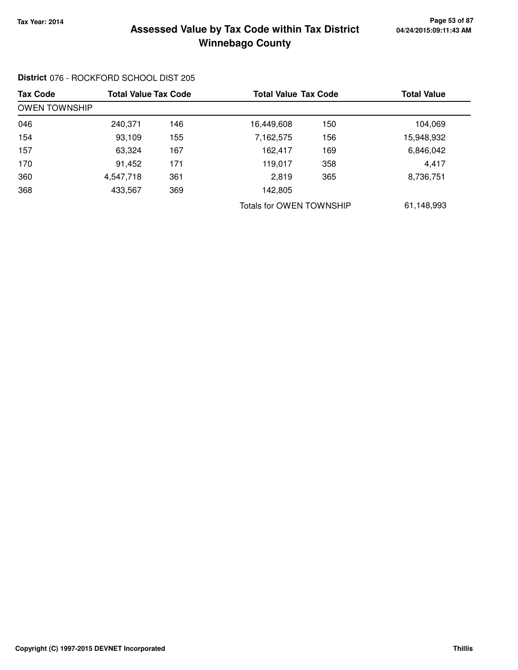### **Tax Year: 2014 Page 53 of 87 Winnebago County Assessed Value by Tax Code within Tax District**

# **District** 076 - ROCKFORD SCHOOL DIST 205

| <b>Tax Code</b> |                      | <b>Total Value Tax Code</b> |                          | <b>Total Value Tax Code</b> |            |  |  |  |  |
|-----------------|----------------------|-----------------------------|--------------------------|-----------------------------|------------|--|--|--|--|
|                 | <b>OWEN TOWNSHIP</b> |                             |                          |                             |            |  |  |  |  |
| 046             | 240,371              | 146                         | 16,449,608               | 150                         | 104,069    |  |  |  |  |
| 154             | 93,109               | 155                         | 7,162,575                | 156                         | 15,948,932 |  |  |  |  |
| 157             | 63,324               | 167                         | 162,417                  | 169                         | 6,846,042  |  |  |  |  |
| 170             | 91,452               | 171                         | 119,017                  | 358                         | 4,417      |  |  |  |  |
| 360             | 4,547,718            | 361                         | 2,819                    | 365                         | 8,736,751  |  |  |  |  |
| 368             | 433,567              | 369                         | 142,805                  |                             |            |  |  |  |  |
|                 |                      |                             | Totals for OWEN TOWNSHIP |                             | 61,148,993 |  |  |  |  |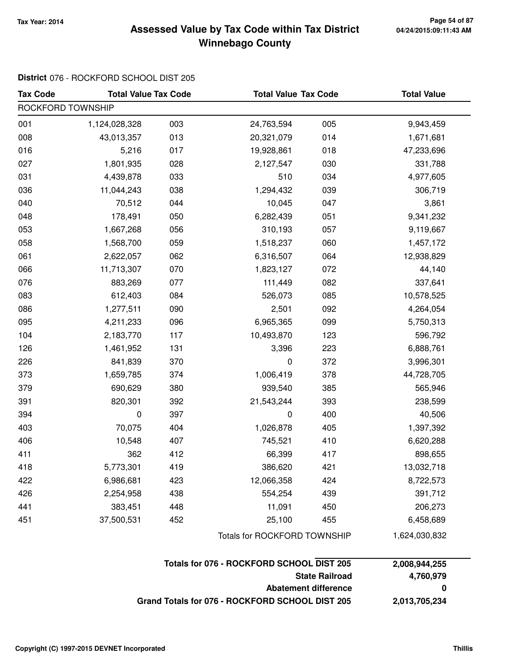### **Tax Year: 2014 Page 54 of 87 Winnebago County Assessed Value by Tax Code within Tax District**

# **District** 076 - ROCKFORD SCHOOL DIST 205

| <b>Tax Code</b>   | <b>Total Value Tax Code</b> |     |                              | <b>Total Value Tax Code</b> |               |  |
|-------------------|-----------------------------|-----|------------------------------|-----------------------------|---------------|--|
| ROCKFORD TOWNSHIP |                             |     |                              |                             |               |  |
| 001               | 1,124,028,328               | 003 | 24,763,594                   | 005                         | 9,943,459     |  |
| 008               | 43,013,357                  | 013 | 20,321,079                   | 014                         | 1,671,681     |  |
| 016               | 5,216                       | 017 | 19,928,861                   | 018                         | 47,233,696    |  |
| 027               | 1,801,935                   | 028 | 2,127,547                    | 030                         | 331,788       |  |
| 031               | 4,439,878                   | 033 | 510                          | 034                         | 4,977,605     |  |
| 036               | 11,044,243                  | 038 | 1,294,432                    | 039                         | 306,719       |  |
| 040               | 70,512                      | 044 | 10,045                       | 047                         | 3,861         |  |
| 048               | 178,491                     | 050 | 6,282,439                    | 051                         | 9,341,232     |  |
| 053               | 1,667,268                   | 056 | 310,193                      | 057                         | 9,119,667     |  |
| 058               | 1,568,700                   | 059 | 1,518,237                    | 060                         | 1,457,172     |  |
| 061               | 2,622,057                   | 062 | 6,316,507                    | 064                         | 12,938,829    |  |
| 066               | 11,713,307                  | 070 | 1,823,127                    | 072                         | 44,140        |  |
| 076               | 883,269                     | 077 | 111,449                      | 082                         | 337,641       |  |
| 083               | 612,403                     | 084 | 526,073                      | 085                         | 10,578,525    |  |
| 086               | 1,277,511                   | 090 | 2,501                        | 092                         | 4,264,054     |  |
| 095               | 4,211,233                   | 096 | 6,965,365                    | 099                         | 5,750,313     |  |
| 104               | 2,183,770                   | 117 | 10,493,870                   | 123                         | 596,792       |  |
| 126               | 1,461,952                   | 131 | 3,396                        | 223                         | 6,888,761     |  |
| 226               | 841,839                     | 370 | 0                            | 372                         | 3,996,301     |  |
| 373               | 1,659,785                   | 374 | 1,006,419                    | 378                         | 44,728,705    |  |
| 379               | 690,629                     | 380 | 939,540                      | 385                         | 565,946       |  |
| 391               | 820,301                     | 392 | 21,543,244                   | 393                         | 238,599       |  |
| 394               | 0                           | 397 | 0                            | 400                         | 40,506        |  |
| 403               | 70,075                      | 404 | 1,026,878                    | 405                         | 1,397,392     |  |
| 406               | 10,548                      | 407 | 745,521                      | 410                         | 6,620,288     |  |
| 411               | 362                         | 412 | 66,399                       | 417                         | 898,655       |  |
| 418               | 5,773,301                   | 419 | 386,620                      | 421                         | 13,032,718    |  |
| 422               | 6,986,681                   | 423 | 12,066,358                   | 424                         | 8,722,573     |  |
| 426               | 2,254,958                   | 438 | 554,254                      | 439                         | 391,712       |  |
| 441               | 383,451                     | 448 | 11,091                       | 450                         | 206,273       |  |
| 451               | 37,500,531                  | 452 | 25,100                       | 455                         | 6,458,689     |  |
|                   |                             |     | Totals for ROCKFORD TOWNSHIP |                             | 1,624,030,832 |  |

| Totals for 076 - ROCKFORD SCHOOL DIST 205       | 2.008.944.255 |
|-------------------------------------------------|---------------|
| <b>State Railroad</b>                           | 4.760.979     |
| Abatement difference                            | $\mathbf{u}$  |
| Grand Totals for 076 - ROCKFORD SCHOOL DIST 205 | 2,013,705,234 |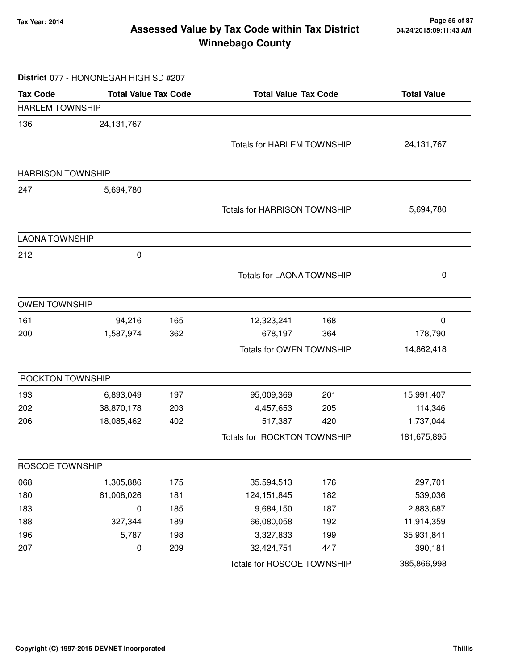### **Tax Year: 2014 Page 55 of 87 Winnebago County Assessed Value by Tax Code within Tax District**

#### **District** 077 - HONONEGAH HIGH SD #207

| <b>Tax Code</b>          | <b>Total Value Tax Code</b> |     | <b>Total Value Tax Code</b>         |     | <b>Total Value</b> |
|--------------------------|-----------------------------|-----|-------------------------------------|-----|--------------------|
| <b>HARLEM TOWNSHIP</b>   |                             |     |                                     |     |                    |
| 136                      | 24, 131, 767                |     |                                     |     |                    |
|                          |                             |     | <b>Totals for HARLEM TOWNSHIP</b>   |     | 24, 131, 767       |
|                          |                             |     |                                     |     |                    |
| <b>HARRISON TOWNSHIP</b> |                             |     |                                     |     |                    |
| 247                      | 5,694,780                   |     |                                     |     |                    |
|                          |                             |     | <b>Totals for HARRISON TOWNSHIP</b> |     | 5,694,780          |
| <b>LAONA TOWNSHIP</b>    |                             |     |                                     |     |                    |
| 212                      | 0                           |     |                                     |     |                    |
|                          |                             |     | <b>Totals for LAONA TOWNSHIP</b>    |     | 0                  |
| <b>OWEN TOWNSHIP</b>     |                             |     |                                     |     |                    |
| 161                      | 94,216                      | 165 | 12,323,241                          | 168 | 0                  |
| 200                      | 1,587,974                   | 362 | 678,197                             | 364 | 178,790            |
|                          |                             |     | Totals for OWEN TOWNSHIP            |     | 14,862,418         |
| <b>ROCKTON TOWNSHIP</b>  |                             |     |                                     |     |                    |
| 193                      | 6,893,049                   | 197 | 95,009,369                          | 201 | 15,991,407         |
| 202                      | 38,870,178                  | 203 | 4,457,653                           | 205 | 114,346            |
| 206                      | 18,085,462                  | 402 | 517,387                             | 420 | 1,737,044          |
|                          |                             |     | Totals for ROCKTON TOWNSHIP         |     | 181,675,895        |
| ROSCOE TOWNSHIP          |                             |     |                                     |     |                    |
| 068                      | 1,305,886                   | 175 | 35,594,513                          | 176 | 297,701            |
| 180                      | 61,008,026                  | 181 | 124, 151, 845                       | 182 | 539,036            |
| 183                      | 0                           | 185 | 9,684,150                           | 187 | 2,883,687          |
| 188                      | 327,344                     | 189 | 66,080,058                          | 192 | 11,914,359         |
| 196                      | 5,787                       | 198 | 3,327,833                           | 199 | 35,931,841         |
| 207                      | 0                           | 209 | 32,424,751                          | 447 | 390,181            |
|                          |                             |     | Totals for ROSCOE TOWNSHIP          |     | 385,866,998        |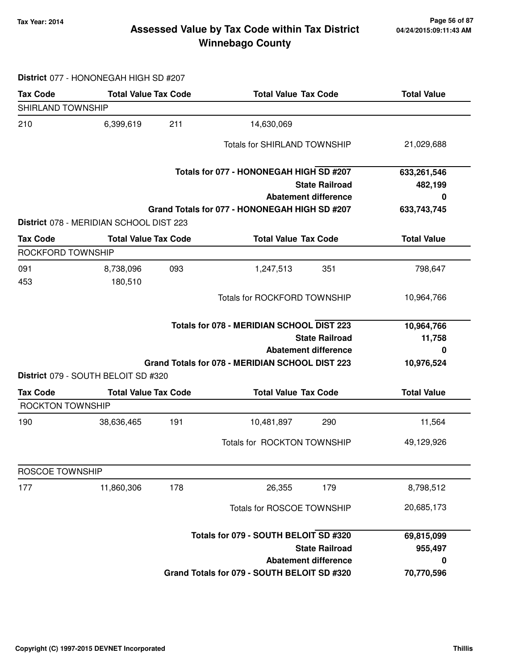### **Tax Year: 2014 Page 56 of 87 Winnebago County Assessed Value by Tax Code within Tax District**

**District** 077 - HONONEGAH HIGH SD #207

| <b>Tax Code</b>   | <b>Total Value Tax Code</b>             |     | <b>Total Value Tax Code</b>                      | <b>Total Value</b> |
|-------------------|-----------------------------------------|-----|--------------------------------------------------|--------------------|
| SHIRLAND TOWNSHIP |                                         |     |                                                  |                    |
| 210               | 6,399,619                               | 211 | 14,630,069                                       |                    |
|                   |                                         |     | Totals for SHIRLAND TOWNSHIP                     | 21,029,688         |
|                   |                                         |     | Totals for 077 - HONONEGAH HIGH SD #207          | 633,261,546        |
|                   |                                         |     | <b>State Railroad</b>                            | 482,199            |
|                   |                                         |     | <b>Abatement difference</b>                      | 0                  |
|                   |                                         |     | Grand Totals for 077 - HONONEGAH HIGH SD #207    | 633,743,745        |
|                   | District 078 - MERIDIAN SCHOOL DIST 223 |     |                                                  |                    |
| <b>Tax Code</b>   | <b>Total Value Tax Code</b>             |     | <b>Total Value Tax Code</b>                      | <b>Total Value</b> |
| ROCKFORD TOWNSHIP |                                         |     |                                                  |                    |
| 091<br>453        | 8,738,096<br>180,510                    | 093 | 351<br>1,247,513                                 | 798,647            |
|                   |                                         |     | Totals for ROCKFORD TOWNSHIP                     | 10,964,766         |
|                   |                                         |     | <b>Totals for 078 - MERIDIAN SCHOOL DIST 223</b> | 10,964,766         |
|                   |                                         |     | <b>State Railroad</b>                            | 11,758             |
|                   |                                         |     | <b>Abatement difference</b>                      | 0                  |
|                   | District 079 - SOUTH BELOIT SD #320     |     | Grand Totals for 078 - MERIDIAN SCHOOL DIST 223  | 10,976,524         |
| <b>Tax Code</b>   | <b>Total Value Tax Code</b>             |     | <b>Total Value Tax Code</b>                      | <b>Total Value</b> |
| ROCKTON TOWNSHIP  |                                         |     |                                                  |                    |
| 190               | 38,636,465                              | 191 | 10,481,897<br>290                                | 11,564             |
|                   |                                         |     | Totals for ROCKTON TOWNSHIP                      | 49,129,926         |
| ROSCOE TOWNSHIP   |                                         |     |                                                  |                    |
| 177               | 11,860,306                              | 178 | 26,355<br>179                                    | 8,798,512          |
|                   |                                         |     | Totals for ROSCOE TOWNSHIP                       | 20,685,173         |
|                   |                                         |     | Totals for 079 - SOUTH BELOIT SD #320            | 69,815,099         |
|                   |                                         |     | <b>State Railroad</b>                            | 955,497            |
|                   |                                         |     | <b>Abatement difference</b>                      | 0                  |
|                   |                                         |     | Grand Totals for 079 - SOUTH BELOIT SD #320      | 70,770,596         |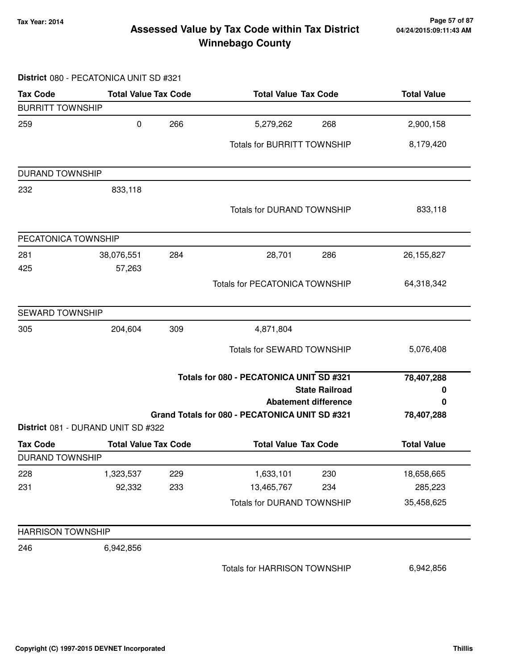### **Tax Year: 2014 Page 57 of 87 Winnebago County Assessed Value by Tax Code within Tax District**

# **District** 080 - PECATONICA UNIT SD #321

| <b>Tax Code</b>          | <b>Total Value Tax Code</b>        |     | <b>Total Value Tax Code</b>                    |                             | <b>Total Value</b> |  |
|--------------------------|------------------------------------|-----|------------------------------------------------|-----------------------------|--------------------|--|
| <b>BURRITT TOWNSHIP</b>  |                                    |     |                                                |                             |                    |  |
| 259                      | 0                                  | 266 | 5,279,262                                      | 268                         | 2,900,158          |  |
|                          |                                    |     | <b>Totals for BURRITT TOWNSHIP</b>             |                             | 8,179,420          |  |
| <b>DURAND TOWNSHIP</b>   |                                    |     |                                                |                             |                    |  |
| 232                      | 833,118                            |     |                                                |                             |                    |  |
|                          |                                    |     | Totals for DURAND TOWNSHIP                     |                             | 833,118            |  |
| PECATONICA TOWNSHIP      |                                    |     |                                                |                             |                    |  |
| 281                      | 38,076,551                         | 284 | 28,701                                         | 286                         | 26, 155, 827       |  |
| 425                      | 57,263                             |     |                                                |                             |                    |  |
|                          |                                    |     | <b>Totals for PECATONICA TOWNSHIP</b>          |                             | 64,318,342         |  |
| SEWARD TOWNSHIP          |                                    |     |                                                |                             |                    |  |
| 305                      | 204,604                            | 309 | 4,871,804                                      |                             |                    |  |
|                          |                                    |     | <b>Totals for SEWARD TOWNSHIP</b>              |                             | 5,076,408          |  |
|                          |                                    |     | Totals for 080 - PECATONICA UNIT SD #321       |                             | 78,407,288         |  |
|                          |                                    |     |                                                | <b>State Railroad</b>       | 0                  |  |
|                          |                                    |     | Grand Totals for 080 - PECATONICA UNIT SD #321 | <b>Abatement difference</b> | 0<br>78,407,288    |  |
|                          | District 081 - DURAND UNIT SD #322 |     |                                                |                             |                    |  |
| <b>Tax Code</b>          | <b>Total Value Tax Code</b>        |     | <b>Total Value Tax Code</b>                    |                             | <b>Total Value</b> |  |
| <b>DURAND TOWNSHIP</b>   |                                    |     |                                                |                             |                    |  |
| 228                      | 1,323,537                          | 229 | 1,633,101                                      | 230                         | 18,658,665         |  |
| 231                      | 92,332                             | 233 | 13,465,767                                     | 234                         | 285,223            |  |
|                          |                                    |     | Totals for DURAND TOWNSHIP                     |                             | 35,458,625         |  |
| <b>HARRISON TOWNSHIP</b> |                                    |     |                                                |                             |                    |  |
| 246                      | 6,942,856                          |     |                                                |                             |                    |  |
|                          |                                    |     | Totals for HARRISON TOWNSHIP                   |                             | 6,942,856          |  |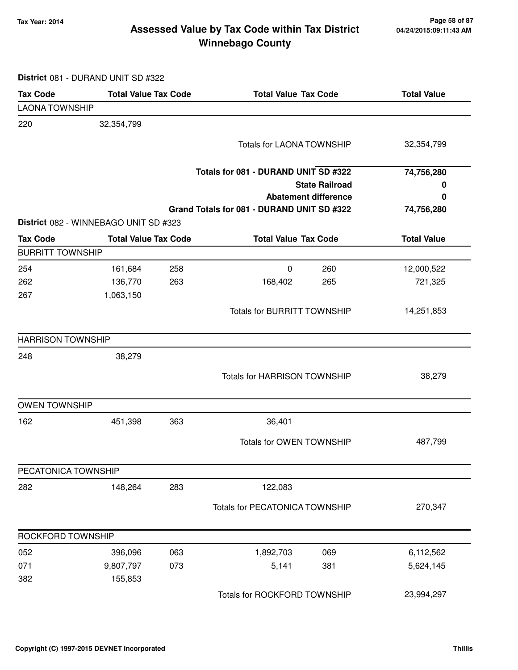### **Tax Year: 2014 Page 58 of 87 Winnebago County Assessed Value by Tax Code within Tax District**

**District** 081 - DURAND UNIT SD #322

| <b>Tax Code</b>          | <b>Total Value Tax Code</b>           |     | <b>Total Value Tax Code</b>                |                             | <b>Total Value</b> |
|--------------------------|---------------------------------------|-----|--------------------------------------------|-----------------------------|--------------------|
| <b>LAONA TOWNSHIP</b>    |                                       |     |                                            |                             |                    |
| 220                      | 32,354,799                            |     |                                            |                             |                    |
|                          |                                       |     | <b>Totals for LAONA TOWNSHIP</b>           |                             | 32,354,799         |
|                          |                                       |     |                                            |                             |                    |
|                          |                                       |     | Totals for 081 - DURAND UNIT SD #322       |                             | 74,756,280         |
|                          |                                       |     |                                            | <b>State Railroad</b>       | 0                  |
|                          |                                       |     | Grand Totals for 081 - DURAND UNIT SD #322 | <b>Abatement difference</b> | 0                  |
|                          | District 082 - WINNEBAGO UNIT SD #323 |     |                                            |                             | 74,756,280         |
| <b>Tax Code</b>          | <b>Total Value Tax Code</b>           |     | <b>Total Value Tax Code</b>                |                             | <b>Total Value</b> |
| <b>BURRITT TOWNSHIP</b>  |                                       |     |                                            |                             |                    |
| 254                      | 161,684                               | 258 | $\mathbf 0$                                | 260                         | 12,000,522         |
| 262                      | 136,770                               | 263 | 168,402                                    | 265                         | 721,325            |
| 267                      | 1,063,150                             |     |                                            |                             |                    |
|                          |                                       |     | <b>Totals for BURRITT TOWNSHIP</b>         |                             | 14,251,853         |
| <b>HARRISON TOWNSHIP</b> |                                       |     |                                            |                             |                    |
| 248                      | 38,279                                |     |                                            |                             |                    |
|                          |                                       |     |                                            |                             |                    |
|                          |                                       |     | <b>Totals for HARRISON TOWNSHIP</b>        |                             | 38,279             |
| <b>OWEN TOWNSHIP</b>     |                                       |     |                                            |                             |                    |
| 162                      | 451,398                               | 363 | 36,401                                     |                             |                    |
|                          |                                       |     | Totals for OWEN TOWNSHIP                   |                             | 487,799            |
| PECATONICA TOWNSHIP      |                                       |     |                                            |                             |                    |
| 282                      | 148,264                               | 283 | 122,083                                    |                             |                    |
|                          |                                       |     | <b>Totals for PECATONICA TOWNSHIP</b>      |                             | 270,347            |
| ROCKFORD TOWNSHIP        |                                       |     |                                            |                             |                    |
| 052                      | 396,096                               | 063 | 1,892,703                                  | 069                         | 6,112,562          |
| 071                      | 9,807,797                             | 073 | 5,141                                      | 381                         | 5,624,145          |
| 382                      | 155,853                               |     |                                            |                             |                    |
|                          |                                       |     | Totals for ROCKFORD TOWNSHIP               |                             | 23,994,297         |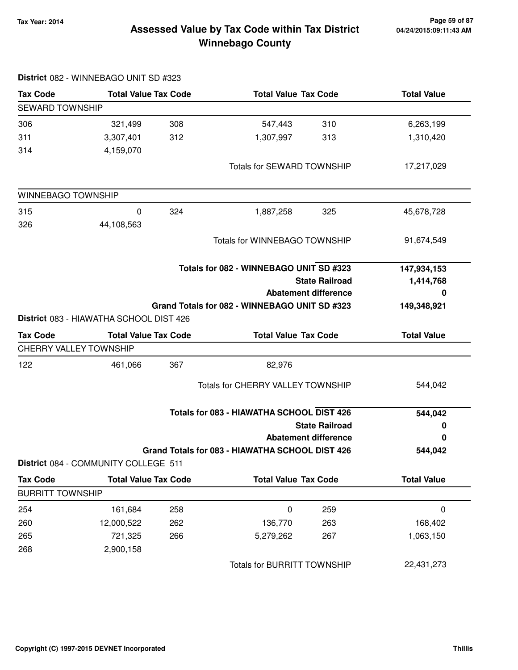# **Tax Year: 2014 Page 59 of 87 Winnebago County Assessed Value by Tax Code within Tax District**

| <b>Tax Code</b>         | <b>Total Value Tax Code</b>             |     |                                                 | <b>Total Value Tax Code</b> |                    |
|-------------------------|-----------------------------------------|-----|-------------------------------------------------|-----------------------------|--------------------|
| <b>SEWARD TOWNSHIP</b>  |                                         |     |                                                 |                             |                    |
| 306                     | 321,499                                 | 308 | 547,443                                         | 310                         | 6,263,199          |
| 311                     | 3,307,401                               | 312 | 1,307,997                                       | 313                         | 1,310,420          |
| 314                     | 4,159,070                               |     |                                                 |                             |                    |
|                         |                                         |     | Totals for SEWARD TOWNSHIP                      |                             | 17,217,029         |
| WINNEBAGO TOWNSHIP      |                                         |     |                                                 |                             |                    |
| 315                     | $\pmb{0}$                               | 324 | 1,887,258                                       | 325                         | 45,678,728         |
| 326                     | 44,108,563                              |     |                                                 |                             |                    |
|                         |                                         |     | Totals for WINNEBAGO TOWNSHIP                   |                             | 91,674,549         |
|                         |                                         |     | Totals for 082 - WINNEBAGO UNIT SD #323         |                             | 147,934,153        |
|                         |                                         |     |                                                 | <b>State Railroad</b>       | 1,414,768          |
|                         |                                         |     |                                                 | <b>Abatement difference</b> | 0                  |
|                         |                                         |     | Grand Totals for 082 - WINNEBAGO UNIT SD #323   |                             | 149,348,921        |
|                         | District 083 - HIAWATHA SCHOOL DIST 426 |     |                                                 |                             |                    |
| <b>Tax Code</b>         | <b>Total Value Tax Code</b>             |     | <b>Total Value Tax Code</b>                     |                             | <b>Total Value</b> |
| CHERRY VALLEY TOWNSHIP  |                                         |     |                                                 |                             |                    |
| 122                     | 461,066                                 | 367 | 82,976                                          |                             |                    |
|                         |                                         |     | Totals for CHERRY VALLEY TOWNSHIP               |                             | 544,042            |
|                         |                                         |     | Totals for 083 - HIAWATHA SCHOOL DIST 426       |                             | 544,042            |
|                         |                                         |     |                                                 | <b>State Railroad</b>       | 0                  |
|                         |                                         |     |                                                 | <b>Abatement difference</b> | 0                  |
|                         |                                         |     | Grand Totals for 083 - HIAWATHA SCHOOL DIST 426 |                             | 544,042            |
|                         | District 084 - COMMUNITY COLLEGE 511    |     |                                                 |                             |                    |
| <b>Tax Code</b>         | <b>Total Value Tax Code</b>             |     | <b>Total Value Tax Code</b>                     |                             | <b>Total Value</b> |
| <b>BURRITT TOWNSHIP</b> |                                         |     |                                                 |                             |                    |
| 254                     | 161,684                                 | 258 | $\pmb{0}$                                       | 259                         | $\pmb{0}$          |
| 260                     | 12,000,522                              | 262 | 136,770                                         | 263                         | 168,402            |
| 265                     | 721,325                                 | 266 | 5,279,262                                       | 267                         | 1,063,150          |
| 268                     | 2,900,158                               |     |                                                 |                             |                    |
|                         |                                         |     | <b>Totals for BURRITT TOWNSHIP</b>              |                             | 22,431,273         |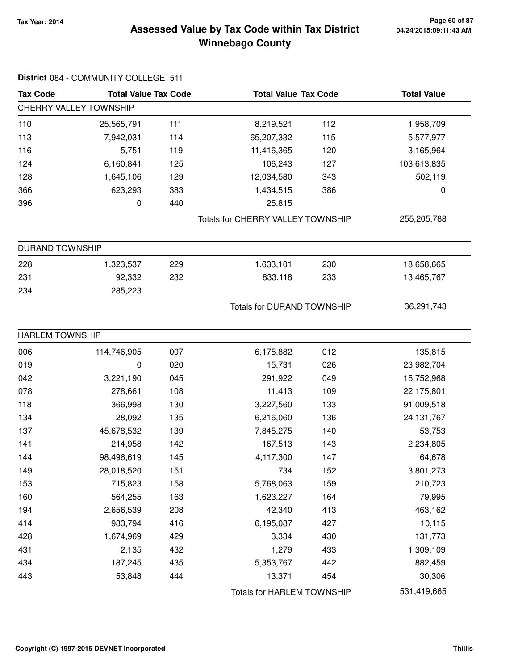# **Tax Year: 2014 Page 60 of 87 Winnebago County Assessed Value by Tax Code within Tax District**

| <b>Tax Code</b>        | <b>Total Value Tax Code</b> |     | <b>Total Value Tax Code</b>              |                                   | <b>Total Value</b> |
|------------------------|-----------------------------|-----|------------------------------------------|-----------------------------------|--------------------|
| CHERRY VALLEY TOWNSHIP |                             |     |                                          |                                   |                    |
| 110                    | 25,565,791                  | 111 | 8,219,521                                | 112                               | 1,958,709          |
| 113                    | 7,942,031                   | 114 | 65,207,332                               | 115                               | 5,577,977          |
| 116                    | 5,751                       | 119 | 11,416,365                               | 120                               | 3,165,964          |
| 124                    | 6,160,841                   | 125 | 106,243                                  | 127                               | 103,613,835        |
| 128                    | 1,645,106                   | 129 | 12,034,580                               | 343                               | 502,119            |
| 366                    | 623,293                     | 383 | 1,434,515                                | 386                               | 0                  |
| 396                    | 0                           | 440 | 25,815                                   |                                   |                    |
|                        |                             |     | <b>Totals for CHERRY VALLEY TOWNSHIP</b> |                                   | 255,205,788        |
| <b>DURAND TOWNSHIP</b> |                             |     |                                          |                                   |                    |
| 228                    | 1,323,537                   | 229 | 1,633,101                                | 230                               | 18,658,665         |
| 231                    | 92,332                      | 232 | 833,118                                  | 233                               | 13,465,767         |
| 234                    | 285,223                     |     |                                          |                                   |                    |
|                        |                             |     |                                          | <b>Totals for DURAND TOWNSHIP</b> |                    |
| <b>HARLEM TOWNSHIP</b> |                             |     |                                          |                                   |                    |
| 006                    | 114,746,905                 | 007 | 6,175,882                                | 012                               | 135,815            |
| 019                    | 0                           | 020 | 15,731                                   | 026                               | 23,982,704         |
| 042                    | 3,221,190                   | 045 | 291,922                                  | 049                               | 15,752,968         |
| 078                    | 278,661                     | 108 | 11,413                                   | 109                               | 22,175,801         |
| 118                    | 366,998                     | 130 | 3,227,560                                | 133                               | 91,009,518         |
| 134                    | 28,092                      | 135 | 6,216,060                                | 136                               | 24, 131, 767       |
| 137                    | 45,678,532                  | 139 | 7,845,275                                | 140                               | 53,753             |
| 141                    | 214,958                     | 142 | 167,513                                  | 143                               | 2,234,805          |
| 144                    | 98,496,619                  | 145 | 4,117,300                                | 147                               | 64,678             |
| 149                    | 28,018,520                  | 151 | 734                                      | 152                               | 3,801,273          |
| 153                    | 715,823                     | 158 | 5,768,063                                | 159                               | 210,723            |
| 160                    | 564,255                     | 163 | 1,623,227                                | 164                               | 79,995             |
| 194                    | 2,656,539                   | 208 | 42,340                                   | 413                               | 463,162            |
| 414                    | 983,794                     | 416 | 6,195,087                                | 427                               | 10,115             |
| 428                    | 1,674,969                   | 429 | 3,334                                    | 430                               | 131,773            |
| 431                    | 2,135                       | 432 | 1,279                                    | 433                               | 1,309,109          |
| 434                    | 187,245                     | 435 | 5,353,767                                | 442                               | 882,459            |
| 443                    | 53,848                      | 444 | 13,371                                   | 454                               | 30,306             |
|                        |                             |     | Totals for HARLEM TOWNSHIP               |                                   | 531,419,665        |

#### **District** 084 - COMMUNITY COLLEGE 511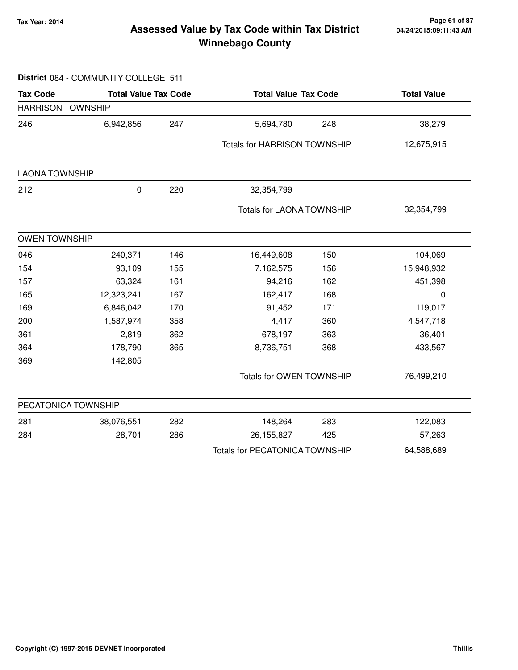### **Tax Year: 2014 Page 61 of 87 Winnebago County Assessed Value by Tax Code within Tax District**

#### **District** 084 - COMMUNITY COLLEGE 511

| <b>Tax Code</b>          | <b>Total Value Tax Code</b> |     |                                       | <b>Total Value Tax Code</b> |             |
|--------------------------|-----------------------------|-----|---------------------------------------|-----------------------------|-------------|
| <b>HARRISON TOWNSHIP</b> |                             |     |                                       |                             |             |
| 246                      | 6,942,856                   | 247 | 5,694,780                             | 248                         | 38,279      |
|                          |                             |     | <b>Totals for HARRISON TOWNSHIP</b>   |                             | 12,675,915  |
| <b>LAONA TOWNSHIP</b>    |                             |     |                                       |                             |             |
| 212                      | $\pmb{0}$                   | 220 | 32,354,799                            |                             |             |
|                          |                             |     | <b>Totals for LAONA TOWNSHIP</b>      |                             | 32,354,799  |
| <b>OWEN TOWNSHIP</b>     |                             |     |                                       |                             |             |
| 046                      | 240,371                     | 146 | 16,449,608                            | 150                         | 104,069     |
| 154                      | 93,109                      | 155 | 7,162,575                             | 156                         | 15,948,932  |
| 157                      | 63,324                      | 161 | 94,216                                | 162                         | 451,398     |
| 165                      | 12,323,241                  | 167 | 162,417                               | 168                         | $\mathbf 0$ |
| 169                      | 6,846,042                   | 170 | 91,452                                | 171                         | 119,017     |
| 200                      | 1,587,974                   | 358 | 4,417                                 | 360                         | 4,547,718   |
| 361                      | 2,819                       | 362 | 678,197                               | 363                         | 36,401      |
| 364                      | 178,790                     | 365 | 8,736,751                             | 368                         | 433,567     |
| 369                      | 142,805                     |     |                                       |                             |             |
|                          |                             |     | Totals for OWEN TOWNSHIP              |                             | 76,499,210  |
| PECATONICA TOWNSHIP      |                             |     |                                       |                             |             |
| 281                      | 38,076,551                  | 282 | 148,264                               | 283                         | 122,083     |
| 284                      | 28,701                      | 286 | 26,155,827                            | 425                         | 57,263      |
|                          |                             |     | <b>Totals for PECATONICA TOWNSHIP</b> |                             | 64,588,689  |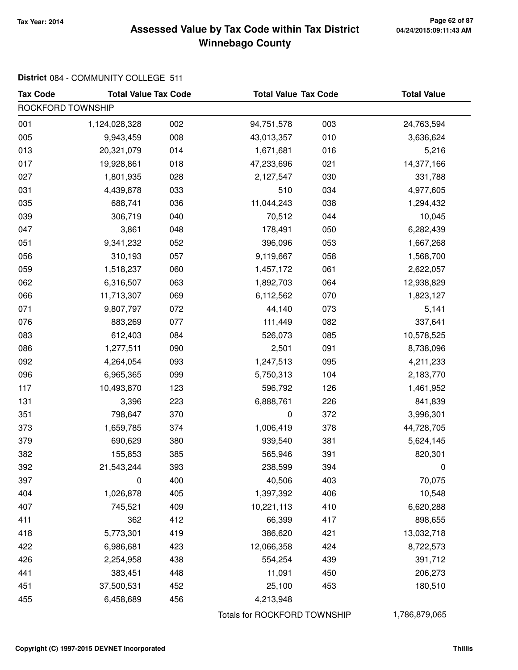### **Tax Year: 2014 Page 62 of 87 Winnebago County Assessed Value by Tax Code within Tax District**

# **District** 084 - COMMUNITY COLLEGE 511

| <b>Tax Code</b>   | <b>Total Value Tax Code</b> |     | <b>Total Value Tax Code</b>  |     | <b>Total Value</b> |
|-------------------|-----------------------------|-----|------------------------------|-----|--------------------|
| ROCKFORD TOWNSHIP |                             |     |                              |     |                    |
| 001               | 1,124,028,328               | 002 | 94,751,578                   | 003 | 24,763,594         |
| 005               | 9,943,459                   | 008 | 43,013,357                   | 010 | 3,636,624          |
| 013               | 20,321,079                  | 014 | 1,671,681                    | 016 | 5,216              |
| 017               | 19,928,861                  | 018 | 47,233,696                   | 021 | 14,377,166         |
| 027               | 1,801,935                   | 028 | 2,127,547                    | 030 | 331,788            |
| 031               | 4,439,878                   | 033 | 510                          | 034 | 4,977,605          |
| 035               | 688,741                     | 036 | 11,044,243                   | 038 | 1,294,432          |
| 039               | 306,719                     | 040 | 70,512                       | 044 | 10,045             |
| 047               | 3,861                       | 048 | 178,491                      | 050 | 6,282,439          |
| 051               | 9,341,232                   | 052 | 396,096                      | 053 | 1,667,268          |
| 056               | 310,193                     | 057 | 9,119,667                    | 058 | 1,568,700          |
| 059               | 1,518,237                   | 060 | 1,457,172                    | 061 | 2,622,057          |
| 062               | 6,316,507                   | 063 | 1,892,703                    | 064 | 12,938,829         |
| 066               | 11,713,307                  | 069 | 6,112,562                    | 070 | 1,823,127          |
| 071               | 9,807,797                   | 072 | 44,140                       | 073 | 5,141              |
| 076               | 883,269                     | 077 | 111,449                      | 082 | 337,641            |
| 083               | 612,403                     | 084 | 526,073                      | 085 | 10,578,525         |
| 086               | 1,277,511                   | 090 | 2,501                        | 091 | 8,738,096          |
| 092               | 4,264,054                   | 093 | 1,247,513                    | 095 | 4,211,233          |
| 096               | 6,965,365                   | 099 | 5,750,313                    | 104 | 2,183,770          |
| 117               | 10,493,870                  | 123 | 596,792                      | 126 | 1,461,952          |
| 131               | 3,396                       | 223 | 6,888,761                    | 226 | 841,839            |
| 351               | 798,647                     | 370 | $\pmb{0}$                    | 372 | 3,996,301          |
| 373               | 1,659,785                   | 374 | 1,006,419                    | 378 | 44,728,705         |
| 379               | 690,629                     | 380 | 939,540                      | 381 | 5,624,145          |
| 382               | 155,853                     | 385 | 565,946                      | 391 | 820,301            |
| 392               | 21,543,244                  | 393 | 238,599                      | 394 | 0                  |
| 397               | 0                           | 400 | 40,506                       | 403 | 70,075             |
| 404               | 1,026,878                   | 405 | 1,397,392                    | 406 | 10,548             |
| 407               | 745,521                     | 409 | 10,221,113                   | 410 | 6,620,288          |
| 411               | 362                         | 412 | 66,399                       | 417 | 898,655            |
| 418               | 5,773,301                   | 419 | 386,620                      | 421 | 13,032,718         |
| 422               | 6,986,681                   | 423 | 12,066,358                   | 424 | 8,722,573          |
| 426               | 2,254,958                   | 438 | 554,254                      | 439 | 391,712            |
| 441               | 383,451                     | 448 | 11,091                       | 450 | 206,273            |
| 451               | 37,500,531                  | 452 | 25,100                       | 453 | 180,510            |
| 455               | 6,458,689                   | 456 | 4,213,948                    |     |                    |
|                   |                             |     | Totals for ROCKFORD TOWNSHIP |     | 1,786,879,065      |

**Copyright (C) 1997-2015 DEVNET Incorporated Thillis**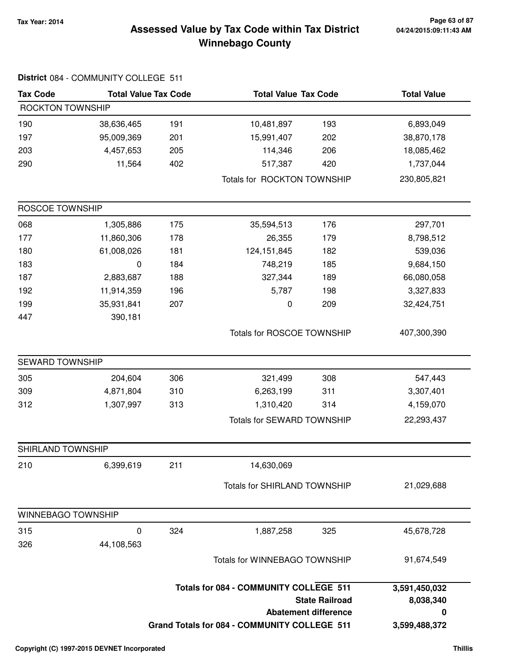### **Tax Year: 2014 Page 63 of 87 Winnebago County Assessed Value by Tax Code within Tax District**

| <b>Tax Code</b>    | <b>Total Value Tax Code</b> |     | <b>Total Value Tax Code</b>                                                            |                                                      | <b>Total Value</b>                               |
|--------------------|-----------------------------|-----|----------------------------------------------------------------------------------------|------------------------------------------------------|--------------------------------------------------|
| ROCKTON TOWNSHIP   |                             |     |                                                                                        |                                                      |                                                  |
| 190                | 38,636,465                  | 191 | 10,481,897                                                                             | 193                                                  | 6,893,049                                        |
| 197                | 95,009,369                  | 201 | 15,991,407                                                                             | 202                                                  | 38,870,178                                       |
| 203                | 4,457,653                   | 205 | 114,346                                                                                | 206                                                  | 18,085,462                                       |
| 290                | 11,564                      | 402 | 517,387                                                                                | 420                                                  | 1,737,044                                        |
|                    |                             |     | Totals for ROCKTON TOWNSHIP                                                            |                                                      | 230,805,821                                      |
| ROSCOE TOWNSHIP    |                             |     |                                                                                        |                                                      |                                                  |
| 068                | 1,305,886                   | 175 | 35,594,513                                                                             | 176                                                  | 297,701                                          |
| 177                | 11,860,306                  | 178 | 26,355                                                                                 | 179                                                  | 8,798,512                                        |
| 180                | 61,008,026                  | 181 | 124, 151, 845                                                                          | 182                                                  | 539,036                                          |
| 183                | 0                           | 184 | 748,219                                                                                | 185                                                  | 9,684,150                                        |
| 187                | 2,883,687                   | 188 | 327,344                                                                                | 189                                                  | 66,080,058                                       |
| 192                | 11,914,359                  | 196 | 5,787                                                                                  | 198                                                  | 3,327,833                                        |
| 199                | 35,931,841                  | 207 | 0                                                                                      | 209                                                  | 32,424,751                                       |
| 447                | 390,181                     |     |                                                                                        |                                                      |                                                  |
|                    |                             |     | Totals for ROSCOE TOWNSHIP                                                             |                                                      | 407,300,390                                      |
| SEWARD TOWNSHIP    |                             |     |                                                                                        |                                                      |                                                  |
| 305                | 204,604                     | 306 | 321,499                                                                                | 308                                                  | 547,443                                          |
| 309                | 4,871,804                   | 310 | 6,263,199                                                                              | 311                                                  | 3,307,401                                        |
| 312                | 1,307,997                   | 313 | 1,310,420                                                                              | 314                                                  | 4,159,070                                        |
|                    |                             |     | Totals for SEWARD TOWNSHIP                                                             | 22,293,437                                           |                                                  |
| SHIRLAND TOWNSHIP  |                             |     |                                                                                        |                                                      |                                                  |
| 210                | 6,399,619                   | 211 | 14,630,069                                                                             |                                                      |                                                  |
|                    |                             |     | Totals for SHIRLAND TOWNSHIP                                                           |                                                      | 21,029,688                                       |
| WINNEBAGO TOWNSHIP |                             |     |                                                                                        |                                                      |                                                  |
| 315                | 0                           | 324 | 1,887,258                                                                              | 325                                                  | 45,678,728                                       |
| 326                | 44,108,563                  |     |                                                                                        |                                                      |                                                  |
|                    |                             |     | Totals for WINNEBAGO TOWNSHIP                                                          |                                                      | 91,674,549                                       |
|                    |                             |     | Totals for 084 - COMMUNITY COLLEGE 511<br>Grand Totals for 084 - COMMUNITY COLLEGE 511 | <b>State Railroad</b><br><b>Abatement difference</b> | 3,591,450,032<br>8,038,340<br>0<br>3,599,488,372 |

# **District** 084 - COMMUNITY COLLEGE 511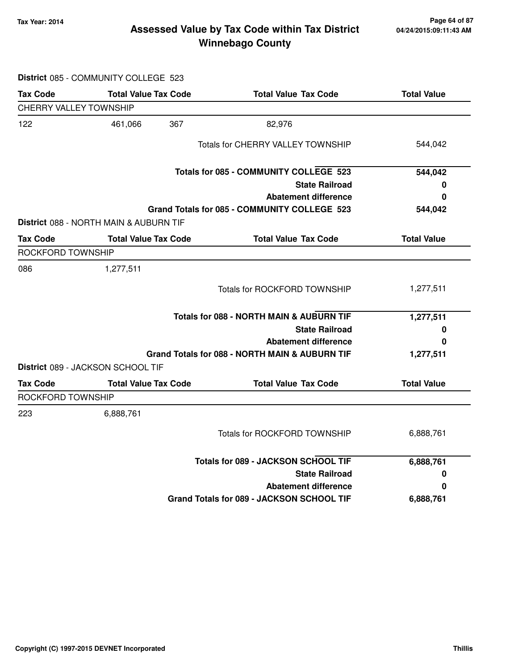# **Tax Year: 2014 Page 64 of 87 Winnebago County Assessed Value by Tax Code within Tax District**

|                               | District 085 - COMMUNITY COLLEGE 523          |                                                |                    |
|-------------------------------|-----------------------------------------------|------------------------------------------------|--------------------|
| <b>Tax Code</b>               | <b>Total Value Tax Code</b>                   | <b>Total Value Tax Code</b>                    | <b>Total Value</b> |
| <b>CHERRY VALLEY TOWNSHIP</b> |                                               |                                                |                    |
| 122                           | 367<br>461,066                                | 82,976                                         |                    |
|                               |                                               | Totals for CHERRY VALLEY TOWNSHIP              | 544,042            |
|                               |                                               | Totals for 085 - COMMUNITY COLLEGE 523         | 544,042            |
|                               |                                               | <b>State Railroad</b>                          | 0                  |
|                               |                                               | <b>Abatement difference</b>                    | 0                  |
|                               |                                               | Grand Totals for 085 - COMMUNITY COLLEGE 523   | 544,042            |
|                               | <b>District</b> 088 - NORTH MAIN & AUBURN TIF |                                                |                    |
| <b>Tax Code</b>               | <b>Total Value Tax Code</b>                   | <b>Total Value Tax Code</b>                    | <b>Total Value</b> |
| ROCKFORD TOWNSHIP             |                                               |                                                |                    |
| 086                           | 1,277,511                                     |                                                |                    |
|                               |                                               | <b>Totals for ROCKFORD TOWNSHIP</b>            | 1,277,511          |
|                               |                                               | Totals for 088 - NORTH MAIN & AUBURN TIF       | 1,277,511          |
|                               |                                               | <b>State Railroad</b>                          | 0                  |
|                               |                                               | <b>Abatement difference</b>                    | 0                  |
|                               |                                               | Grand Totals for 088 - NORTH MAIN & AUBURN TIF | 1,277,511          |
|                               | <b>District 089 - JACKSON SCHOOL TIF</b>      |                                                |                    |
| Tax Code                      | <b>Total Value Tax Code</b>                   | <b>Total Value Tax Code</b>                    | <b>Total Value</b> |
| ROCKFORD TOWNSHIP             |                                               |                                                |                    |
| 223                           | 6,888,761                                     |                                                |                    |
|                               |                                               | <b>Totals for ROCKFORD TOWNSHIP</b>            | 6,888,761          |
|                               |                                               | <b>Totals for 089 - JACKSON SCHOOL TIF</b>     | 6,888,761          |
|                               |                                               | <b>State Railroad</b>                          | 0                  |
|                               |                                               | <b>Abatement difference</b>                    | 0                  |
|                               |                                               | Grand Totals for 089 - JACKSON SCHOOL TIF      | 6,888,761          |
|                               |                                               |                                                |                    |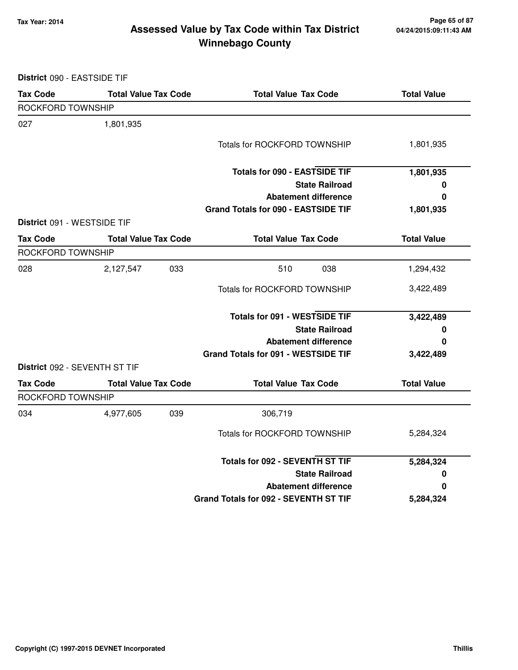**District** 090 - EASTSIDE TIF

### **Tax Year: 2014 Page 65 of 87 Winnebago County Assessed Value by Tax Code within Tax District**

| <b>Tax Code</b>                      | <b>Total Value Tax Code</b> |     | <b>Total Value Tax Code</b>           | <b>Total Value</b> |
|--------------------------------------|-----------------------------|-----|---------------------------------------|--------------------|
| ROCKFORD TOWNSHIP                    |                             |     |                                       |                    |
| 027                                  | 1,801,935                   |     |                                       |                    |
|                                      |                             |     | <b>Totals for ROCKFORD TOWNSHIP</b>   | 1,801,935          |
|                                      |                             |     | <b>Totals for 090 - EASTSIDE TIF</b>  | 1,801,935          |
|                                      |                             |     | <b>State Railroad</b>                 | 0                  |
|                                      |                             |     | <b>Abatement difference</b>           | 0                  |
|                                      |                             |     | Grand Totals for 090 - EASTSIDE TIF   | 1,801,935          |
| District 091 - WESTSIDE TIF          |                             |     |                                       |                    |
| <b>Tax Code</b>                      | <b>Total Value Tax Code</b> |     | <b>Total Value Tax Code</b>           | <b>Total Value</b> |
| ROCKFORD TOWNSHIP                    |                             |     |                                       |                    |
| 028                                  | 2,127,547                   | 033 | 038<br>510                            | 1,294,432          |
|                                      |                             |     | Totals for ROCKFORD TOWNSHIP          | 3,422,489          |
|                                      |                             |     | <b>Totals for 091 - WESTSIDE TIF</b>  | 3,422,489          |
|                                      |                             |     | <b>State Railroad</b>                 | 0                  |
|                                      |                             |     | <b>Abatement difference</b>           | 0                  |
| <b>District 092 - SEVENTH ST TIF</b> |                             |     | Grand Totals for 091 - WESTSIDE TIF   | 3,422,489          |
| <b>Tax Code</b>                      | <b>Total Value Tax Code</b> |     | <b>Total Value Tax Code</b>           | <b>Total Value</b> |
| <b>ROCKFORD TOWNSHIP</b>             |                             |     |                                       |                    |
| 034                                  | 4,977,605                   | 039 | 306,719                               |                    |
|                                      |                             |     | Totals for ROCKFORD TOWNSHIP          | 5,284,324          |
|                                      |                             |     | Totals for 092 - SEVENTH ST TIF       | 5,284,324          |
|                                      |                             |     | <b>State Railroad</b>                 | 0                  |
|                                      |                             |     | <b>Abatement difference</b>           | 0                  |
|                                      |                             |     | Grand Totals for 092 - SEVENTH ST TIF | 5,284,324          |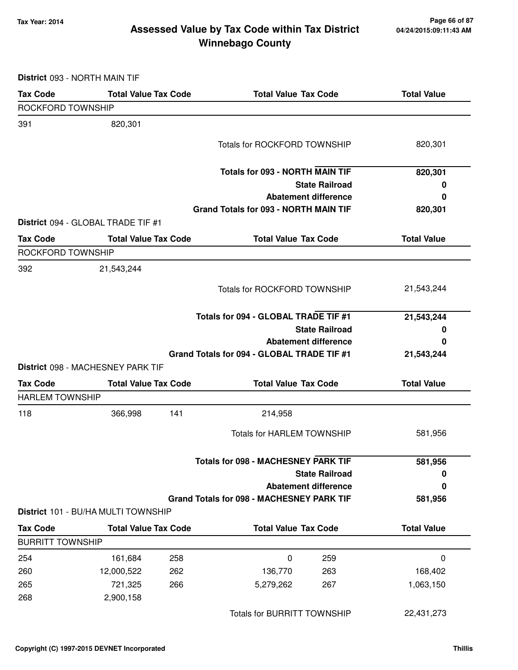### **Tax Year: 2014 Page 66 of 87 Winnebago County Assessed Value by Tax Code within Tax District**

**District** 093 - NORTH MAIN TIF

| <b>Tax Code</b>         | <b>Total Value Tax Code</b>         | <b>Total Value Tax Code</b>                                                 | <b>Total Value</b> |
|-------------------------|-------------------------------------|-----------------------------------------------------------------------------|--------------------|
| ROCKFORD TOWNSHIP       |                                     |                                                                             |                    |
| 391                     | 820,301                             |                                                                             |                    |
|                         |                                     | <b>Totals for ROCKFORD TOWNSHIP</b>                                         | 820,301            |
|                         |                                     |                                                                             |                    |
|                         |                                     | <b>Totals for 093 - NORTH MAIN TIF</b>                                      | 820,301            |
|                         |                                     | <b>State Railroad</b>                                                       | 0                  |
|                         |                                     | <b>Abatement difference</b><br><b>Grand Totals for 093 - NORTH MAIN TIF</b> | 0<br>820,301       |
|                         | District 094 - GLOBAL TRADE TIF #1  |                                                                             |                    |
| <b>Tax Code</b>         | <b>Total Value Tax Code</b>         | <b>Total Value Tax Code</b>                                                 | <b>Total Value</b> |
| ROCKFORD TOWNSHIP       |                                     |                                                                             |                    |
| 392                     | 21,543,244                          |                                                                             |                    |
|                         |                                     | <b>Totals for ROCKFORD TOWNSHIP</b>                                         | 21,543,244         |
|                         |                                     | Totals for 094 - GLOBAL TRADE TIF #1                                        | 21,543,244         |
|                         |                                     | <b>State Railroad</b>                                                       | 0                  |
|                         |                                     | <b>Abatement difference</b>                                                 | 0                  |
|                         |                                     | Grand Totals for 094 - GLOBAL TRADE TIF #1                                  | 21,543,244         |
|                         | District 098 - MACHESNEY PARK TIF   |                                                                             |                    |
| <b>Tax Code</b>         | <b>Total Value Tax Code</b>         | <b>Total Value Tax Code</b>                                                 | <b>Total Value</b> |
| <b>HARLEM TOWNSHIP</b>  |                                     |                                                                             |                    |
| 118                     | 366,998<br>141                      | 214,958                                                                     |                    |
|                         |                                     | <b>Totals for HARLEM TOWNSHIP</b>                                           | 581,956            |
|                         |                                     | <b>Totals for 098 - MACHESNEY PARK TIF</b>                                  | 581,956            |
|                         |                                     | <b>State Railroad</b>                                                       | 0                  |
|                         |                                     | <b>Abatement difference</b>                                                 | 0                  |
|                         |                                     | <b>Grand Totals for 098 - MACHESNEY PARK TIF</b>                            | 581,956            |
|                         | District 101 - BU/HA MULTI TOWNSHIP |                                                                             |                    |
| <b>Tax Code</b>         | <b>Total Value Tax Code</b>         | <b>Total Value Tax Code</b>                                                 | <b>Total Value</b> |
| <b>BURRITT TOWNSHIP</b> |                                     |                                                                             |                    |
| 254                     | 161,684<br>258                      | 0<br>259                                                                    | 0                  |
| 260                     | 12,000,522<br>262                   | 136,770<br>263                                                              | 168,402            |
| 265                     | 721,325<br>266                      | 5,279,262<br>267                                                            | 1,063,150          |
| 268                     | 2,900,158                           |                                                                             |                    |
|                         |                                     | <b>Totals for BURRITT TOWNSHIP</b>                                          | 22,431,273         |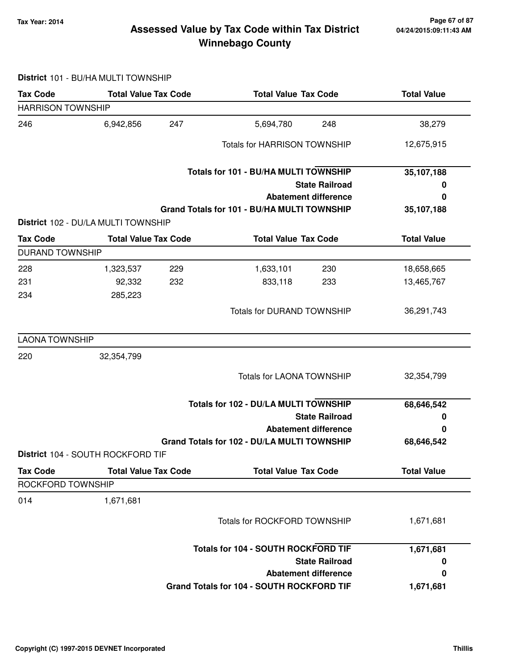### **Tax Year: 2014 Page 67 of 87 Winnebago County Assessed Value by Tax Code within Tax District**

#### **District** 101 - BU/HA MULTI TOWNSHIP

| <b>Tax Code</b>          | <b>Total Value Tax Code</b>         | <b>Total Value Tax Code</b>                 | <b>Total Value</b> |  |
|--------------------------|-------------------------------------|---------------------------------------------|--------------------|--|
| <b>HARRISON TOWNSHIP</b> |                                     |                                             |                    |  |
| 246                      | 6,942,856<br>247                    | 248<br>5,694,780                            | 38,279             |  |
|                          |                                     | <b>Totals for HARRISON TOWNSHIP</b>         | 12,675,915         |  |
|                          |                                     | Totals for 101 - BU/HA MULTI TOWNSHIP       | 35,107,188         |  |
|                          |                                     | <b>State Railroad</b>                       | 0                  |  |
|                          |                                     | <b>Abatement difference</b>                 | 0                  |  |
|                          |                                     | Grand Totals for 101 - BU/HA MULTI TOWNSHIP | 35,107,188         |  |
|                          | District 102 - DU/LA MULTI TOWNSHIP |                                             |                    |  |
| <b>Tax Code</b>          | <b>Total Value Tax Code</b>         | <b>Total Value Tax Code</b>                 | <b>Total Value</b> |  |
| <b>DURAND TOWNSHIP</b>   |                                     |                                             |                    |  |
| 228                      | 229<br>1,323,537                    | 1,633,101<br>230                            | 18,658,665         |  |
| 231                      | 92,332<br>232                       | 833,118<br>233                              | 13,465,767         |  |
| 234                      | 285,223                             |                                             |                    |  |
|                          |                                     | <b>Totals for DURAND TOWNSHIP</b>           | 36,291,743         |  |
| <b>LAONA TOWNSHIP</b>    |                                     |                                             |                    |  |
| 220                      | 32,354,799                          |                                             |                    |  |
|                          |                                     | <b>Totals for LAONA TOWNSHIP</b>            | 32,354,799         |  |
|                          |                                     | Totals for 102 - DU/LA MULTI TOWNSHIP       |                    |  |
|                          |                                     | <b>State Railroad</b>                       | 0                  |  |
|                          |                                     | <b>Abatement difference</b>                 | 0                  |  |
|                          |                                     | Grand Totals for 102 - DU/LA MULTI TOWNSHIP | 68,646,542         |  |
|                          | District 104 - SOUTH ROCKFORD TIF   |                                             |                    |  |
| <b>Tax Code</b>          | <b>Total Value Tax Code</b>         | <b>Total Value Tax Code</b>                 | <b>Total Value</b> |  |
| ROCKFORD TOWNSHIP        |                                     |                                             |                    |  |
| 014                      | 1,671,681                           |                                             |                    |  |
|                          |                                     | <b>Totals for ROCKFORD TOWNSHIP</b>         | 1,671,681          |  |
|                          |                                     | Totals for 104 - SOUTH ROCKFORD TIF         | 1,671,681          |  |
|                          |                                     | <b>State Railroad</b>                       | 0                  |  |
|                          |                                     | <b>Abatement difference</b>                 | 0                  |  |
|                          |                                     | Grand Totals for 104 - SOUTH ROCKFORD TIF   | 1,671,681          |  |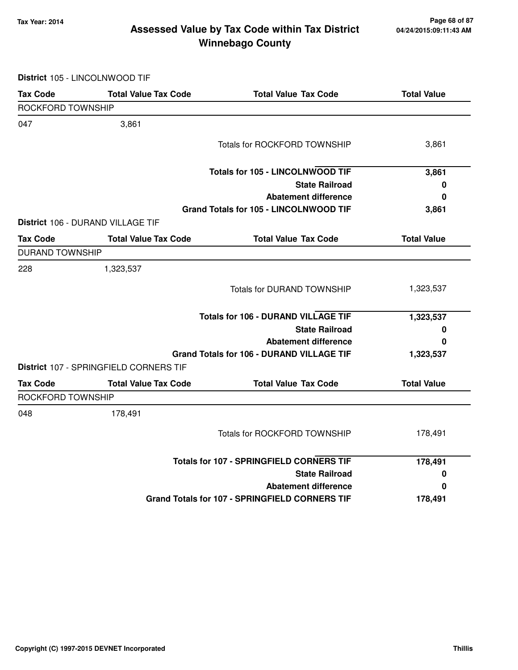### **Tax Year: 2014 Page 68 of 87 Winnebago County Assessed Value by Tax Code within Tax District**

**District** 105 - LINCOLNWOOD TIF

| <b>Tax Code</b>        | <b>Total Value Tax Code</b>            | <b>Total Value Tax Code</b>                           | <b>Total Value</b> |
|------------------------|----------------------------------------|-------------------------------------------------------|--------------------|
| ROCKFORD TOWNSHIP      |                                        |                                                       |                    |
| 047                    | 3,861                                  |                                                       |                    |
|                        |                                        | <b>Totals for ROCKFORD TOWNSHIP</b>                   | 3,861              |
|                        |                                        | <b>Totals for 105 - LINCOLNWOOD TIF</b>               | 3,861              |
|                        |                                        | <b>State Railroad</b>                                 | $\pmb{0}$          |
|                        |                                        | <b>Abatement difference</b>                           | 0                  |
|                        |                                        | Grand Totals for 105 - LINCOLNWOOD TIF                | 3,861              |
|                        | District 106 - DURAND VILLAGE TIF      |                                                       |                    |
| <b>Tax Code</b>        | <b>Total Value Tax Code</b>            | <b>Total Value Tax Code</b>                           | <b>Total Value</b> |
| <b>DURAND TOWNSHIP</b> |                                        |                                                       |                    |
| 228                    | 1,323,537                              |                                                       |                    |
|                        |                                        | <b>Totals for DURAND TOWNSHIP</b>                     | 1,323,537          |
|                        |                                        | <b>Totals for 106 - DURAND VILLAGE TIF</b>            | 1,323,537          |
|                        |                                        | <b>State Railroad</b>                                 | 0                  |
|                        |                                        | <b>Abatement difference</b>                           | 0                  |
|                        |                                        | <b>Grand Totals for 106 - DURAND VILLAGE TIF</b>      | 1,323,537          |
|                        | District 107 - SPRINGFIELD CORNERS TIF |                                                       |                    |
| <b>Tax Code</b>        | <b>Total Value Tax Code</b>            | <b>Total Value Tax Code</b>                           | <b>Total Value</b> |
| ROCKFORD TOWNSHIP      |                                        |                                                       |                    |
| 048                    | 178,491                                |                                                       |                    |
|                        |                                        | <b>Totals for ROCKFORD TOWNSHIP</b>                   | 178,491            |
|                        |                                        | <b>Totals for 107 - SPRINGFIELD CORNERS TIF</b>       | 178,491            |
|                        |                                        | <b>State Railroad</b>                                 | 0                  |
|                        |                                        | <b>Abatement difference</b>                           | 0                  |
|                        |                                        | <b>Grand Totals for 107 - SPRINGFIELD CORNERS TIF</b> | 178,491            |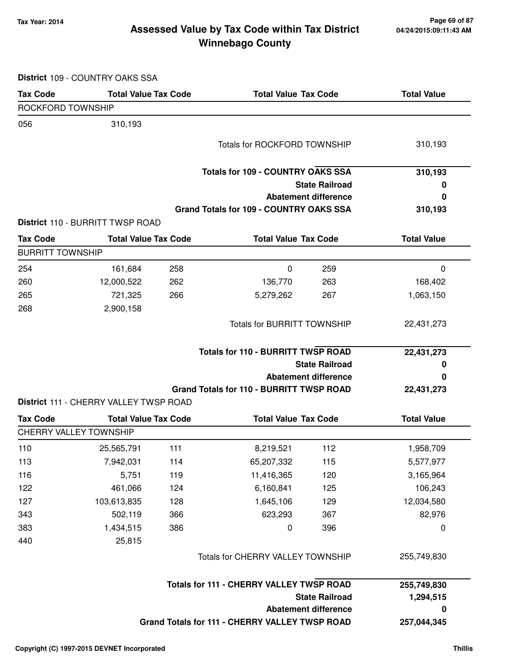### **Tax Year: 2014 Page 69 of 87 Winnebago County Assessed Value by Tax Code within Tax District**

**District** 109 - COUNTRY OAKS SSA

| <b>Tax Code</b>         | <b>Total Value Tax Code</b>            |                                                | <b>Total Value Tax Code</b>                          |                             | <b>Total Value</b> |
|-------------------------|----------------------------------------|------------------------------------------------|------------------------------------------------------|-----------------------------|--------------------|
| ROCKFORD TOWNSHIP       |                                        |                                                |                                                      |                             |                    |
| 056                     | 310,193                                |                                                |                                                      |                             |                    |
|                         |                                        |                                                | <b>Totals for ROCKFORD TOWNSHIP</b>                  |                             | 310,193            |
|                         |                                        |                                                | <b>Totals for 109 - COUNTRY OAKS SSA</b>             |                             | 310,193            |
|                         |                                        |                                                |                                                      | <b>State Railroad</b>       | 0                  |
|                         |                                        |                                                |                                                      | <b>Abatement difference</b> | 0                  |
|                         |                                        |                                                | <b>Grand Totals for 109 - COUNTRY OAKS SSA</b>       |                             | 310,193            |
|                         | District 110 - BURRITT TWSP ROAD       |                                                |                                                      |                             |                    |
| <b>Tax Code</b>         | <b>Total Value Tax Code</b>            |                                                | <b>Total Value Tax Code</b>                          |                             | <b>Total Value</b> |
| <b>BURRITT TOWNSHIP</b> |                                        |                                                |                                                      |                             |                    |
| 254                     | 161,684                                | 258                                            | 0                                                    | 259                         | 0                  |
| 260                     | 12,000,522                             | 262                                            | 136,770                                              | 263                         | 168,402            |
| 265                     | 721,325                                | 266                                            | 5,279,262                                            | 267                         | 1,063,150          |
| 268                     | 2,900,158                              |                                                |                                                      |                             |                    |
|                         |                                        |                                                | <b>Totals for BURRITT TOWNSHIP</b>                   |                             | 22,431,273         |
|                         |                                        |                                                | <b>Totals for 110 - BURRITT TWSP ROAD</b>            |                             | 22,431,273         |
|                         |                                        |                                                | <b>State Railroad</b><br><b>Abatement difference</b> |                             | O                  |
|                         |                                        |                                                |                                                      |                             | 0                  |
|                         | District 111 - CHERRY VALLEY TWSP ROAD |                                                | <b>Grand Totals for 110 - BURRITT TWSP ROAD</b>      |                             | 22,431,273         |
| <b>Tax Code</b>         | <b>Total Value Tax Code</b>            |                                                | <b>Total Value Tax Code</b>                          |                             | <b>Total Value</b> |
|                         | <b>CHERRY VALLEY TOWNSHIP</b>          |                                                |                                                      |                             |                    |
| 110                     | 25,565,791                             | 111                                            | 8,219,521                                            | 112                         | 1,958,709          |
| 113                     | 7,942,031                              | 114                                            | 65,207,332                                           | 115                         | 5,577,977          |
| 116                     | 5,751                                  | 119                                            | 11,416,365                                           | 120                         | 3,165,964          |
| 122                     | 461,066                                | 124                                            | 6,160,841                                            | 125                         | 106,243            |
| 127                     | 103,613,835                            | 128                                            | 1,645,106                                            | 129                         | 12,034,580         |
| 343                     | 502,119                                | 366                                            | 623,293                                              | 367                         | 82,976             |
| 383                     | 1,434,515                              | 386                                            | 0                                                    | 396                         | $\mathbf 0$        |
| 440                     | 25,815                                 |                                                |                                                      |                             |                    |
|                         |                                        | Totals for CHERRY VALLEY TOWNSHIP              |                                                      |                             | 255,749,830        |
|                         |                                        |                                                | Totals for 111 - CHERRY VALLEY TWSP ROAD             |                             | 255,749,830        |
|                         |                                        |                                                |                                                      | <b>State Railroad</b>       | 1,294,515          |
|                         |                                        | <b>Abatement difference</b>                    |                                                      |                             |                    |
|                         |                                        | Grand Totals for 111 - CHERRY VALLEY TWSP ROAD | 257,044,345                                          |                             |                    |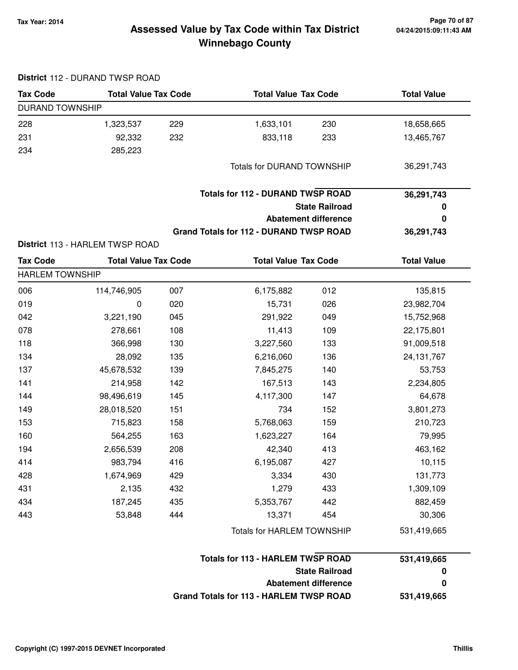### **Tax Year: 2014 Page 70 of 87 Winnebago County Assessed Value by Tax Code within Tax District**

| <b>Tax Code</b>        | <b>Total Value Tax Code</b>     |     | <b>Total Value Tax Code</b>                    |                             | <b>Total Value</b> |  |
|------------------------|---------------------------------|-----|------------------------------------------------|-----------------------------|--------------------|--|
| <b>DURAND TOWNSHIP</b> |                                 |     |                                                |                             |                    |  |
| 228                    | 1,323,537                       | 229 | 1,633,101                                      | 230                         | 18,658,665         |  |
| 231                    | 92,332                          | 232 | 833,118                                        | 233                         | 13,465,767         |  |
| 234                    | 285,223                         |     |                                                |                             |                    |  |
|                        |                                 |     | <b>Totals for DURAND TOWNSHIP</b>              |                             | 36,291,743         |  |
|                        |                                 |     | <b>Totals for 112 - DURAND TWSP ROAD</b>       |                             | 36,291,743         |  |
|                        |                                 |     |                                                | <b>State Railroad</b>       | $\boldsymbol{0}$   |  |
|                        |                                 |     |                                                | <b>Abatement difference</b> | 0                  |  |
|                        |                                 |     | <b>Grand Totals for 112 - DURAND TWSP ROAD</b> |                             | 36,291,743         |  |
|                        | District 113 - HARLEM TWSP ROAD |     |                                                |                             |                    |  |
| <b>Tax Code</b>        | <b>Total Value Tax Code</b>     |     | <b>Total Value Tax Code</b>                    |                             | <b>Total Value</b> |  |
| <b>HARLEM TOWNSHIP</b> |                                 |     |                                                |                             |                    |  |
| 006                    | 114,746,905                     | 007 | 6,175,882                                      | 012                         | 135,815            |  |
| 019                    | 0                               | 020 | 15,731                                         | 026                         | 23,982,704         |  |
| 042                    | 3,221,190                       | 045 | 291,922                                        | 049                         | 15,752,968         |  |
| 078                    | 278,661                         | 108 | 11,413                                         | 109                         | 22,175,801         |  |
| 118                    | 366,998                         | 130 | 3,227,560                                      | 133                         | 91,009,518         |  |
| 134                    | 28,092                          | 135 | 6,216,060                                      | 136                         | 24, 131, 767       |  |
| 137                    | 45,678,532                      | 139 | 7,845,275                                      | 140                         | 53,753             |  |
| 141                    | 214,958                         | 142 | 167,513                                        | 143                         | 2,234,805          |  |
| 144                    | 98,496,619                      | 145 | 4,117,300                                      | 147                         | 64,678             |  |
| 149                    | 28,018,520                      | 151 | 734                                            | 152                         | 3,801,273          |  |
| 153                    | 715,823                         | 158 | 5,768,063                                      | 159                         | 210,723            |  |
| 160                    | 564,255                         | 163 | 1,623,227                                      | 164                         | 79,995             |  |
| 194                    | 2,656,539                       | 208 | 42,340                                         | 413                         | 463,162            |  |
| 414                    | 983,794                         | 416 | 6,195,087                                      | 427                         | 10,115             |  |
| 428                    | 1,674,969                       | 429 | 3,334                                          | 430                         | 131,773            |  |
| 431                    | 2,135                           | 432 | 1,279                                          | 433                         | 1,309,109          |  |
| 434                    | 187,245                         | 435 | 5,353,767                                      | 442                         | 882,459            |  |
| 443                    | 53,848                          | 444 | 13,371                                         | 454                         | 30,306             |  |
|                        |                                 |     | Totals for HARLEM TOWNSHIP                     |                             | 531,419,665        |  |
|                        |                                 |     | <b>Totals for 113 - HARLEM TWSP ROAD</b>       |                             | 531,419,665        |  |
|                        |                                 |     |                                                | <b>State Railroad</b>       | 0                  |  |
|                        |                                 |     |                                                | <b>Abatement difference</b> | 0                  |  |
|                        |                                 |     | <b>Grand Totals for 113 - HARLEM TWSP ROAD</b> |                             | 531,419,665        |  |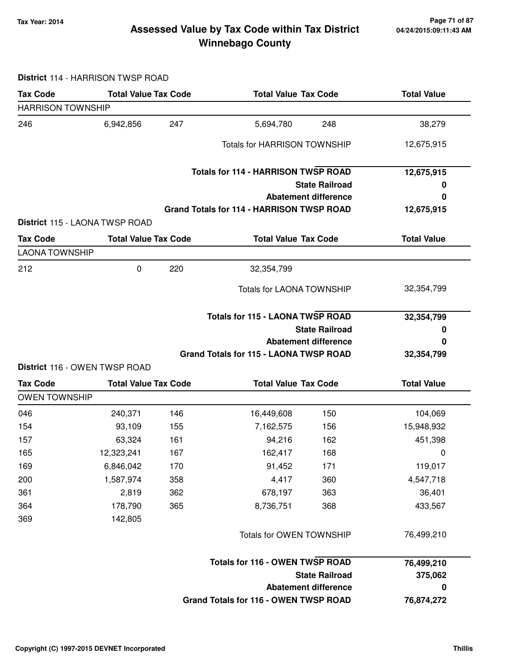### **Tax Year: 2014 Page 71 of 87 Winnebago County Assessed Value by Tax Code within Tax District**

**District** 114 - HARRISON TWSP ROAD

| <b>Tax Code</b>          | <b>Total Value Tax Code</b>    |     | <b>Total Value Tax Code</b>                      |                             | <b>Total Value</b> |
|--------------------------|--------------------------------|-----|--------------------------------------------------|-----------------------------|--------------------|
| <b>HARRISON TOWNSHIP</b> |                                |     |                                                  |                             |                    |
| 246                      | 6,942,856                      | 247 | 5,694,780                                        | 248                         | 38,279             |
|                          |                                |     | <b>Totals for HARRISON TOWNSHIP</b>              |                             | 12,675,915         |
|                          |                                |     | <b>Totals for 114 - HARRISON TWSP ROAD</b>       |                             | 12,675,915         |
|                          |                                |     |                                                  | <b>State Railroad</b>       | 0                  |
|                          |                                |     |                                                  | <b>Abatement difference</b> | 0                  |
|                          | District 115 - LAONA TWSP ROAD |     | <b>Grand Totals for 114 - HARRISON TWSP ROAD</b> |                             | 12,675,915         |
| <b>Tax Code</b>          | <b>Total Value Tax Code</b>    |     | <b>Total Value Tax Code</b>                      |                             | <b>Total Value</b> |
| <b>LAONA TOWNSHIP</b>    |                                |     |                                                  |                             |                    |
| 212                      | $\mathbf 0$                    | 220 | 32,354,799                                       |                             |                    |
|                          |                                |     | <b>Totals for LAONA TOWNSHIP</b>                 |                             | 32,354,799         |
|                          |                                |     | <b>Totals for 115 - LAONA TWSP ROAD</b>          |                             | 32,354,799         |
|                          |                                |     |                                                  | <b>State Railroad</b>       | 0                  |
|                          |                                |     |                                                  | <b>Abatement difference</b> | 0                  |
|                          | District 116 - OWEN TWSP ROAD  |     | Grand Totals for 115 - LAONA TWSP ROAD           |                             | 32,354,799         |
| <b>Tax Code</b>          | <b>Total Value Tax Code</b>    |     | <b>Total Value Tax Code</b>                      |                             | <b>Total Value</b> |
| <b>OWEN TOWNSHIP</b>     |                                |     |                                                  |                             |                    |
| 046                      | 240,371                        | 146 | 16,449,608                                       | 150                         | 104,069            |
| 154                      | 93,109                         | 155 | 7,162,575                                        | 156                         | 15,948,932         |
| 157                      | 63,324                         | 161 | 94,216                                           | 162                         | 451,398            |
| 165                      | 12,323,241                     | 167 | 162,417                                          | 168                         | 0                  |
| 169                      | 6,846,042                      | 170 | 91,452                                           | 171                         | 119,017            |
| 200                      | 1,587,974                      | 358 | 4,417                                            | 360                         | 4,547,718          |
| 361                      | 2,819                          | 362 | 678,197                                          | 363                         | 36,401             |
| 364                      | 178,790                        | 365 | 8,736,751                                        | 368                         | 433,567            |
| 369                      | 142,805                        |     |                                                  |                             |                    |
|                          |                                |     | Totals for OWEN TOWNSHIP                         |                             | 76,499,210         |
|                          |                                |     | <b>Totals for 116 - OWEN TWSP ROAD</b>           |                             | 76,499,210         |
|                          |                                |     |                                                  | <b>State Railroad</b>       | 375,062            |
|                          |                                |     |                                                  | <b>Abatement difference</b> | $\pmb{0}$          |
|                          |                                |     | Grand Totals for 116 - OWEN TWSP ROAD            |                             | 76,874,272         |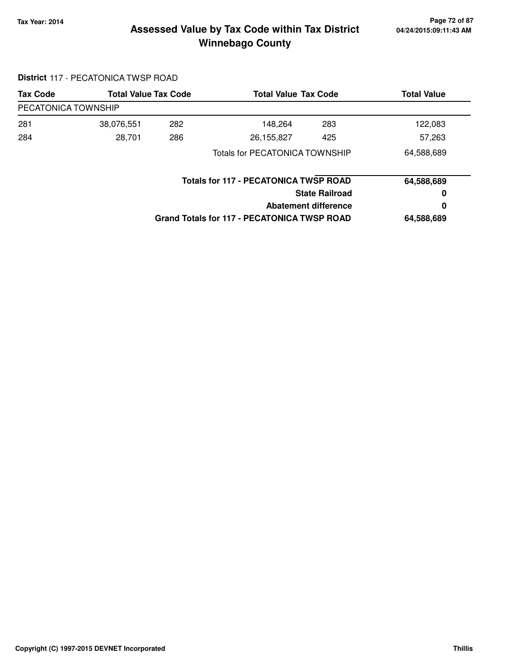### **Tax Year: 2014 Page 72 of 87 Winnebago County Assessed Value by Tax Code within Tax District**

# **District** 117 - PECATONICA TWSP ROAD

| <b>Tax Code</b>     | <b>Total Value Tax Code</b> |                                              | <b>Total Value Tax Code</b>                        |            | <b>Total Value</b> |
|---------------------|-----------------------------|----------------------------------------------|----------------------------------------------------|------------|--------------------|
| PECATONICA TOWNSHIP |                             |                                              |                                                    |            |                    |
| 281                 | 38,076,551                  | 282                                          | 148,264                                            | 283        | 122,083            |
| 284                 | 28,701                      | 286                                          | 26,155,827                                         | 425        | 57,263             |
|                     |                             |                                              | <b>Totals for PECATONICA TOWNSHIP</b>              |            | 64,588,689         |
|                     |                             | <b>Totals for 117 - PECATONICA TWSP ROAD</b> |                                                    | 64,588,689 |                    |
|                     |                             | <b>State Railroad</b>                        |                                                    | 0          |                    |
|                     |                             | Abatement difference                         |                                                    |            | 0                  |
|                     |                             |                                              | <b>Grand Totals for 117 - PECATONICA TWSP ROAD</b> |            | 64,588,689         |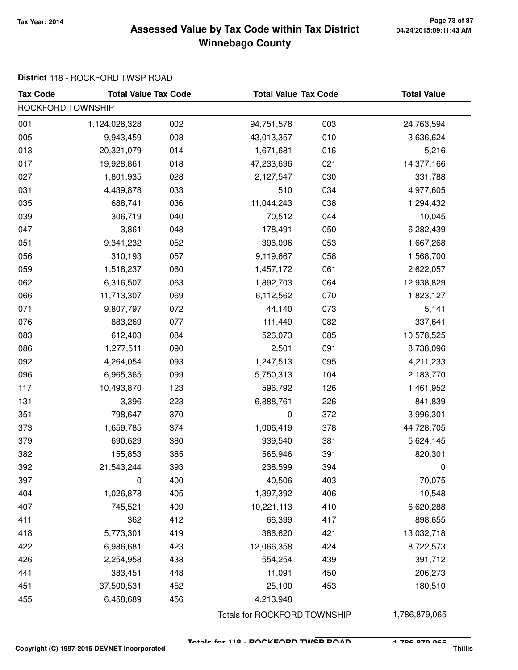### **Tax Year: 2014 Page 73 of 87 Winnebago County Assessed Value by Tax Code within Tax District**

### **District** 118 - ROCKFORD TWSP ROAD

| <b>Tax Code</b>   | <b>Total Value Tax Code</b> |     | <b>Total Value Tax Code</b> |     | <b>Total Value</b> |
|-------------------|-----------------------------|-----|-----------------------------|-----|--------------------|
| ROCKFORD TOWNSHIP |                             |     |                             |     |                    |
| 001               | 1,124,028,328               | 002 | 94,751,578                  | 003 | 24,763,594         |
| 005               | 9,943,459                   | 008 | 43,013,357                  | 010 | 3,636,624          |
| 013               | 20,321,079                  | 014 | 1,671,681                   | 016 | 5,216              |
| 017               | 19,928,861                  | 018 | 47,233,696                  | 021 | 14,377,166         |
| 027               | 1,801,935                   | 028 | 2,127,547                   | 030 | 331,788            |
| 031               | 4,439,878                   | 033 | 510                         | 034 | 4,977,605          |
| 035               | 688,741                     | 036 | 11,044,243                  | 038 | 1,294,432          |
| 039               | 306,719                     | 040 | 70,512                      | 044 | 10,045             |
| 047               | 3,861                       | 048 | 178,491                     | 050 | 6,282,439          |
| 051               | 9,341,232                   | 052 | 396,096                     | 053 | 1,667,268          |
| 056               | 310,193                     | 057 | 9,119,667                   | 058 | 1,568,700          |
| 059               | 1,518,237                   | 060 | 1,457,172                   | 061 | 2,622,057          |
| 062               | 6,316,507                   | 063 | 1,892,703                   | 064 | 12,938,829         |
| 066               | 11,713,307                  | 069 | 6,112,562                   | 070 | 1,823,127          |
| 071               | 9,807,797                   | 072 | 44,140                      | 073 | 5,141              |
| 076               | 883,269                     | 077 | 111,449                     | 082 | 337,641            |
| 083               | 612,403                     | 084 | 526,073                     | 085 | 10,578,525         |
| 086               | 1,277,511                   | 090 | 2,501                       | 091 | 8,738,096          |
| 092               | 4,264,054                   | 093 | 1,247,513                   | 095 | 4,211,233          |
| 096               | 6,965,365                   | 099 | 5,750,313                   | 104 | 2,183,770          |
| 117               | 10,493,870                  | 123 | 596,792                     | 126 | 1,461,952          |
| 131               | 3,396                       | 223 | 6,888,761                   | 226 | 841,839            |
| 351               | 798,647                     | 370 | $\pmb{0}$                   | 372 | 3,996,301          |
| 373               | 1,659,785                   | 374 | 1,006,419                   | 378 | 44,728,705         |
| 379               | 690,629                     | 380 | 939,540                     | 381 | 5,624,145          |
| 382               | 155,853                     | 385 | 565,946                     | 391 | 820,301            |
| 392               | 21,543,244                  | 393 | 238,599                     | 394 | 0                  |
| 397               | 0                           | 400 | 40,506                      | 403 | 70,075             |
| 404               | 1,026,878                   | 405 | 1,397,392                   | 406 | 10,548             |
| 407               | 745,521                     | 409 | 10,221,113                  | 410 | 6,620,288          |
| 411               | 362                         | 412 | 66,399                      | 417 | 898,655            |
| 418               | 5,773,301                   | 419 | 386,620                     | 421 | 13,032,718         |
| 422               | 6,986,681                   | 423 | 12,066,358                  | 424 | 8,722,573          |
| 426               | 2,254,958                   | 438 | 554,254                     | 439 | 391,712            |
| 441               | 383,451                     | 448 | 11,091                      | 450 | 206,273            |
| 451               | 37,500,531                  | 452 | 25,100                      | 453 | 180,510            |
| 455               | 6,458,689                   | 456 | 4,213,948                   |     |                    |

Totals for ROCKFORD TOWNSHIP 1,786,879,065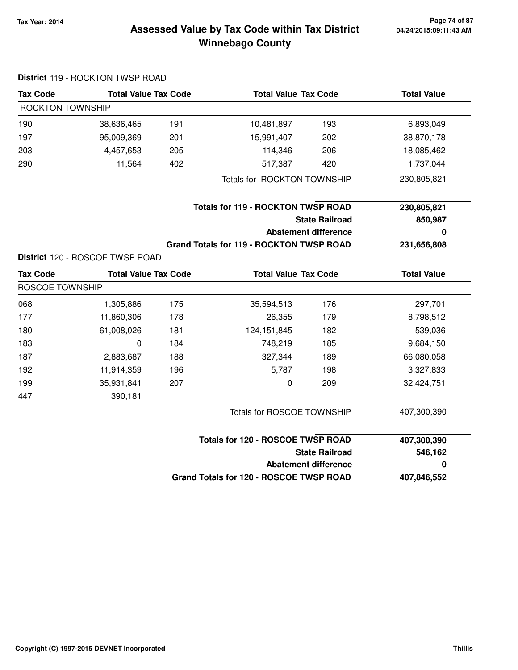# **04/24/2015:09:11:43 AM**

### **Tax Year: 2014 Page 74 of 87 Winnebago County Assessed Value by Tax Code within Tax District**

|                         | District 119 - ROCKTON TWSP ROAD |     |                                                 |                             |                    |
|-------------------------|----------------------------------|-----|-------------------------------------------------|-----------------------------|--------------------|
| <b>Tax Code</b>         | <b>Total Value Tax Code</b>      |     | <b>Total Value Tax Code</b>                     |                             | <b>Total Value</b> |
| <b>ROCKTON TOWNSHIP</b> |                                  |     |                                                 |                             |                    |
| 190                     | 38,636,465                       | 191 | 10,481,897                                      | 193                         | 6,893,049          |
| 197                     | 95,009,369                       | 201 | 15,991,407                                      | 202                         | 38,870,178         |
| 203                     | 4,457,653                        | 205 | 114,346                                         | 206                         | 18,085,462         |
| 290                     | 11,564                           | 402 | 517,387                                         | 420                         | 1,737,044          |
|                         |                                  |     | Totals for ROCKTON TOWNSHIP                     |                             | 230,805,821        |
|                         |                                  |     | <b>Totals for 119 - ROCKTON TWSP ROAD</b>       |                             | 230,805,821        |
|                         |                                  |     |                                                 | <b>State Railroad</b>       | 850,987            |
|                         |                                  |     |                                                 | <b>Abatement difference</b> | 0                  |
|                         |                                  |     | <b>Grand Totals for 119 - ROCKTON TWSP ROAD</b> |                             | 231,656,808        |
|                         | District 120 - ROSCOE TWSP ROAD  |     |                                                 |                             |                    |
| <b>Tax Code</b>         | <b>Total Value Tax Code</b>      |     | <b>Total Value Tax Code</b>                     |                             | <b>Total Value</b> |
| ROSCOE TOWNSHIP         |                                  |     |                                                 |                             |                    |
| 068                     | 1,305,886                        | 175 | 35,594,513                                      | 176                         | 297,701            |
| 177                     | 11,860,306                       | 178 | 26,355                                          | 179                         | 8,798,512          |
| 180                     | 61,008,026                       | 181 | 124, 151, 845                                   | 182                         | 539,036            |
| 183                     | 0                                | 184 | 748,219                                         | 185                         | 9,684,150          |
| 187                     | 2,883,687                        | 188 | 327,344                                         | 189                         | 66,080,058         |
| 192                     | 11,914,359                       | 196 | 5,787                                           | 198                         | 3,327,833          |
| 199                     | 35,931,841                       | 207 | 0                                               | 209                         | 32,424,751         |
| 447                     | 390,181                          |     |                                                 |                             |                    |
|                         |                                  |     | Totals for ROSCOE TOWNSHIP                      |                             | 407,300,390        |
|                         |                                  |     | <b>Totals for 120 - ROSCOE TWSP ROAD</b>        |                             | 407,300,390        |
|                         |                                  |     |                                                 | <b>State Railroad</b>       | 546,162            |
|                         |                                  |     |                                                 | <b>Abatement difference</b> | 0                  |
|                         |                                  |     | Grand Totals for 120 - ROSCOE TWSP ROAD         |                             | 407,846,552        |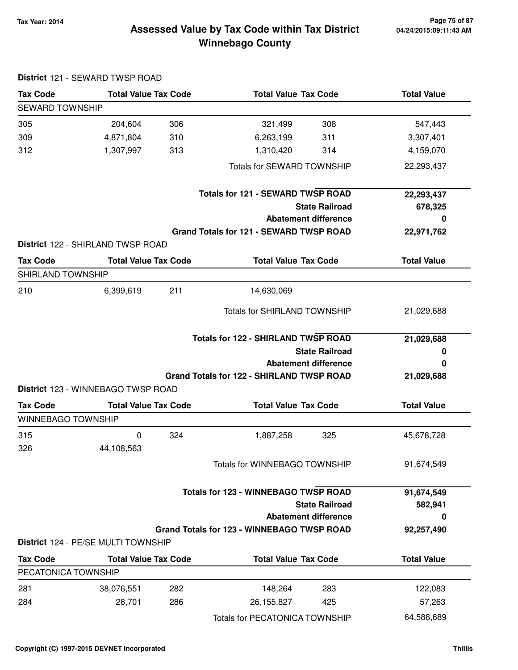### **Tax Year: 2014 Page 75 of 87 Winnebago County Assessed Value by Tax Code within Tax District**

| <b>Tax Code</b>                              | <b>Total Value Tax Code</b>                                       |     | <b>Total Value Tax Code</b>                       | <b>Total Value</b> |
|----------------------------------------------|-------------------------------------------------------------------|-----|---------------------------------------------------|--------------------|
| <b>SEWARD TOWNSHIP</b>                       |                                                                   |     |                                                   |                    |
| 305                                          | 204,604                                                           | 306 | 308<br>321,499                                    | 547,443            |
| 309                                          | 4,871,804                                                         | 310 | 6,263,199<br>311                                  | 3,307,401          |
| 312                                          | 1,307,997                                                         | 313 | 1,310,420<br>314                                  | 4,159,070          |
|                                              |                                                                   |     | Totals for SEWARD TOWNSHIP                        | 22,293,437         |
|                                              |                                                                   |     | <b>Totals for 121 - SEWARD TWSP ROAD</b>          | 22,293,437         |
|                                              |                                                                   |     | <b>State Railroad</b>                             | 678,325            |
|                                              |                                                                   |     | <b>Abatement difference</b>                       | O                  |
|                                              |                                                                   |     | Grand Totals for 121 - SEWARD TWSP ROAD           | 22,971,762         |
|                                              | District 122 - SHIRLAND TWSP ROAD                                 |     |                                                   |                    |
| <b>Tax Code</b>                              | <b>Total Value Tax Code</b>                                       |     | <b>Total Value Tax Code</b>                       | <b>Total Value</b> |
| SHIRLAND TOWNSHIP                            |                                                                   |     |                                                   |                    |
| 210                                          | 6,399,619                                                         | 211 | 14,630,069                                        |                    |
|                                              |                                                                   |     | <b>Totals for SHIRLAND TOWNSHIP</b>               | 21,029,688         |
|                                              |                                                                   |     |                                                   |                    |
|                                              |                                                                   |     | <b>Totals for 122 - SHIRLAND TWSP ROAD</b>        | 21,029,688         |
|                                              |                                                                   |     | <b>State Railroad</b>                             | 0                  |
|                                              |                                                                   |     | <b>Abatement difference</b>                       | 0                  |
|                                              |                                                                   |     | <b>Grand Totals for 122 - SHIRLAND TWSP ROAD</b>  | 21,029,688         |
|                                              | District 123 - WINNEBAGO TWSP ROAD<br><b>Total Value Tax Code</b> |     | <b>Total Value Tax Code</b>                       | <b>Total Value</b> |
| <b>Tax Code</b><br><b>WINNEBAGO TOWNSHIP</b> |                                                                   |     |                                                   |                    |
|                                              | $\mathbf 0$                                                       | 324 | 1,887,258<br>325                                  | 45,678,728         |
| 315<br>326                                   | 44,108,563                                                        |     |                                                   |                    |
|                                              |                                                                   |     | Totals for WINNEBAGO TOWNSHIP                     | 91,674,549         |
|                                              |                                                                   |     | <b>Totals for 123 - WINNEBAGO TWSP ROAD</b>       | 91,674,549         |
|                                              |                                                                   |     | <b>State Railroad</b>                             | 582,941            |
|                                              |                                                                   |     | <b>Abatement difference</b>                       | 0                  |
|                                              |                                                                   |     | <b>Grand Totals for 123 - WINNEBAGO TWSP ROAD</b> | 92,257,490         |
|                                              | <b>District 124 - PE/SE MULTI TOWNSHIP</b>                        |     |                                                   |                    |
| <b>Tax Code</b>                              | <b>Total Value Tax Code</b>                                       |     | <b>Total Value Tax Code</b>                       | <b>Total Value</b> |
| PECATONICA TOWNSHIP                          |                                                                   |     |                                                   |                    |
| 281                                          | 38,076,551                                                        | 282 | 148,264<br>283                                    | 122,083            |
| 284                                          | 28,701                                                            | 286 | 26,155,827<br>425                                 | 57,263             |

### **District** 121 - SEWARD TWSP ROAD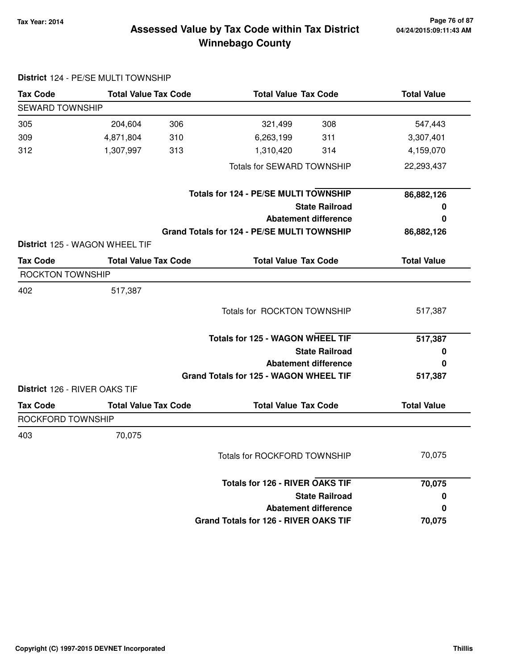### **Tax Year: 2014 Page 76 of 87 Winnebago County Assessed Value by Tax Code within Tax District**

| <b>Tax Code</b>                      | <b>Total Value Tax Code</b>           | <b>Total Value Tax Code</b>                  | <b>Total Value</b> |
|--------------------------------------|---------------------------------------|----------------------------------------------|--------------------|
| SEWARD TOWNSHIP                      |                                       |                                              |                    |
| 305                                  | 306<br>204,604                        | 308<br>321,499                               | 547,443            |
| 309                                  | 4,871,804<br>310                      | 6,263,199<br>311                             | 3,307,401          |
| 312                                  | 1,307,997<br>313                      | 1,310,420<br>314                             | 4,159,070          |
|                                      |                                       | <b>Totals for SEWARD TOWNSHIP</b>            | 22,293,437         |
|                                      |                                       | Totals for 124 - PE/SE MULTI TOWNSHIP        | 86,882,126         |
|                                      |                                       | <b>State Railroad</b>                        | 0                  |
|                                      |                                       | <b>Abatement difference</b>                  | 0                  |
|                                      |                                       | Grand Totals for 124 - PE/SE MULTI TOWNSHIP  | 86,882,126         |
|                                      | <b>District 125 - WAGON WHEEL TIF</b> |                                              |                    |
| <b>Tax Code</b>                      | <b>Total Value Tax Code</b>           | <b>Total Value Tax Code</b>                  | <b>Total Value</b> |
| <b>ROCKTON TOWNSHIP</b>              |                                       |                                              |                    |
| 402                                  | 517,387                               |                                              |                    |
|                                      |                                       | Totals for ROCKTON TOWNSHIP                  | 517,387            |
|                                      |                                       | <b>Totals for 125 - WAGON WHEEL TIF</b>      | 517,387            |
|                                      |                                       | <b>State Railroad</b>                        | 0                  |
|                                      |                                       | <b>Abatement difference</b>                  | 0                  |
|                                      |                                       | Grand Totals for 125 - WAGON WHEEL TIF       | 517,387            |
| <b>District 126 - RIVER OAKS TIF</b> |                                       |                                              |                    |
| <b>Tax Code</b>                      | <b>Total Value Tax Code</b>           | <b>Total Value Tax Code</b>                  | <b>Total Value</b> |
| ROCKFORD TOWNSHIP                    |                                       |                                              |                    |
| 403                                  | 70,075                                |                                              |                    |
|                                      |                                       | Totals for ROCKFORD TOWNSHIP                 | 70,075             |
|                                      |                                       | <b>Totals for 126 - RIVER OAKS TIF</b>       | 70,075             |
|                                      |                                       | <b>State Railroad</b>                        | 0                  |
|                                      |                                       | <b>Abatement difference</b>                  | 0                  |
|                                      |                                       | <b>Grand Totals for 126 - RIVER OAKS TIF</b> | 70,075             |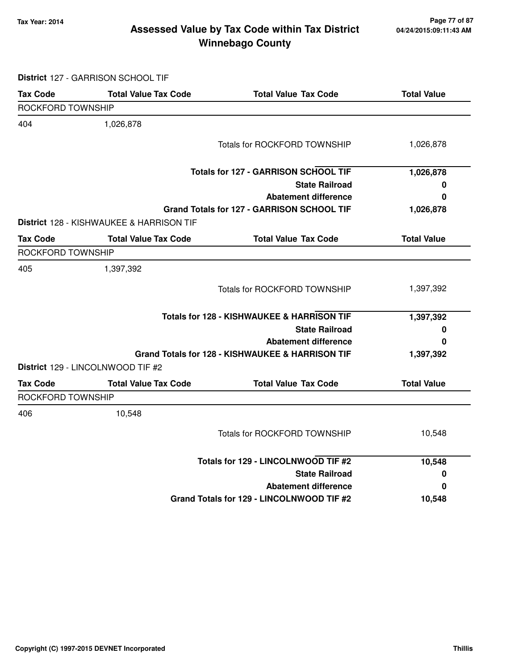### **Tax Year: 2014 Page 77 of 87 Winnebago County Assessed Value by Tax Code within Tax District**

**District** 127 - GARRISON SCHOOL TIF

| <b>Tax Code</b>   | <b>Total Value Tax Code</b>                         | <b>Total Value Tax Code</b>                           | <b>Total Value</b> |
|-------------------|-----------------------------------------------------|-------------------------------------------------------|--------------------|
| ROCKFORD TOWNSHIP |                                                     |                                                       |                    |
| 404               | 1,026,878                                           |                                                       |                    |
|                   |                                                     | <b>Totals for ROCKFORD TOWNSHIP</b>                   | 1,026,878          |
|                   |                                                     | <b>Totals for 127 - GARRISON SCHOOL TIF</b>           | 1,026,878          |
|                   |                                                     | <b>State Railroad</b>                                 | 0                  |
|                   |                                                     | <b>Abatement difference</b>                           | 0                  |
|                   | <b>District 128 - KISHWAUKEE &amp; HARRISON TIF</b> | Grand Totals for 127 - GARRISON SCHOOL TIF            | 1,026,878          |
| <b>Tax Code</b>   | <b>Total Value Tax Code</b>                         | <b>Total Value Tax Code</b>                           | <b>Total Value</b> |
| ROCKFORD TOWNSHIP |                                                     |                                                       |                    |
| 405               | 1,397,392                                           |                                                       |                    |
|                   |                                                     | Totals for ROCKFORD TOWNSHIP                          | 1,397,392          |
|                   |                                                     | <b>Totals for 128 - KISHWAUKEE &amp; HARRISON TIF</b> | 1,397,392          |
|                   |                                                     | <b>State Railroad</b>                                 | 0                  |
|                   |                                                     | <b>Abatement difference</b>                           | 0                  |
|                   | District 129 - LINCOLNWOOD TIF #2                   | Grand Totals for 128 - KISHWAUKEE & HARRISON TIF      | 1,397,392          |
| <b>Tax Code</b>   | <b>Total Value Tax Code</b>                         | <b>Total Value Tax Code</b>                           | <b>Total Value</b> |
| ROCKFORD TOWNSHIP |                                                     |                                                       |                    |
| 406               | 10,548                                              |                                                       |                    |
|                   |                                                     | <b>Totals for ROCKFORD TOWNSHIP</b>                   | 10,548             |
|                   |                                                     | Totals for 129 - LINCOLNWOOD TIF #2                   | 10,548             |
|                   |                                                     | <b>State Railroad</b>                                 | 0                  |
|                   |                                                     | <b>Abatement difference</b>                           | 0                  |
|                   |                                                     | Grand Totals for 129 - LINCOLNWOOD TIF #2             | 10,548             |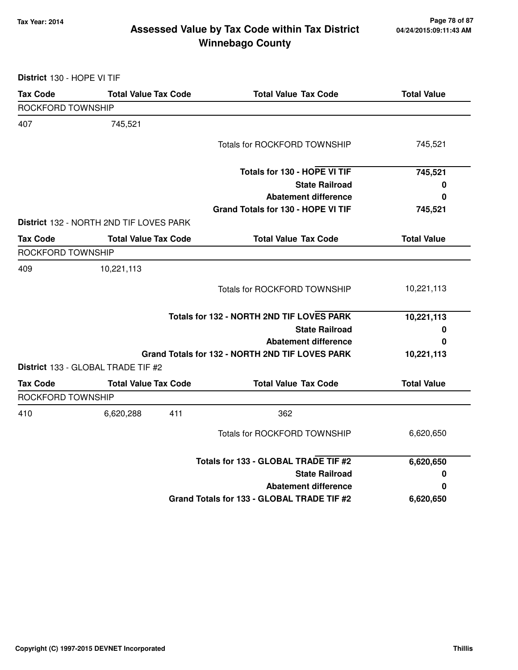### **Tax Year: 2014 Page 78 of 87 Winnebago County Assessed Value by Tax Code within Tax District**

# **District** 130 - HOPE VI TIF

| <b>Tax Code</b>   | <b>Total Value Tax Code</b>             | <b>Total Value Tax Code</b>                     | <b>Total Value</b> |
|-------------------|-----------------------------------------|-------------------------------------------------|--------------------|
| ROCKFORD TOWNSHIP |                                         |                                                 |                    |
| 407               | 745,521                                 |                                                 |                    |
|                   |                                         | <b>Totals for ROCKFORD TOWNSHIP</b>             | 745,521            |
|                   |                                         | Totals for 130 - HOPE VI TIF                    | 745,521            |
|                   |                                         | <b>State Railroad</b>                           | 0                  |
|                   |                                         | <b>Abatement difference</b>                     | $\bf{0}$           |
|                   |                                         | Grand Totals for 130 - HOPE VI TIF              | 745,521            |
|                   | District 132 - NORTH 2ND TIF LOVES PARK |                                                 |                    |
| <b>Tax Code</b>   | <b>Total Value Tax Code</b>             | <b>Total Value Tax Code</b>                     | <b>Total Value</b> |
| ROCKFORD TOWNSHIP |                                         |                                                 |                    |
| 409               | 10,221,113                              |                                                 |                    |
|                   |                                         | Totals for ROCKFORD TOWNSHIP                    | 10,221,113         |
|                   |                                         | Totals for 132 - NORTH 2ND TIF LOVES PARK       | 10,221,113         |
|                   |                                         | <b>State Railroad</b>                           | 0                  |
|                   |                                         | <b>Abatement difference</b>                     | 0                  |
|                   | District 133 - GLOBAL TRADE TIF #2      | Grand Totals for 132 - NORTH 2ND TIF LOVES PARK | 10,221,113         |
| <b>Tax Code</b>   | <b>Total Value Tax Code</b>             | <b>Total Value Tax Code</b>                     | <b>Total Value</b> |
| ROCKFORD TOWNSHIP |                                         |                                                 |                    |
| 410               | 411<br>6,620,288                        | 362                                             |                    |
|                   |                                         | Totals for ROCKFORD TOWNSHIP                    | 6,620,650          |
|                   |                                         | Totals for 133 - GLOBAL TRADE TIF #2            | 6,620,650          |
|                   |                                         | <b>State Railroad</b>                           | 0                  |
|                   |                                         | <b>Abatement difference</b>                     | 0                  |
|                   |                                         | Grand Totals for 133 - GLOBAL TRADE TIF #2      | 6,620,650          |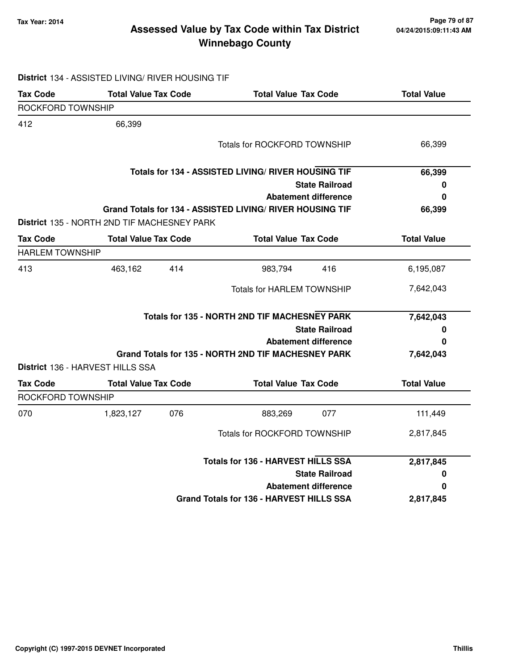### **Tax Year: 2014 Page 79 of 87 Winnebago County Assessed Value by Tax Code within Tax District**

|                        | District 134 - ASSISTED LIVING/ RIVER HOUSING TIF |                                                           |                    |
|------------------------|---------------------------------------------------|-----------------------------------------------------------|--------------------|
| <b>Tax Code</b>        | <b>Total Value Tax Code</b>                       | <b>Total Value Tax Code</b>                               | <b>Total Value</b> |
| ROCKFORD TOWNSHIP      |                                                   |                                                           |                    |
| 412                    | 66,399                                            |                                                           |                    |
|                        |                                                   | <b>Totals for ROCKFORD TOWNSHIP</b>                       | 66,399             |
|                        |                                                   | Totals for 134 - ASSISTED LIVING/ RIVER HOUSING TIF       | 66,399             |
|                        |                                                   | <b>State Railroad</b>                                     | 0                  |
|                        |                                                   | <b>Abatement difference</b>                               | 0                  |
|                        | District 135 - NORTH 2ND TIF MACHESNEY PARK       | Grand Totals for 134 - ASSISTED LIVING/ RIVER HOUSING TIF | 66,399             |
| <b>Tax Code</b>        | <b>Total Value Tax Code</b>                       | <b>Total Value Tax Code</b>                               | <b>Total Value</b> |
| <b>HARLEM TOWNSHIP</b> |                                                   |                                                           |                    |
| 413                    | 463,162<br>414                                    | 983,794<br>416                                            | 6,195,087          |
|                        |                                                   | <b>Totals for HARLEM TOWNSHIP</b>                         | 7,642,043          |
|                        |                                                   | <b>Totals for 135 - NORTH 2ND TIF MACHESNEY PARK</b>      | 7,642,043          |
|                        |                                                   | <b>State Railroad</b>                                     | 0                  |
|                        |                                                   | <b>Abatement difference</b>                               | 0                  |
|                        | District 136 - HARVEST HILLS SSA                  | Grand Totals for 135 - NORTH 2ND TIF MACHESNEY PARK       | 7,642,043          |
| <b>Tax Code</b>        | <b>Total Value Tax Code</b>                       | <b>Total Value Tax Code</b>                               | <b>Total Value</b> |
| ROCKFORD TOWNSHIP      |                                                   |                                                           |                    |
| 070                    | 076<br>1,823,127                                  | 077<br>883,269                                            | 111,449            |
|                        |                                                   | Totals for ROCKFORD TOWNSHIP                              | 2,817,845          |
|                        |                                                   | <b>Totals for 136 - HARVEST HILLS SSA</b>                 | 2,817,845          |
|                        |                                                   | <b>State Railroad</b>                                     | 0                  |
|                        |                                                   | <b>Abatement difference</b>                               | 0                  |
|                        |                                                   | Grand Totals for 136 - HARVEST HILLS SSA                  | 2,817,845          |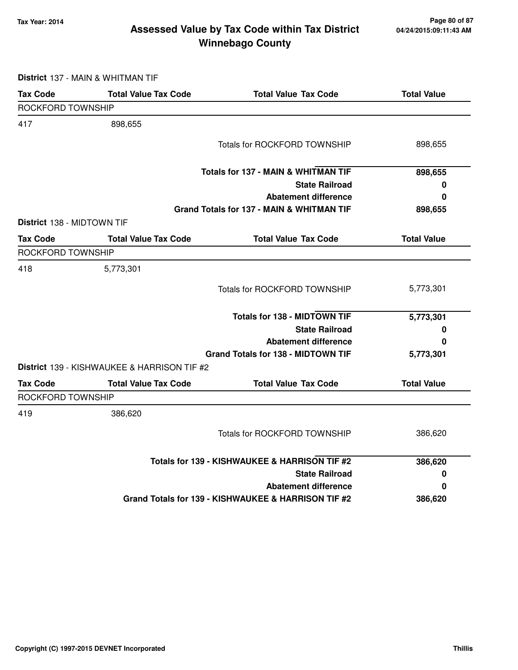### **Tax Year: 2014 Page 80 of 87 Winnebago County Assessed Value by Tax Code within Tax District**

|                                   | District 137 - MAIN & WHITMAN TIF           |                                                     |                    |
|-----------------------------------|---------------------------------------------|-----------------------------------------------------|--------------------|
| <b>Tax Code</b>                   | <b>Total Value Tax Code</b>                 | <b>Total Value Tax Code</b>                         | <b>Total Value</b> |
| ROCKFORD TOWNSHIP                 |                                             |                                                     |                    |
| 417                               | 898,655                                     |                                                     |                    |
|                                   |                                             | Totals for ROCKFORD TOWNSHIP                        | 898,655            |
|                                   |                                             | <b>Totals for 137 - MAIN &amp; WHITMAN TIF</b>      | 898,655            |
|                                   |                                             | <b>State Railroad</b>                               | 0                  |
|                                   |                                             | <b>Abatement difference</b>                         | 0                  |
|                                   |                                             | Grand Totals for 137 - MAIN & WHITMAN TIF           | 898,655            |
| <b>District 138 - MIDTOWN TIF</b> |                                             |                                                     |                    |
| <b>Tax Code</b>                   | <b>Total Value Tax Code</b>                 | <b>Total Value Tax Code</b>                         | <b>Total Value</b> |
| ROCKFORD TOWNSHIP                 |                                             |                                                     |                    |
| 418                               | 5,773,301                                   |                                                     |                    |
|                                   |                                             | Totals for ROCKFORD TOWNSHIP                        | 5,773,301          |
|                                   |                                             | <b>Totals for 138 - MIDTOWN TIF</b>                 | 5,773,301          |
|                                   |                                             | <b>State Railroad</b>                               | 0                  |
|                                   |                                             | <b>Abatement difference</b>                         | 0                  |
|                                   |                                             | <b>Grand Totals for 138 - MIDTOWN TIF</b>           | 5,773,301          |
|                                   | District 139 - KISHWAUKEE & HARRISON TIF #2 |                                                     |                    |
| <b>Tax Code</b>                   | <b>Total Value Tax Code</b>                 | <b>Total Value Tax Code</b>                         | <b>Total Value</b> |
| ROCKFORD TOWNSHIP                 |                                             |                                                     |                    |
| 419                               | 386,620                                     |                                                     |                    |
|                                   |                                             | Totals for ROCKFORD TOWNSHIP                        | 386,620            |
|                                   |                                             | Totals for 139 - KISHWAUKEE & HARRISON TIF #2       | 386,620            |
|                                   |                                             | <b>State Railroad</b>                               | 0                  |
|                                   |                                             | <b>Abatement difference</b>                         | 0                  |
|                                   |                                             | Grand Totals for 139 - KISHWAUKEE & HARRISON TIF #2 | 386,620            |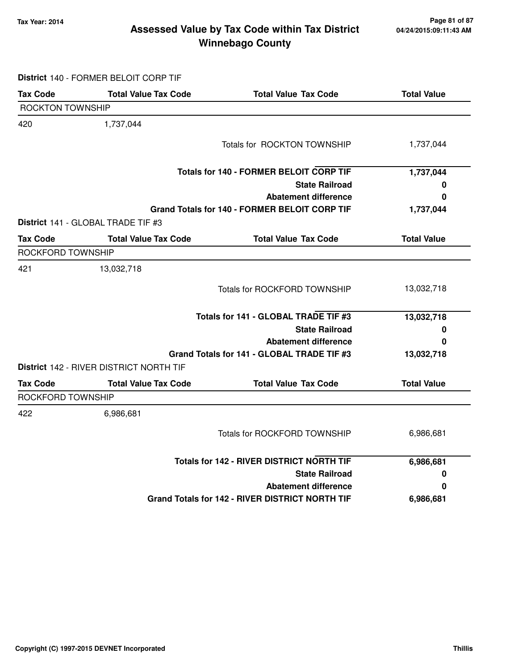### **Tax Year: 2014 Page 81 of 87 Winnebago County Assessed Value by Tax Code within Tax District**

**District** 140 - FORMER BELOIT CORP TIF

| <b>Tax Code</b>          | <b>Total Value Tax Code</b>                    | <b>Total Value Tax Code</b>                            | <b>Total Value</b> |
|--------------------------|------------------------------------------------|--------------------------------------------------------|--------------------|
| <b>ROCKTON TOWNSHIP</b>  |                                                |                                                        |                    |
| 420                      | 1,737,044                                      |                                                        |                    |
|                          |                                                | Totals for ROCKTON TOWNSHIP                            | 1,737,044          |
|                          |                                                | <b>Totals for 140 - FORMER BELOIT CORP TIF</b>         | 1,737,044          |
|                          |                                                | <b>State Railroad</b>                                  | 0                  |
|                          |                                                | <b>Abatement difference</b>                            | 0                  |
|                          |                                                | Grand Totals for 140 - FORMER BELOIT CORP TIF          | 1,737,044          |
|                          | District 141 - GLOBAL TRADE TIF #3             |                                                        |                    |
| <b>Tax Code</b>          | <b>Total Value Tax Code</b>                    | <b>Total Value Tax Code</b>                            | <b>Total Value</b> |
| <b>ROCKFORD TOWNSHIP</b> |                                                |                                                        |                    |
| 421                      | 13,032,718                                     |                                                        |                    |
|                          |                                                | Totals for ROCKFORD TOWNSHIP                           | 13,032,718         |
|                          |                                                | Totals for 141 - GLOBAL TRADE TIF #3                   | 13,032,718         |
|                          |                                                | <b>State Railroad</b>                                  | 0                  |
|                          |                                                | <b>Abatement difference</b>                            | O                  |
|                          |                                                | Grand Totals for 141 - GLOBAL TRADE TIF #3             | 13,032,718         |
|                          | <b>District 142 - RIVER DISTRICT NORTH TIF</b> |                                                        |                    |
| <b>Tax Code</b>          | <b>Total Value Tax Code</b>                    | <b>Total Value Tax Code</b>                            | <b>Total Value</b> |
| ROCKFORD TOWNSHIP        |                                                |                                                        |                    |
| 422                      | 6,986,681                                      |                                                        |                    |
|                          |                                                | <b>Totals for ROCKFORD TOWNSHIP</b>                    | 6,986,681          |
|                          |                                                | <b>Totals for 142 - RIVER DISTRICT NORTH TIF</b>       | 6,986,681          |
|                          |                                                | <b>State Railroad</b>                                  | 0                  |
|                          |                                                | <b>Abatement difference</b>                            | O                  |
|                          |                                                | <b>Grand Totals for 142 - RIVER DISTRICT NORTH TIF</b> | 6,986,681          |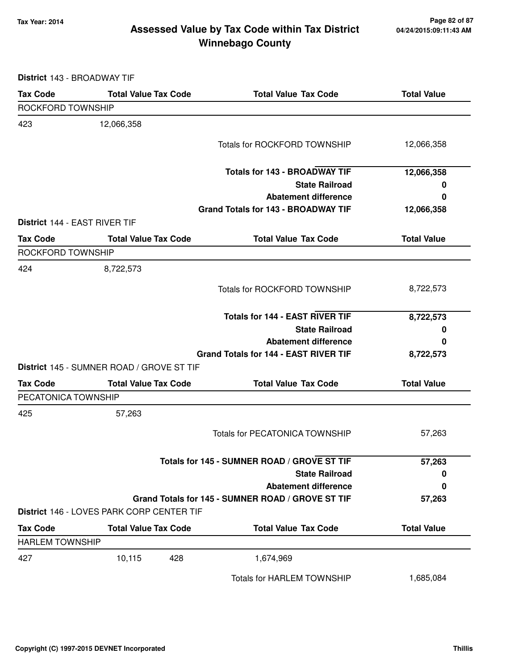### **Tax Year: 2014 Page 82 of 87 Winnebago County Assessed Value by Tax Code within Tax District**

**District** 143 - BROADWAY TIF

| <b>Tax Code</b>               | <b>Total Value Tax Code</b>               | <b>Total Value Tax Code</b>                       | <b>Total Value</b> |
|-------------------------------|-------------------------------------------|---------------------------------------------------|--------------------|
| ROCKFORD TOWNSHIP             |                                           |                                                   |                    |
| 423                           | 12,066,358                                |                                                   |                    |
|                               |                                           | <b>Totals for ROCKFORD TOWNSHIP</b>               | 12,066,358         |
|                               |                                           |                                                   |                    |
|                               |                                           | <b>Totals for 143 - BROADWAY TIF</b>              | 12,066,358         |
|                               |                                           | <b>State Railroad</b>                             | 0                  |
|                               |                                           | <b>Abatement difference</b>                       | 0                  |
|                               |                                           | <b>Grand Totals for 143 - BROADWAY TIF</b>        | 12,066,358         |
| District 144 - EAST RIVER TIF |                                           |                                                   |                    |
| <b>Tax Code</b>               | <b>Total Value Tax Code</b>               | <b>Total Value Tax Code</b>                       | <b>Total Value</b> |
| ROCKFORD TOWNSHIP             |                                           |                                                   |                    |
| 424                           | 8,722,573                                 |                                                   |                    |
|                               |                                           | Totals for ROCKFORD TOWNSHIP                      | 8,722,573          |
|                               |                                           |                                                   |                    |
|                               |                                           | <b>Totals for 144 - EAST RIVER TIF</b>            | 8,722,573          |
|                               |                                           | <b>State Railroad</b>                             | 0                  |
|                               |                                           | <b>Abatement difference</b>                       | 0                  |
|                               |                                           | Grand Totals for 144 - EAST RIVER TIF             | 8,722,573          |
|                               | District 145 - SUMNER ROAD / GROVE ST TIF |                                                   |                    |
| <b>Tax Code</b>               | <b>Total Value Tax Code</b>               | <b>Total Value Tax Code</b>                       | <b>Total Value</b> |
| PECATONICA TOWNSHIP           |                                           |                                                   |                    |
| 425                           | 57,263                                    |                                                   |                    |
|                               |                                           | <b>Totals for PECATONICA TOWNSHIP</b>             | 57,263             |
|                               |                                           |                                                   |                    |
|                               |                                           | Totals for 145 - SUMNER ROAD / GROVE ST TIF       | 57,263             |
|                               |                                           | <b>State Railroad</b>                             | 0                  |
|                               |                                           | <b>Abatement difference</b>                       | 0                  |
|                               |                                           | Grand Totals for 145 - SUMNER ROAD / GROVE ST TIF | 57,263             |
|                               | District 146 - LOVES PARK CORP CENTER TIF |                                                   |                    |
| <b>Tax Code</b>               | <b>Total Value Tax Code</b>               | <b>Total Value Tax Code</b>                       | <b>Total Value</b> |
| <b>HARLEM TOWNSHIP</b>        |                                           |                                                   |                    |
| 427                           | 10,115<br>428                             | 1,674,969                                         |                    |
|                               |                                           | <b>Totals for HARLEM TOWNSHIP</b>                 | 1,685,084          |
|                               |                                           |                                                   |                    |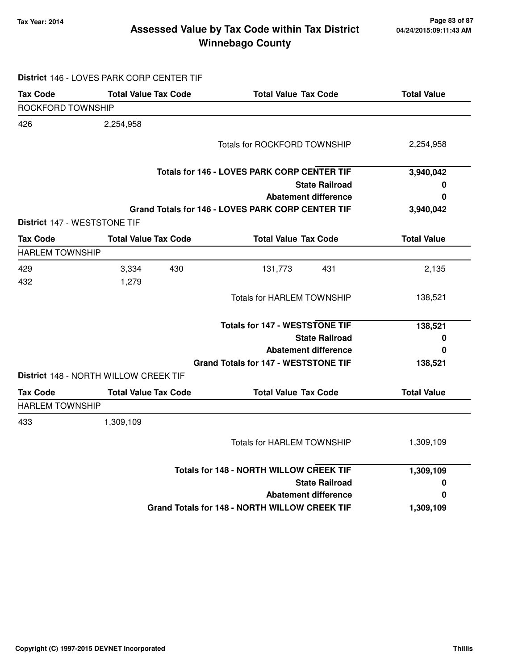### **Tax Year: 2014 Page 83 of 87 Winnebago County Assessed Value by Tax Code within Tax District**

## **District** 146 - LOVES PARK CORP CENTER TIF

| <b>Tax Code</b>        | <b>Total Value Tax Code</b>           | <b>Total Value Tax Code</b>                       | <b>Total Value</b> |
|------------------------|---------------------------------------|---------------------------------------------------|--------------------|
| ROCKFORD TOWNSHIP      |                                       |                                                   |                    |
| 426                    | 2,254,958                             |                                                   |                    |
|                        |                                       | <b>Totals for ROCKFORD TOWNSHIP</b>               | 2,254,958          |
|                        |                                       | Totals for 146 - LOVES PARK CORP CENTER TIF       | 3,940,042          |
|                        |                                       | <b>State Railroad</b>                             | 0                  |
|                        |                                       | <b>Abatement difference</b>                       | 0                  |
|                        |                                       | Grand Totals for 146 - LOVES PARK CORP CENTER TIF | 3,940,042          |
|                        | District 147 - WESTSTONE TIF          |                                                   |                    |
| <b>Tax Code</b>        | <b>Total Value Tax Code</b>           | <b>Total Value Tax Code</b>                       | <b>Total Value</b> |
| <b>HARLEM TOWNSHIP</b> |                                       |                                                   |                    |
| 429                    | 3,334<br>430                          | 131,773<br>431                                    | 2,135              |
| 432                    | 1,279                                 |                                                   |                    |
|                        |                                       | <b>Totals for HARLEM TOWNSHIP</b>                 | 138,521            |
|                        |                                       | <b>Totals for 147 - WESTSTONE TIF</b>             | 138,521            |
|                        |                                       | <b>State Railroad</b>                             | 0                  |
|                        |                                       | <b>Abatement difference</b>                       | 0                  |
|                        |                                       | <b>Grand Totals for 147 - WESTSTONE TIF</b>       | 138,521            |
|                        | District 148 - NORTH WILLOW CREEK TIF |                                                   |                    |
| <b>Tax Code</b>        | <b>Total Value Tax Code</b>           | <b>Total Value Tax Code</b>                       | <b>Total Value</b> |
| <b>HARLEM TOWNSHIP</b> |                                       |                                                   |                    |
| 433                    | 1,309,109                             |                                                   |                    |
|                        |                                       | <b>Totals for HARLEM TOWNSHIP</b>                 | 1,309,109          |
|                        |                                       | <b>Totals for 148 - NORTH WILLOW CREEK TIF</b>    | 1,309,109          |
|                        |                                       | <b>State Railroad</b>                             | 0                  |
|                        |                                       | <b>Abatement difference</b>                       | 0                  |
|                        |                                       | Grand Totals for 148 - NORTH WILLOW CREEK TIF     | 1,309,109          |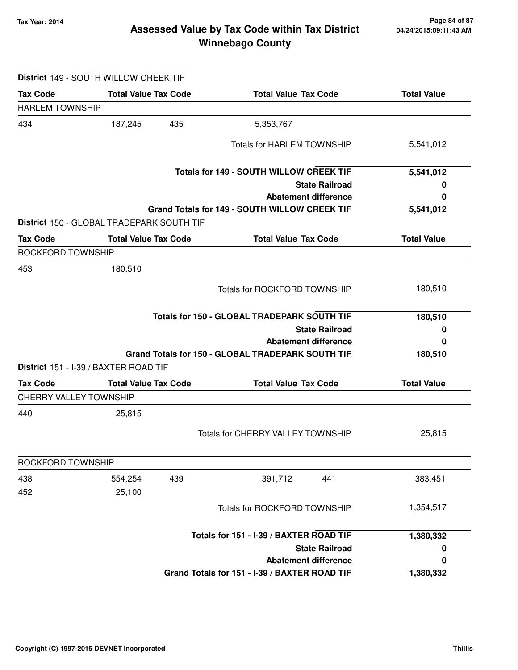### **Tax Year: 2014 Page 84 of 87 Winnebago County Assessed Value by Tax Code within Tax District**

### **District** 149 - SOUTH WILLOW CREEK TIF

| <b>Tax Code</b>               | <b>Total Value Tax Code</b>               | <b>Total Value Tax Code</b>                          | <b>Total Value</b> |
|-------------------------------|-------------------------------------------|------------------------------------------------------|--------------------|
| <b>HARLEM TOWNSHIP</b>        |                                           |                                                      |                    |
| 434                           | 435<br>187,245                            | 5,353,767                                            |                    |
|                               |                                           | <b>Totals for HARLEM TOWNSHIP</b>                    | 5,541,012          |
|                               |                                           | <b>Totals for 149 - SOUTH WILLOW CREEK TIF</b>       | 5,541,012          |
|                               |                                           | <b>State Railroad</b>                                | 0                  |
|                               |                                           | <b>Abatement difference</b>                          | 0                  |
|                               |                                           | <b>Grand Totals for 149 - SOUTH WILLOW CREEK TIF</b> | 5,541,012          |
|                               | District 150 - GLOBAL TRADEPARK SOUTH TIF |                                                      |                    |
| <b>Tax Code</b>               | <b>Total Value Tax Code</b>               | <b>Total Value Tax Code</b>                          | <b>Total Value</b> |
| ROCKFORD TOWNSHIP             |                                           |                                                      |                    |
| 453                           | 180,510                                   |                                                      |                    |
|                               |                                           | <b>Totals for ROCKFORD TOWNSHIP</b>                  | 180,510            |
|                               |                                           | <b>Totals for 150 - GLOBAL TRADEPARK SOUTH TIF</b>   | 180,510            |
|                               |                                           | <b>State Railroad</b>                                | 0                  |
|                               |                                           | <b>Abatement difference</b>                          | 0                  |
|                               |                                           | Grand Totals for 150 - GLOBAL TRADEPARK SOUTH TIF    | 180,510            |
|                               | District 151 - I-39 / BAXTER ROAD TIF     |                                                      |                    |
| <b>Tax Code</b>               | <b>Total Value Tax Code</b>               | <b>Total Value Tax Code</b>                          | <b>Total Value</b> |
| <b>CHERRY VALLEY TOWNSHIP</b> |                                           |                                                      |                    |
| 440                           | 25,815                                    |                                                      |                    |
|                               |                                           | Totals for CHERRY VALLEY TOWNSHIP                    | 25,815             |
| ROCKFORD TOWNSHIP             |                                           |                                                      |                    |
| 438                           | 554,254<br>439                            | 391,712<br>441                                       | 383,451            |
| 452                           | 25,100                                    |                                                      |                    |
|                               |                                           | <b>Totals for ROCKFORD TOWNSHIP</b>                  | 1,354,517          |
|                               |                                           | Totals for 151 - I-39 / BAXTER ROAD TIF              | 1,380,332          |
|                               |                                           | <b>State Railroad</b>                                | 0                  |
|                               |                                           | <b>Abatement difference</b>                          | 0                  |
|                               |                                           | Grand Totals for 151 - I-39 / BAXTER ROAD TIF        | 1,380,332          |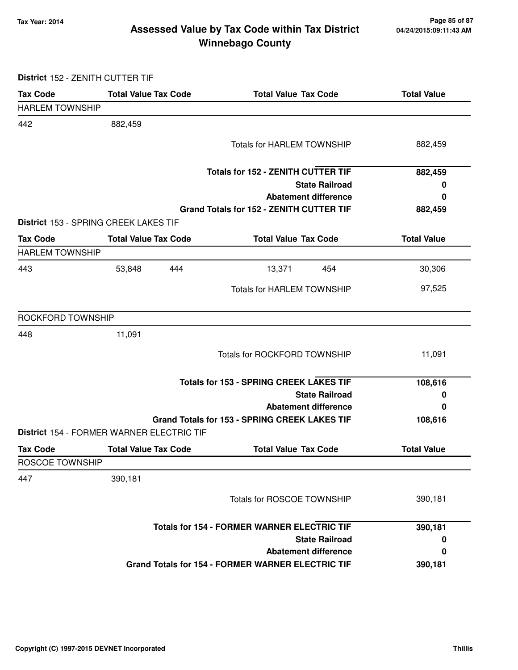### **Tax Year: 2014 Page 85 of 87 Winnebago County Assessed Value by Tax Code within Tax District**

### **District** 152 - ZENITH CUTTER TIF

| <b>Tax Code</b>        | <b>Total Value Tax Code</b>                        | <b>Total Value Tax Code</b>                              | <b>Total Value</b> |
|------------------------|----------------------------------------------------|----------------------------------------------------------|--------------------|
| <b>HARLEM TOWNSHIP</b> |                                                    |                                                          |                    |
| 442                    | 882,459                                            |                                                          |                    |
|                        |                                                    | <b>Totals for HARLEM TOWNSHIP</b>                        | 882,459            |
|                        |                                                    | <b>Totals for 152 - ZENITH CUTTER TIF</b>                | 882,459            |
|                        |                                                    | <b>State Railroad</b>                                    | 0                  |
|                        |                                                    | <b>Abatement difference</b>                              | 0                  |
|                        | District 153 - SPRING CREEK LAKES TIF              | <b>Grand Totals for 152 - ZENITH CUTTER TIF</b>          | 882,459            |
| <b>Tax Code</b>        | <b>Total Value Tax Code</b>                        | <b>Total Value Tax Code</b>                              | <b>Total Value</b> |
| <b>HARLEM TOWNSHIP</b> |                                                    |                                                          |                    |
| 443                    | 53,848<br>444                                      | 13,371<br>454                                            | 30,306             |
|                        |                                                    | <b>Totals for HARLEM TOWNSHIP</b>                        | 97,525             |
| ROCKFORD TOWNSHIP      |                                                    |                                                          |                    |
| 448                    | 11,091                                             |                                                          |                    |
|                        |                                                    | <b>Totals for ROCKFORD TOWNSHIP</b>                      | 11,091             |
|                        | <b>Totals for 153 - SPRING CREEK LAKES TIF</b>     |                                                          | 108,616            |
|                        |                                                    | <b>State Railroad</b>                                    | 0                  |
|                        |                                                    | <b>Abatement difference</b>                              | 0                  |
|                        | District 154 - FORMER WARNER ELECTRIC TIF          | <b>Grand Totals for 153 - SPRING CREEK LAKES TIF</b>     | 108,616            |
| <b>Tax Code</b>        | <b>Total Value Tax Code</b>                        | <b>Total Value Tax Code</b>                              | <b>Total Value</b> |
| ROSCOE TOWNSHIP        |                                                    |                                                          |                    |
| 447                    | 390,181                                            |                                                          |                    |
|                        |                                                    | Totals for ROSCOE TOWNSHIP                               | 390,181            |
|                        | <b>Totals for 154 - FORMER WARNER ELECTRIC TIF</b> |                                                          | 390,181            |
|                        |                                                    | <b>State Railroad</b>                                    | 0                  |
|                        |                                                    | <b>Abatement difference</b>                              | 0                  |
|                        |                                                    | <b>Grand Totals for 154 - FORMER WARNER ELECTRIC TIF</b> | 390,181            |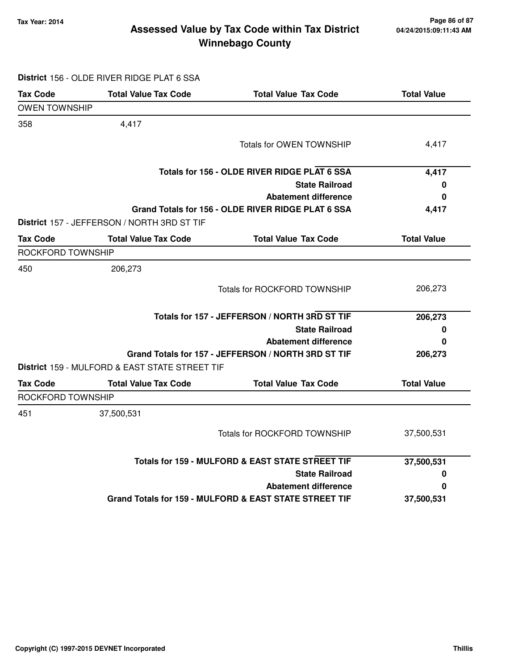### **Tax Year: 2014 Page 86 of 87 Winnebago County Assessed Value by Tax Code within Tax District**

|                      | District 156 - OLDE RIVER RIDGE PLAT 6 SSA       |                                                        |                    |
|----------------------|--------------------------------------------------|--------------------------------------------------------|--------------------|
| <b>Tax Code</b>      | <b>Total Value Tax Code</b>                      | <b>Total Value Tax Code</b>                            | <b>Total Value</b> |
| <b>OWEN TOWNSHIP</b> |                                                  |                                                        |                    |
| 358                  | 4,417                                            |                                                        |                    |
|                      |                                                  | Totals for OWEN TOWNSHIP                               | 4,417              |
|                      |                                                  | Totals for 156 - OLDE RIVER RIDGE PLAT 6 SSA           | 4,417              |
|                      |                                                  | <b>State Railroad</b>                                  | 0                  |
|                      |                                                  | <b>Abatement difference</b>                            | 0                  |
|                      | District 157 - JEFFERSON / NORTH 3RD ST TIF      | Grand Totals for 156 - OLDE RIVER RIDGE PLAT 6 SSA     | 4,417              |
| <b>Tax Code</b>      | <b>Total Value Tax Code</b>                      | <b>Total Value Tax Code</b>                            | <b>Total Value</b> |
| ROCKFORD TOWNSHIP    |                                                  |                                                        |                    |
| 450                  | 206,273                                          |                                                        |                    |
|                      |                                                  | <b>Totals for ROCKFORD TOWNSHIP</b>                    | 206,273            |
|                      |                                                  | Totals for 157 - JEFFERSON / NORTH 3RD ST TIF          | 206,273            |
|                      |                                                  | <b>State Railroad</b>                                  | 0                  |
|                      |                                                  | <b>Abatement difference</b>                            | 0                  |
|                      | District 159 - MULFORD & EAST STATE STREET TIF   | Grand Totals for 157 - JEFFERSON / NORTH 3RD ST TIF    | 206,273            |
| <b>Tax Code</b>      | <b>Total Value Tax Code</b>                      | <b>Total Value Tax Code</b>                            | <b>Total Value</b> |
| ROCKFORD TOWNSHIP    |                                                  |                                                        |                    |
| 451                  | 37,500,531                                       |                                                        |                    |
|                      |                                                  | Totals for ROCKFORD TOWNSHIP                           | 37,500,531         |
|                      | Totals for 159 - MULFORD & EAST STATE STREET TIF |                                                        | 37,500,531         |
|                      |                                                  | <b>State Railroad</b>                                  | 0                  |
|                      |                                                  | <b>Abatement difference</b>                            | O                  |
|                      |                                                  | Grand Totals for 159 - MULFORD & EAST STATE STREET TIF | 37,500,531         |